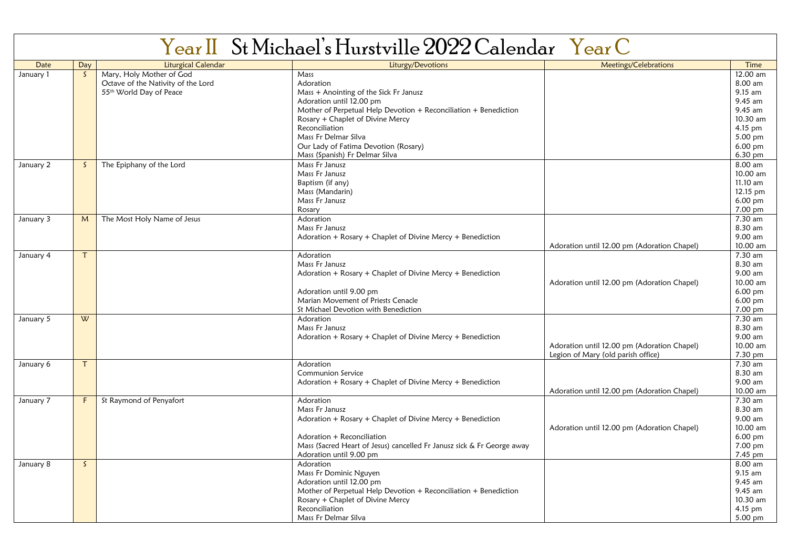|             |              |                                    | Year II St Michael's Hurstville 2022 Calendar Year C                   |                                             |           |
|-------------|--------------|------------------------------------|------------------------------------------------------------------------|---------------------------------------------|-----------|
| <b>Date</b> | Day          | Liturgical Calendar                | Liturgy/Devotions                                                      | Meetings/Celebrations                       | Time      |
| January 1   | $\mathsf{S}$ | Mary, Holy Mother of God           | Mass                                                                   |                                             | 12.00 am  |
|             |              | Octave of the Nativity of the Lord | Adoration                                                              |                                             | 8.00 am   |
|             |              | 55th World Day of Peace            | Mass + Anointing of the Sick Fr Janusz                                 |                                             | $9.15$ am |
|             |              |                                    | Adoration until 12.00 pm                                               |                                             | $9.45$ am |
|             |              |                                    | Mother of Perpetual Help Devotion + Reconciliation + Benediction       |                                             | 9.45 am   |
|             |              |                                    | Rosary + Chaplet of Divine Mercy                                       |                                             | 10.30 am  |
|             |              |                                    | Reconciliation                                                         |                                             | $4.15$ pm |
|             |              |                                    | Mass Fr Delmar Silva                                                   |                                             | 5.00 pm   |
|             |              |                                    | Our Lady of Fatima Devotion (Rosary)                                   |                                             | 6.00 pm   |
|             |              |                                    | Mass (Spanish) Fr Delmar Silva                                         |                                             | 6.30 pm   |
| January 2   | S.           | The Epiphany of the Lord           | Mass Fr Janusz                                                         |                                             | 8.00 am   |
|             |              |                                    | Mass Fr Janusz                                                         |                                             | 10.00 am  |
|             |              |                                    | Baptism (if any)                                                       |                                             | 11.10 am  |
|             |              |                                    | Mass (Mandarin)                                                        |                                             | 12.15 pm  |
|             |              |                                    | Mass Fr Janusz                                                         |                                             | 6.00 pm   |
|             |              |                                    | Rosary                                                                 |                                             | 7.00 pm   |
| January 3   | M            | The Most Holy Name of Jesus        | Adoration                                                              |                                             | 7.30 am   |
|             |              |                                    | Mass Fr Janusz                                                         |                                             | 8.30 am   |
|             |              |                                    | Adoration + Rosary + Chaplet of Divine Mercy + Benediction             |                                             | 9.00 am   |
|             |              |                                    |                                                                        | Adoration until 12.00 pm (Adoration Chapel) | 10.00 am  |
| January 4   | $\tau$       |                                    | Adoration                                                              |                                             | 7.30 am   |
|             |              |                                    | Mass Fr Janusz                                                         |                                             | 8.30 am   |
|             |              |                                    | Adoration + Rosary + Chaplet of Divine Mercy + Benediction             |                                             | 9.00 am   |
|             |              |                                    |                                                                        | Adoration until 12.00 pm (Adoration Chapel) | 10.00 am  |
|             |              |                                    | Adoration until 9.00 pm                                                |                                             | $6.00$ pm |
|             |              |                                    | Marian Movement of Priests Cenacle                                     |                                             | 6.00 pm   |
|             |              |                                    | St Michael Devotion with Benediction                                   |                                             | 7.00 pm   |
| January 5   | W            |                                    | Adoration                                                              |                                             | 7.30 am   |
|             |              |                                    | Mass Fr Janusz                                                         |                                             | 8.30 am   |
|             |              |                                    | Adoration + Rosary + Chaplet of Divine Mercy + Benediction             |                                             | 9.00 am   |
|             |              |                                    |                                                                        | Adoration until 12.00 pm (Adoration Chapel) | 10.00 am  |
|             |              |                                    |                                                                        | Legion of Mary (old parish office)          | 7.30 pm   |
| January 6   | T            |                                    | Adoration                                                              |                                             | 7.30 am   |
|             |              |                                    | Communion Service                                                      |                                             | 8.30 am   |
|             |              |                                    | Adoration + Rosary + Chaplet of Divine Mercy + Benediction             |                                             | 9.00 am   |
|             |              |                                    |                                                                        | Adoration until 12.00 pm (Adoration Chapel) | 10.00 am  |
| January 7   | F            | St Raymond of Penyafort            | Adoration                                                              |                                             | 7.30 am   |
|             |              |                                    | Mass Fr Janusz                                                         |                                             | 8.30 am   |
|             |              |                                    | Adoration + Rosary + Chaplet of Divine Mercy + Benediction             |                                             | 9.00 am   |
|             |              |                                    |                                                                        | Adoration until 12.00 pm (Adoration Chapel) | 10.00 am  |
|             |              |                                    | Adoration + Reconciliation                                             |                                             | 6.00 pm   |
|             |              |                                    | Mass (Sacred Heart of Jesus) cancelled Fr Janusz sick & Fr George away |                                             | 7.00 pm   |
|             |              |                                    | Adoration until 9.00 pm                                                |                                             | 7.45 pm   |
| January 8   | $\mathsf{S}$ |                                    | Adoration                                                              |                                             | 8.00 am   |
|             |              |                                    | Mass Fr Dominic Nguyen                                                 |                                             | 9.15 am   |
|             |              |                                    | Adoration until 12.00 pm                                               |                                             | 9.45 am   |
|             |              |                                    | Mother of Perpetual Help Devotion + Reconciliation + Benediction       |                                             | 9.45 am   |
|             |              |                                    | Rosary + Chaplet of Divine Mercy                                       |                                             | 10.30 am  |
|             |              |                                    | Reconciliation                                                         |                                             | 4.15 pm   |
|             |              |                                    | Mass Fr Delmar Silva                                                   |                                             | 5.00 pm   |
|             |              |                                    |                                                                        |                                             |           |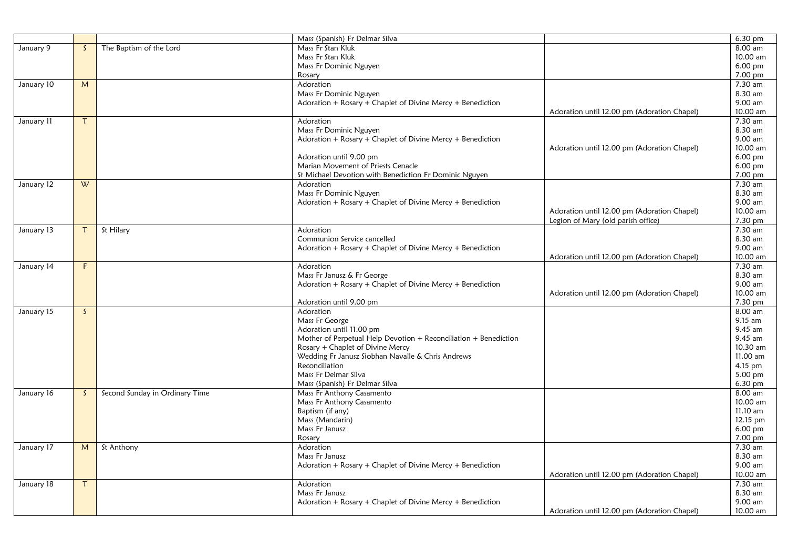|            |              |                                | Mass (Spanish) Fr Delmar Silva                                      |                                             | 6.30 pm              |
|------------|--------------|--------------------------------|---------------------------------------------------------------------|---------------------------------------------|----------------------|
| January 9  | $\mathsf{S}$ | The Baptism of the Lord        | Mass Fr Stan Kluk                                                   |                                             | 8.00 am              |
|            |              |                                | Mass Fr Stan Kluk                                                   |                                             | 10.00 am             |
|            |              |                                | Mass Fr Dominic Nguyen                                              |                                             | $6.00$ pm            |
|            |              |                                | Rosary                                                              |                                             | 7.00 pm              |
| January 10 | M            |                                | Adoration                                                           |                                             | 7.30 am              |
|            |              |                                | Mass Fr Dominic Nguyen                                              |                                             | 8.30 am              |
|            |              |                                | Adoration + Rosary + Chaplet of Divine Mercy + Benediction          |                                             | 9.00 am              |
|            |              |                                |                                                                     | Adoration until 12.00 pm (Adoration Chapel) | 10.00 am             |
| January 11 | $\tau$       |                                | Adoration                                                           |                                             | 7.30 am              |
|            |              |                                | Mass Fr Dominic Nguyen                                              |                                             | 8.30 am              |
|            |              |                                | Adoration + Rosary + Chaplet of Divine Mercy + Benediction          |                                             | 9.00 am              |
|            |              |                                |                                                                     | Adoration until 12.00 pm (Adoration Chapel) | 10.00 am             |
|            |              |                                | Adoration until 9.00 pm                                             |                                             | $6.00$ pm            |
|            |              |                                | Marian Movement of Priests Cenacle                                  |                                             | 6.00 pm              |
|            | W            |                                | St Michael Devotion with Benediction Fr Dominic Nguyen<br>Adoration |                                             | 7.00 pm<br>7.30 am   |
| January 12 |              |                                | Mass Fr Dominic Nguyen                                              |                                             | 8.30 am              |
|            |              |                                | Adoration + Rosary + Chaplet of Divine Mercy + Benediction          |                                             | 9.00 am              |
|            |              |                                |                                                                     | Adoration until 12.00 pm (Adoration Chapel) | 10.00 am             |
|            |              |                                |                                                                     | Legion of Mary (old parish office)          | 7.30 pm              |
| January 13 | T.           | St Hilary                      | Adoration                                                           |                                             | $7.30$ am            |
|            |              |                                | Communion Service cancelled                                         |                                             | 8.30 am              |
|            |              |                                | Adoration + Rosary + Chaplet of Divine Mercy + Benediction          |                                             | 9.00 am              |
|            |              |                                |                                                                     | Adoration until 12.00 pm (Adoration Chapel) | 10.00 am             |
| January 14 | F            |                                | Adoration                                                           |                                             | 7.30 am              |
|            |              |                                | Mass Fr Janusz & Fr George                                          |                                             | 8.30 am              |
|            |              |                                | Adoration + Rosary + Chaplet of Divine Mercy + Benediction          |                                             | 9.00 am              |
|            |              |                                |                                                                     | Adoration until 12.00 pm (Adoration Chapel) | 10.00 am             |
|            |              |                                | Adoration until 9.00 pm                                             |                                             | 7.30 pm              |
| January 15 | $\mathsf{S}$ |                                | Adoration                                                           |                                             | 8.00 am              |
|            |              |                                | Mass Fr George                                                      |                                             | $9.15$ am            |
|            |              |                                | Adoration until 11.00 pm                                            |                                             | $9.45$ am            |
|            |              |                                | Mother of Perpetual Help Devotion + Reconciliation + Benediction    |                                             | 9.45 am              |
|            |              |                                | Rosary + Chaplet of Divine Mercy                                    |                                             | 10.30 am             |
|            |              |                                | Wedding Fr Janusz Siobhan Navalle & Chris Andrews                   |                                             | 11.00 am             |
|            |              |                                | Reconciliation                                                      |                                             | $4.15$ pm            |
|            |              |                                | Mass Fr Delmar Silva                                                |                                             | $5.00$ pm            |
|            |              |                                | Mass (Spanish) Fr Delmar Silva                                      |                                             | $6.30$ pm            |
| January 16 | S.           | Second Sunday in Ordinary Time | Mass Fr Anthony Casamento                                           |                                             | 8.00 am              |
|            |              |                                | Mass Fr Anthony Casamento                                           |                                             | 10.00 am             |
|            |              |                                | Baptism (if any)<br>Mass (Mandarin)                                 |                                             | $11.10$ am           |
|            |              |                                | Mass Fr Janusz                                                      |                                             | 12.15 pm<br>6.00 pm  |
|            |              |                                | Rosary                                                              |                                             | $7.00 \,\mathrm{pm}$ |
| January 17 | M            | St Anthony                     | Adoration                                                           |                                             | 7.30 am              |
|            |              |                                | Mass Fr Janusz                                                      |                                             | 8.30 am              |
|            |              |                                | Adoration + Rosary + Chaplet of Divine Mercy + Benediction          |                                             | 9.00 am              |
|            |              |                                |                                                                     | Adoration until 12.00 pm (Adoration Chapel) | 10.00 am             |
| January 18 | $\mathsf{T}$ |                                | Adoration                                                           |                                             | 7.30 am              |
|            |              |                                | Mass Fr Janusz                                                      |                                             | 8.30 am              |
|            |              |                                | Adoration + Rosary + Chaplet of Divine Mercy + Benediction          |                                             | 9.00 am              |
|            |              |                                |                                                                     | Adoration until 12.00 pm (Adoration Chapel) | 10.00 am             |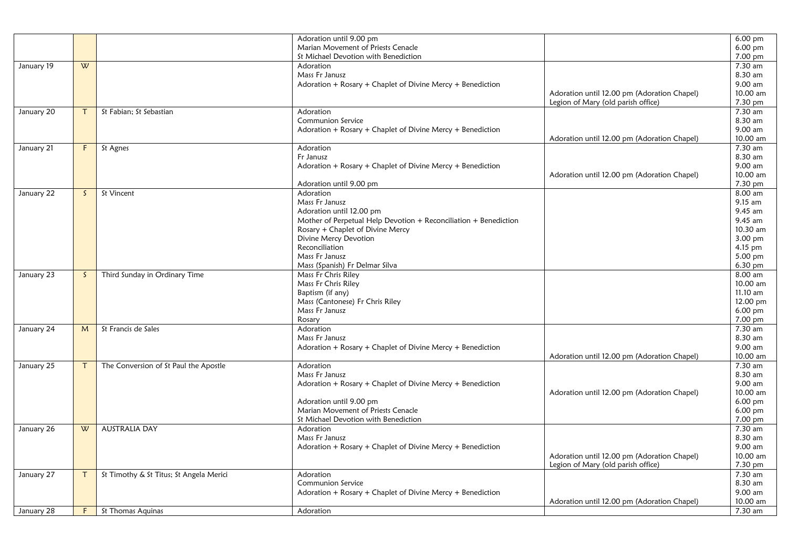|            |              |                                         | Adoration until 9.00 pm                                                                      |                                             | $6.00$ pm            |
|------------|--------------|-----------------------------------------|----------------------------------------------------------------------------------------------|---------------------------------------------|----------------------|
|            |              |                                         | Marian Movement of Priests Cenacle                                                           |                                             | 6.00 pm              |
|            |              |                                         | St Michael Devotion with Benediction                                                         |                                             | 7.00 pm              |
| January 19 | W            |                                         | Adoration                                                                                    |                                             | 7.30 am              |
|            |              |                                         | Mass Fr Janusz                                                                               |                                             | 8.30 am              |
|            |              |                                         | Adoration + Rosary + Chaplet of Divine Mercy + Benediction                                   |                                             | 9.00 am              |
|            |              |                                         |                                                                                              | Adoration until 12.00 pm (Adoration Chapel) | 10.00 am             |
|            |              |                                         |                                                                                              | Legion of Mary (old parish office)          | 7.30 pm              |
| January 20 | $\tau$       | St Fabian; St Sebastian                 | Adoration                                                                                    |                                             | 7.30 am              |
|            |              |                                         | Communion Service                                                                            |                                             | 8.30 am              |
|            |              |                                         | Adoration + Rosary + Chaplet of Divine Mercy + Benediction                                   |                                             | 9.00 am              |
|            |              |                                         |                                                                                              | Adoration until 12.00 pm (Adoration Chapel) | 10.00 am             |
| January 21 | F            | $\overline{St}$ Agnes                   | Adoration                                                                                    |                                             | 7.30 am              |
|            |              |                                         | Fr Janusz                                                                                    |                                             | 8.30 am              |
|            |              |                                         | Adoration + Rosary + Chaplet of Divine Mercy + Benediction                                   |                                             | $9.00$ am            |
|            |              |                                         |                                                                                              | Adoration until 12.00 pm (Adoration Chapel) | 10.00 am             |
|            |              |                                         | Adoration until 9.00 pm                                                                      |                                             | 7.30 pm              |
|            | $\mathsf{S}$ | St Vincent                              | Adoration                                                                                    |                                             | 8.00 am              |
| January 22 |              |                                         | Mass Fr Janusz                                                                               |                                             | 9.15 am              |
|            |              |                                         |                                                                                              |                                             | $9.45$ am            |
|            |              |                                         | Adoration until 12.00 pm<br>Mother of Perpetual Help Devotion + Reconciliation + Benediction |                                             | 9.45 am              |
|            |              |                                         | Rosary + Chaplet of Divine Mercy                                                             |                                             | 10.30 am             |
|            |              |                                         |                                                                                              |                                             |                      |
|            |              |                                         | Divine Mercy Devotion                                                                        |                                             | 3.00 pm              |
|            |              |                                         | Reconciliation                                                                               |                                             | $4.15$ pm            |
|            |              |                                         | Mass Fr Janusz                                                                               |                                             | 5.00 pm              |
|            |              |                                         | Mass (Spanish) Fr Delmar Silva                                                               |                                             | 6.30 pm              |
| January 23 | $\mathsf{S}$ | Third Sunday in Ordinary Time           | Mass Fr Chris Riley                                                                          |                                             | 8.00 am              |
|            |              |                                         | Mass Fr Chris Riley                                                                          |                                             | 10.00 am             |
|            |              |                                         | Baptism (if any)                                                                             |                                             | 11.10 am             |
|            |              |                                         | Mass (Cantonese) Fr Chris Riley                                                              |                                             | 12.00 pm             |
|            |              |                                         | Mass Fr Janusz                                                                               |                                             | 6.00 pm              |
|            |              |                                         | Rosary                                                                                       |                                             | 7.00 pm              |
| January 24 | M            | St Francis de Sales                     | Adoration                                                                                    |                                             | 7.30 am              |
|            |              |                                         | Mass Fr Janusz                                                                               |                                             | 8.30 am              |
|            |              |                                         | Adoration + Rosary + Chaplet of Divine Mercy + Benediction                                   |                                             | 9.00 am              |
|            |              |                                         |                                                                                              | Adoration until 12.00 pm (Adoration Chapel) | 10.00 am             |
| January 25 | T            | The Conversion of St Paul the Apostle   | Adoration                                                                                    |                                             | 7.30 am              |
|            |              |                                         | Mass Fr Janusz                                                                               |                                             | 8.30 am              |
|            |              |                                         | Adoration + Rosary + Chaplet of Divine Mercy + Benediction                                   |                                             | 9.00 am              |
|            |              |                                         |                                                                                              | Adoration until 12.00 pm (Adoration Chapel) | 10.00 am             |
|            |              |                                         | Adoration until 9.00 pm                                                                      |                                             | 6.00 pm              |
|            |              |                                         | Marian Movement of Priests Cenacle                                                           |                                             | $6.00 \,\mathrm{pm}$ |
|            |              |                                         | St Michael Devotion with Benediction                                                         |                                             | 7.00 pm              |
| January 26 | W            | <b>AUSTRALIA DAY</b>                    | Adoration                                                                                    |                                             | 7.30 am              |
|            |              |                                         | Mass Fr Janusz                                                                               |                                             | 8.30 am              |
|            |              |                                         | Adoration + Rosary + Chaplet of Divine Mercy + Benediction                                   |                                             | 9.00 am              |
|            |              |                                         |                                                                                              | Adoration until 12.00 pm (Adoration Chapel) | 10.00 am             |
|            |              |                                         |                                                                                              | Legion of Mary (old parish office)          | 7.30 pm              |
| January 27 | T.           | St Timothy & St Titus; St Angela Merici | Adoration                                                                                    |                                             | 7.30 am              |
|            |              |                                         | Communion Service                                                                            |                                             | 8.30 am              |
|            |              |                                         | Adoration + Rosary + Chaplet of Divine Mercy + Benediction                                   |                                             | 9.00 am              |
|            |              |                                         |                                                                                              | Adoration until 12.00 pm (Adoration Chapel) | 10.00 am             |
| January 28 | F            | St Thomas Aquinas                       | Adoration                                                                                    |                                             | 7.30 am              |
|            |              |                                         |                                                                                              |                                             |                      |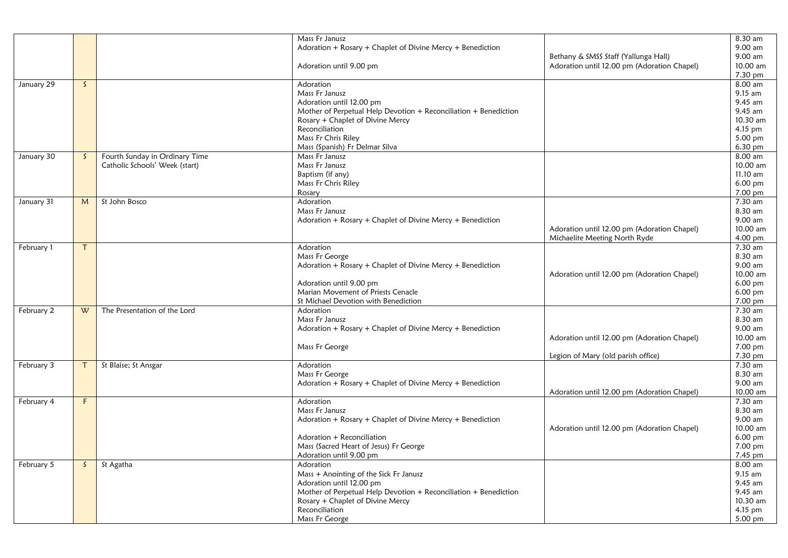|            |              |                                | Mass Fr Janusz                                                   |                                             | 8.30 am   |
|------------|--------------|--------------------------------|------------------------------------------------------------------|---------------------------------------------|-----------|
|            |              |                                |                                                                  |                                             | 9.00 am   |
|            |              |                                | Adoration + Rosary + Chaplet of Divine Mercy + Benediction       |                                             |           |
|            |              |                                |                                                                  | Bethany & SMSS Staff (Yallunga Hall)        | 9.00 am   |
|            |              |                                | Adoration until 9.00 pm                                          | Adoration until 12.00 pm (Adoration Chapel) | 10.00 am  |
|            |              |                                |                                                                  |                                             | 7.30 pm   |
| January 29 | $\mathsf{S}$ |                                | Adoration                                                        |                                             | 8.00 am   |
|            |              |                                | Mass Fr Janusz                                                   |                                             | $9.15$ am |
|            |              |                                | Adoration until 12.00 pm                                         |                                             | 9.45 am   |
|            |              |                                | Mother of Perpetual Help Devotion + Reconciliation + Benediction |                                             | 9.45 am   |
|            |              |                                | Rosary + Chaplet of Divine Mercy                                 |                                             | 10.30 am  |
|            |              |                                | Reconciliation                                                   |                                             | 4.15 pm   |
|            |              |                                | Mass Fr Chris Riley                                              |                                             | 5.00 pm   |
|            |              |                                | Mass (Spanish) Fr Delmar Silva                                   |                                             | 6.30 pm   |
| January 30 | S.           | Fourth Sunday in Ordinary Time | Mass Fr Janusz                                                   |                                             | 8.00 am   |
|            |              | Catholic Schools' Week (start) | Mass Fr Janusz                                                   |                                             | 10.00 am  |
|            |              |                                | Baptism (if any)                                                 |                                             | 11.10 am  |
|            |              |                                | Mass Fr Chris Riley                                              |                                             | 6.00 pm   |
|            |              |                                |                                                                  |                                             | 7.00 pm   |
|            |              |                                | Rosary                                                           |                                             |           |
| January 31 | M            | St John Bosco                  | Adoration                                                        |                                             | 7.30 am   |
|            |              |                                | Mass Fr Janusz                                                   |                                             | 8.30 am   |
|            |              |                                | Adoration + Rosary + Chaplet of Divine Mercy + Benediction       |                                             | 9.00 am   |
|            |              |                                |                                                                  | Adoration until 12.00 pm (Adoration Chapel) | 10.00 am  |
|            |              |                                |                                                                  | Michaelite Meeting North Ryde               | 4.00 pm   |
| February 1 | т            |                                | Adoration                                                        |                                             | $7.30$ am |
|            |              |                                | Mass Fr George                                                   |                                             | 8.30 am   |
|            |              |                                | Adoration + Rosary + Chaplet of Divine Mercy + Benediction       |                                             | 9.00 am   |
|            |              |                                |                                                                  | Adoration until 12.00 pm (Adoration Chapel) | 10.00 am  |
|            |              |                                | Adoration until 9.00 pm                                          |                                             | 6.00 pm   |
|            |              |                                | Marian Movement of Priests Cenacle                               |                                             | 6.00 pm   |
|            |              |                                | St Michael Devotion with Benediction                             |                                             | 7.00 pm   |
| February 2 | W            | The Presentation of the Lord   | Adoration                                                        |                                             | 7.30 am   |
|            |              |                                | Mass Fr Janusz                                                   |                                             | 8.30 am   |
|            |              |                                | Adoration + Rosary + Chaplet of Divine Mercy + Benediction       |                                             | 9.00 am   |
|            |              |                                |                                                                  | Adoration until 12.00 pm (Adoration Chapel) | 10.00 am  |
|            |              |                                | Mass Fr George                                                   |                                             | 7.00 pm   |
|            |              |                                |                                                                  | Legion of Mary (old parish office)          | 7.30 pm   |
| February 3 |              | St Blaise; St Ansgar           | Adoration                                                        |                                             | 7.30 am   |
|            |              |                                |                                                                  |                                             | 8.30 am   |
|            |              |                                | Mass Fr George                                                   |                                             |           |
|            |              |                                | Adoration + Rosary + Chaplet of Divine Mercy + Benediction       |                                             | 9.00 am   |
|            |              |                                |                                                                  | Adoration until 12.00 pm (Adoration Chapel) | 10.00 am  |
| February 4 | F            |                                | Adoration                                                        |                                             | 7.30 am   |
|            |              |                                | Mass Fr Janusz                                                   |                                             | 8.30 am   |
|            |              |                                | Adoration + Rosary + Chaplet of Divine Mercy + Benediction       |                                             | 9.00 am   |
|            |              |                                |                                                                  | Adoration until 12.00 pm (Adoration Chapel) | 10.00 am  |
|            |              |                                | Adoration + Reconciliation                                       |                                             | 6.00 pm   |
|            |              |                                | Mass (Sacred Heart of Jesus) Fr George                           |                                             | 7.00 pm   |
|            |              |                                | Adoration until 9.00 pm                                          |                                             | 7.45 pm   |
| February 5 | S.           | St Agatha                      | Adoration                                                        |                                             | 8.00 am   |
|            |              |                                | Mass + Anointing of the Sick Fr Janusz                           |                                             | 9.15 am   |
|            |              |                                | Adoration until 12.00 pm                                         |                                             | 9.45 am   |
|            |              |                                | Mother of Perpetual Help Devotion + Reconciliation + Benediction |                                             | 9.45 am   |
|            |              |                                | Rosary + Chaplet of Divine Mercy                                 |                                             | 10.30 am  |
|            |              |                                | Reconciliation                                                   |                                             | 4.15 pm   |
|            |              |                                | Mass Fr George                                                   |                                             | 5.00 pm   |
|            |              |                                |                                                                  |                                             |           |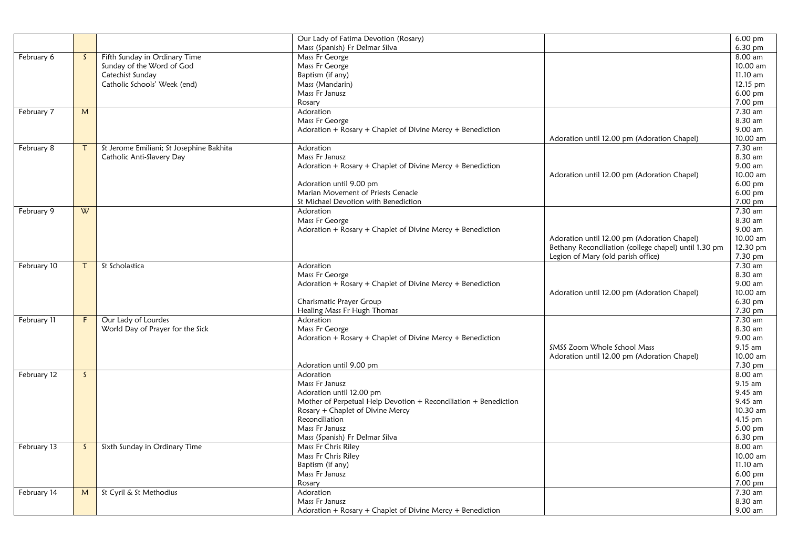|             |              |                                          | Our Lady of Fatima Devotion (Rosary)                             |                                                       | $6.00 \text{ pm}$    |
|-------------|--------------|------------------------------------------|------------------------------------------------------------------|-------------------------------------------------------|----------------------|
|             |              |                                          | Mass (Spanish) Fr Delmar Silva                                   |                                                       | $6.30 \text{ pm}$    |
| February 6  | $\mathsf{S}$ | Fifth Sunday in Ordinary Time            | Mass Fr George                                                   |                                                       | 8.00 am              |
|             |              | Sunday of the Word of God                | Mass Fr George                                                   |                                                       | 10.00 am             |
|             |              | Catechist Sunday                         | Baptism (if any)                                                 |                                                       | 11.10 am             |
|             |              | Catholic Schools' Week (end)             | Mass (Mandarin)                                                  |                                                       | 12.15 pm             |
|             |              |                                          | Mass Fr Janusz                                                   |                                                       | $6.00$ pm            |
|             |              |                                          | Rosary                                                           |                                                       | 7.00 pm              |
| February 7  | M            |                                          | Adoration                                                        |                                                       | 7.30 am              |
|             |              |                                          | Mass Fr George                                                   |                                                       | 8.30 am              |
|             |              |                                          | Adoration + Rosary + Chaplet of Divine Mercy + Benediction       |                                                       | 9.00 am              |
|             |              |                                          |                                                                  | Adoration until 12.00 pm (Adoration Chapel)           | 10.00 am             |
| February 8  |              | St Jerome Emiliani; St Josephine Bakhita | Adoration                                                        |                                                       | 7.30 am              |
|             |              | Catholic Anti-Slavery Day                | Mass Fr Janusz                                                   |                                                       | 8.30 am              |
|             |              |                                          | Adoration + Rosary + Chaplet of Divine Mercy + Benediction       |                                                       | 9.00 am              |
|             |              |                                          |                                                                  | Adoration until 12.00 pm (Adoration Chapel)           | 10.00 am             |
|             |              |                                          | Adoration until 9.00 pm                                          |                                                       | $6.00$ pm            |
|             |              |                                          | Marian Movement of Priests Cenacle                               |                                                       | 6.00 pm              |
|             |              |                                          | St Michael Devotion with Benediction                             |                                                       | 7.00 pm              |
| February 9  | W            |                                          | Adoration                                                        |                                                       | 7.30 am              |
|             |              |                                          | Mass Fr George                                                   |                                                       | 8.30 am              |
|             |              |                                          | Adoration + $R$ osary + Chaplet of Divine Mercy + Benediction    |                                                       | 9.00 am              |
|             |              |                                          |                                                                  | Adoration until 12.00 pm (Adoration Chapel)           | 10.00 am             |
|             |              |                                          |                                                                  | Bethany Reconciliation (college chapel) until 1.30 pm | 12.30 pm             |
|             |              |                                          |                                                                  | Legion of Mary (old parish office)                    | 7.30 pm              |
| February 10 |              | St Scholastica                           | Adoration                                                        |                                                       | 7.30 am              |
|             |              |                                          | Mass Fr George                                                   |                                                       | 8.30 am              |
|             |              |                                          | Adoration + Rosary + Chaplet of Divine Mercy + Benediction       |                                                       | 9.00 am              |
|             |              |                                          |                                                                  | Adoration until 12.00 pm (Adoration Chapel)           | 10.00 am             |
|             |              |                                          | Charismatic Prayer Group                                         |                                                       | 6.30 pm              |
|             |              |                                          | Healing Mass Fr Hugh Thomas                                      |                                                       | 7.30 pm              |
| February 11 | F            | Our Lady of Lourdes                      | Adoration                                                        |                                                       | 7.30 am              |
|             |              | World Day of Prayer for the Sick         | Mass Fr George                                                   |                                                       | 8.30 am              |
|             |              |                                          | Adoration + Rosary + Chaplet of Divine Mercy + Benediction       |                                                       | 9.00 am              |
|             |              |                                          |                                                                  | SMSS Zoom Whole School Mass                           | 9.15 am              |
|             |              |                                          |                                                                  | Adoration until 12.00 pm (Adoration Chapel)           | 10.00 am             |
|             |              |                                          | Adoration until 9.00 pm                                          |                                                       | 7.30 pm              |
| February 12 | $\mathsf{S}$ |                                          | Adoration                                                        |                                                       | 8.00 am              |
|             |              |                                          | Mass Fr Janusz                                                   |                                                       | $9.15$ am            |
|             |              |                                          | Adoration until 12.00 pm                                         |                                                       | 9.45 am              |
|             |              |                                          | Mother of Perpetual Help Devotion + Reconciliation + Benediction |                                                       | 9.45 am              |
|             |              |                                          | Rosary + Chaplet of Divine Mercy                                 |                                                       | 10.30 am             |
|             |              |                                          | Reconciliation                                                   |                                                       | 4.15 pm              |
|             |              |                                          | Mass Fr Janusz                                                   |                                                       | 5.00 pm              |
|             |              |                                          | Mass (Spanish) Fr Delmar Silva                                   |                                                       | 6.30 pm              |
| February 13 | S            | Sixth Sunday in Ordinary Time            | Mass Fr Chris Riley                                              |                                                       | 8.00 am              |
|             |              |                                          | Mass Fr Chris Riley                                              |                                                       | 10.00 am             |
|             |              |                                          | Baptism (if any)                                                 |                                                       | 11.10 am             |
|             |              |                                          | Mass Fr Janusz                                                   |                                                       | 6.00 pm              |
|             |              |                                          | Rosary                                                           |                                                       | $7.00 \,\mathrm{pm}$ |
| February 14 | M            | St Cyril & St Methodius                  | Adoration                                                        |                                                       | 7.30 am              |
|             |              |                                          | Mass Fr Janusz                                                   |                                                       | 8.30 am              |
|             |              |                                          | Adoration + Rosary + Chaplet of Divine Mercy + Benediction       |                                                       | 9.00 am              |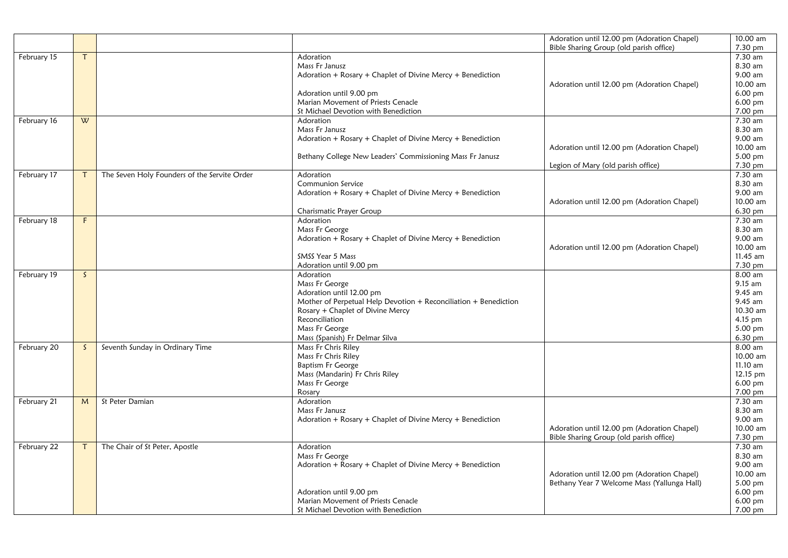| February 15<br>7.30 am<br>Adoration<br>т<br>Mass Fr Janusz<br>8.30 am<br>9.00 am<br>Adoration + Rosary + Chaplet of Divine Mercy + Benediction<br>10.00 am<br>Adoration until 12.00 pm (Adoration Chapel)<br>$6.00$ pm<br>Adoration until 9.00 pm<br>Marian Movement of Priests Cenacle<br>$6.00$ pm<br>St Michael Devotion with Benediction<br>7.00 pm<br>$\overline{\mathsf{w}}$<br>February 16<br>Adoration<br>7.30 am<br>Mass Fr Janusz<br>8.30 am<br>9.00 am<br>Adoration + Rosary + Chaplet of Divine Mercy + Benediction<br>Adoration until 12.00 pm (Adoration Chapel)<br>10.00 am<br>5.00 pm<br>Bethany College New Leaders' Commissioning Mass Fr Janusz<br>7.30 pm<br>Legion of Mary (old parish office)<br>7.30 am<br>February 17<br>The Seven Holy Founders of the Servite Order<br>Adoration<br>Communion Service<br>8.30 am<br>Adoration + Rosary + Chaplet of Divine Mercy + Benediction<br>9.00 am<br>10.00 am<br>Adoration until 12.00 pm (Adoration Chapel)<br>$6.30 \text{ pm}$<br>Charismatic Prayer Group<br>F.<br>Adoration<br>7.30 am<br>February 18<br>Mass Fr George<br>8.30 am<br>Adoration + Rosary + Chaplet of Divine Mercy + Benediction<br>9.00 am<br>Adoration until 12.00 pm (Adoration Chapel)<br>10.00 am<br><b>SMSS Year 5 Mass</b><br>$11.45$ am<br>7.30 pm<br>Adoration until 9.00 pm<br>8.00 am<br>February 19<br>$\mathsf{S}$<br>Adoration<br>Mass Fr George<br>$9.15$ am<br>9.45 am<br>Adoration until 12.00 pm<br>9.45 am<br>Mother of Perpetual Help Devotion + Reconciliation + Benediction<br>Rosary + Chaplet of Divine Mercy<br>10.30 am<br>Reconciliation<br>$4.15$ pm<br>Mass Fr George<br>5.00 pm<br>Mass (Spanish) Fr Delmar Silva<br>$6.30$ pm<br>$8.00$ am<br>Mass Fr Chris Riley<br>February 20<br>Seventh Sunday in Ordinary Time<br>S.<br>Mass Fr Chris Riley<br>10.00 am<br><b>Baptism Fr George</b><br>$11.10$ am<br>Mass (Mandarin) Fr Chris Riley<br>12.15 pm<br>Mass Fr George<br>$6.00 \text{ pm}$<br>7.00 pm<br>Rosary<br>7.30 am<br>St Peter Damian<br>February 21<br>M<br>Adoration<br>8.30 am<br>Mass Fr Janusz<br>9.00 am<br>Adoration + Rosary + Chaplet of Divine Mercy + Benediction<br>Adoration until 12.00 pm (Adoration Chapel)<br>10.00 am<br>Bible Sharing Group (old parish office)<br>7.30 pm<br>7.30 am<br>The Chair of St Peter, Apostle<br>February 22<br>Adoration<br>Τ<br>8.30 am<br>Mass Fr George<br>Adoration + Rosary + Chaplet of Divine Mercy + Benediction<br>9.00 am<br>Adoration until 12.00 pm (Adoration Chapel)<br>10.00 am<br>Bethany Year 7 Welcome Mass (Yallunga Hall)<br>5.00 pm<br>Adoration until 9.00 pm<br>6.00 pm<br>Marian Movement of Priests Cenacle<br>6.00 pm<br>St Michael Devotion with Benediction |  |  | Adoration until 12.00 pm (Adoration Chapel) | 10.00 am |
|----------------------------------------------------------------------------------------------------------------------------------------------------------------------------------------------------------------------------------------------------------------------------------------------------------------------------------------------------------------------------------------------------------------------------------------------------------------------------------------------------------------------------------------------------------------------------------------------------------------------------------------------------------------------------------------------------------------------------------------------------------------------------------------------------------------------------------------------------------------------------------------------------------------------------------------------------------------------------------------------------------------------------------------------------------------------------------------------------------------------------------------------------------------------------------------------------------------------------------------------------------------------------------------------------------------------------------------------------------------------------------------------------------------------------------------------------------------------------------------------------------------------------------------------------------------------------------------------------------------------------------------------------------------------------------------------------------------------------------------------------------------------------------------------------------------------------------------------------------------------------------------------------------------------------------------------------------------------------------------------------------------------------------------------------------------------------------------------------------------------------------------------------------------------------------------------------------------------------------------------------------------------------------------------------------------------------------------------------------------------------------------------------------------------------------------------------------------------------------------------------------------------------------------------------------------------------------------------------------------------------------------------------------------------------------------------------------------------|--|--|---------------------------------------------|----------|
|                                                                                                                                                                                                                                                                                                                                                                                                                                                                                                                                                                                                                                                                                                                                                                                                                                                                                                                                                                                                                                                                                                                                                                                                                                                                                                                                                                                                                                                                                                                                                                                                                                                                                                                                                                                                                                                                                                                                                                                                                                                                                                                                                                                                                                                                                                                                                                                                                                                                                                                                                                                                                                                                                                                      |  |  | Bible Sharing Group (old parish office)     | 7.30 pm  |
|                                                                                                                                                                                                                                                                                                                                                                                                                                                                                                                                                                                                                                                                                                                                                                                                                                                                                                                                                                                                                                                                                                                                                                                                                                                                                                                                                                                                                                                                                                                                                                                                                                                                                                                                                                                                                                                                                                                                                                                                                                                                                                                                                                                                                                                                                                                                                                                                                                                                                                                                                                                                                                                                                                                      |  |  |                                             |          |
|                                                                                                                                                                                                                                                                                                                                                                                                                                                                                                                                                                                                                                                                                                                                                                                                                                                                                                                                                                                                                                                                                                                                                                                                                                                                                                                                                                                                                                                                                                                                                                                                                                                                                                                                                                                                                                                                                                                                                                                                                                                                                                                                                                                                                                                                                                                                                                                                                                                                                                                                                                                                                                                                                                                      |  |  |                                             |          |
|                                                                                                                                                                                                                                                                                                                                                                                                                                                                                                                                                                                                                                                                                                                                                                                                                                                                                                                                                                                                                                                                                                                                                                                                                                                                                                                                                                                                                                                                                                                                                                                                                                                                                                                                                                                                                                                                                                                                                                                                                                                                                                                                                                                                                                                                                                                                                                                                                                                                                                                                                                                                                                                                                                                      |  |  |                                             |          |
|                                                                                                                                                                                                                                                                                                                                                                                                                                                                                                                                                                                                                                                                                                                                                                                                                                                                                                                                                                                                                                                                                                                                                                                                                                                                                                                                                                                                                                                                                                                                                                                                                                                                                                                                                                                                                                                                                                                                                                                                                                                                                                                                                                                                                                                                                                                                                                                                                                                                                                                                                                                                                                                                                                                      |  |  |                                             |          |
|                                                                                                                                                                                                                                                                                                                                                                                                                                                                                                                                                                                                                                                                                                                                                                                                                                                                                                                                                                                                                                                                                                                                                                                                                                                                                                                                                                                                                                                                                                                                                                                                                                                                                                                                                                                                                                                                                                                                                                                                                                                                                                                                                                                                                                                                                                                                                                                                                                                                                                                                                                                                                                                                                                                      |  |  |                                             |          |
|                                                                                                                                                                                                                                                                                                                                                                                                                                                                                                                                                                                                                                                                                                                                                                                                                                                                                                                                                                                                                                                                                                                                                                                                                                                                                                                                                                                                                                                                                                                                                                                                                                                                                                                                                                                                                                                                                                                                                                                                                                                                                                                                                                                                                                                                                                                                                                                                                                                                                                                                                                                                                                                                                                                      |  |  |                                             |          |
|                                                                                                                                                                                                                                                                                                                                                                                                                                                                                                                                                                                                                                                                                                                                                                                                                                                                                                                                                                                                                                                                                                                                                                                                                                                                                                                                                                                                                                                                                                                                                                                                                                                                                                                                                                                                                                                                                                                                                                                                                                                                                                                                                                                                                                                                                                                                                                                                                                                                                                                                                                                                                                                                                                                      |  |  |                                             |          |
|                                                                                                                                                                                                                                                                                                                                                                                                                                                                                                                                                                                                                                                                                                                                                                                                                                                                                                                                                                                                                                                                                                                                                                                                                                                                                                                                                                                                                                                                                                                                                                                                                                                                                                                                                                                                                                                                                                                                                                                                                                                                                                                                                                                                                                                                                                                                                                                                                                                                                                                                                                                                                                                                                                                      |  |  |                                             |          |
|                                                                                                                                                                                                                                                                                                                                                                                                                                                                                                                                                                                                                                                                                                                                                                                                                                                                                                                                                                                                                                                                                                                                                                                                                                                                                                                                                                                                                                                                                                                                                                                                                                                                                                                                                                                                                                                                                                                                                                                                                                                                                                                                                                                                                                                                                                                                                                                                                                                                                                                                                                                                                                                                                                                      |  |  |                                             |          |
|                                                                                                                                                                                                                                                                                                                                                                                                                                                                                                                                                                                                                                                                                                                                                                                                                                                                                                                                                                                                                                                                                                                                                                                                                                                                                                                                                                                                                                                                                                                                                                                                                                                                                                                                                                                                                                                                                                                                                                                                                                                                                                                                                                                                                                                                                                                                                                                                                                                                                                                                                                                                                                                                                                                      |  |  |                                             |          |
|                                                                                                                                                                                                                                                                                                                                                                                                                                                                                                                                                                                                                                                                                                                                                                                                                                                                                                                                                                                                                                                                                                                                                                                                                                                                                                                                                                                                                                                                                                                                                                                                                                                                                                                                                                                                                                                                                                                                                                                                                                                                                                                                                                                                                                                                                                                                                                                                                                                                                                                                                                                                                                                                                                                      |  |  |                                             |          |
|                                                                                                                                                                                                                                                                                                                                                                                                                                                                                                                                                                                                                                                                                                                                                                                                                                                                                                                                                                                                                                                                                                                                                                                                                                                                                                                                                                                                                                                                                                                                                                                                                                                                                                                                                                                                                                                                                                                                                                                                                                                                                                                                                                                                                                                                                                                                                                                                                                                                                                                                                                                                                                                                                                                      |  |  |                                             |          |
|                                                                                                                                                                                                                                                                                                                                                                                                                                                                                                                                                                                                                                                                                                                                                                                                                                                                                                                                                                                                                                                                                                                                                                                                                                                                                                                                                                                                                                                                                                                                                                                                                                                                                                                                                                                                                                                                                                                                                                                                                                                                                                                                                                                                                                                                                                                                                                                                                                                                                                                                                                                                                                                                                                                      |  |  |                                             |          |
|                                                                                                                                                                                                                                                                                                                                                                                                                                                                                                                                                                                                                                                                                                                                                                                                                                                                                                                                                                                                                                                                                                                                                                                                                                                                                                                                                                                                                                                                                                                                                                                                                                                                                                                                                                                                                                                                                                                                                                                                                                                                                                                                                                                                                                                                                                                                                                                                                                                                                                                                                                                                                                                                                                                      |  |  |                                             |          |
|                                                                                                                                                                                                                                                                                                                                                                                                                                                                                                                                                                                                                                                                                                                                                                                                                                                                                                                                                                                                                                                                                                                                                                                                                                                                                                                                                                                                                                                                                                                                                                                                                                                                                                                                                                                                                                                                                                                                                                                                                                                                                                                                                                                                                                                                                                                                                                                                                                                                                                                                                                                                                                                                                                                      |  |  |                                             |          |
|                                                                                                                                                                                                                                                                                                                                                                                                                                                                                                                                                                                                                                                                                                                                                                                                                                                                                                                                                                                                                                                                                                                                                                                                                                                                                                                                                                                                                                                                                                                                                                                                                                                                                                                                                                                                                                                                                                                                                                                                                                                                                                                                                                                                                                                                                                                                                                                                                                                                                                                                                                                                                                                                                                                      |  |  |                                             |          |
|                                                                                                                                                                                                                                                                                                                                                                                                                                                                                                                                                                                                                                                                                                                                                                                                                                                                                                                                                                                                                                                                                                                                                                                                                                                                                                                                                                                                                                                                                                                                                                                                                                                                                                                                                                                                                                                                                                                                                                                                                                                                                                                                                                                                                                                                                                                                                                                                                                                                                                                                                                                                                                                                                                                      |  |  |                                             |          |
|                                                                                                                                                                                                                                                                                                                                                                                                                                                                                                                                                                                                                                                                                                                                                                                                                                                                                                                                                                                                                                                                                                                                                                                                                                                                                                                                                                                                                                                                                                                                                                                                                                                                                                                                                                                                                                                                                                                                                                                                                                                                                                                                                                                                                                                                                                                                                                                                                                                                                                                                                                                                                                                                                                                      |  |  |                                             |          |
|                                                                                                                                                                                                                                                                                                                                                                                                                                                                                                                                                                                                                                                                                                                                                                                                                                                                                                                                                                                                                                                                                                                                                                                                                                                                                                                                                                                                                                                                                                                                                                                                                                                                                                                                                                                                                                                                                                                                                                                                                                                                                                                                                                                                                                                                                                                                                                                                                                                                                                                                                                                                                                                                                                                      |  |  |                                             |          |
|                                                                                                                                                                                                                                                                                                                                                                                                                                                                                                                                                                                                                                                                                                                                                                                                                                                                                                                                                                                                                                                                                                                                                                                                                                                                                                                                                                                                                                                                                                                                                                                                                                                                                                                                                                                                                                                                                                                                                                                                                                                                                                                                                                                                                                                                                                                                                                                                                                                                                                                                                                                                                                                                                                                      |  |  |                                             |          |
|                                                                                                                                                                                                                                                                                                                                                                                                                                                                                                                                                                                                                                                                                                                                                                                                                                                                                                                                                                                                                                                                                                                                                                                                                                                                                                                                                                                                                                                                                                                                                                                                                                                                                                                                                                                                                                                                                                                                                                                                                                                                                                                                                                                                                                                                                                                                                                                                                                                                                                                                                                                                                                                                                                                      |  |  |                                             |          |
|                                                                                                                                                                                                                                                                                                                                                                                                                                                                                                                                                                                                                                                                                                                                                                                                                                                                                                                                                                                                                                                                                                                                                                                                                                                                                                                                                                                                                                                                                                                                                                                                                                                                                                                                                                                                                                                                                                                                                                                                                                                                                                                                                                                                                                                                                                                                                                                                                                                                                                                                                                                                                                                                                                                      |  |  |                                             |          |
|                                                                                                                                                                                                                                                                                                                                                                                                                                                                                                                                                                                                                                                                                                                                                                                                                                                                                                                                                                                                                                                                                                                                                                                                                                                                                                                                                                                                                                                                                                                                                                                                                                                                                                                                                                                                                                                                                                                                                                                                                                                                                                                                                                                                                                                                                                                                                                                                                                                                                                                                                                                                                                                                                                                      |  |  |                                             |          |
|                                                                                                                                                                                                                                                                                                                                                                                                                                                                                                                                                                                                                                                                                                                                                                                                                                                                                                                                                                                                                                                                                                                                                                                                                                                                                                                                                                                                                                                                                                                                                                                                                                                                                                                                                                                                                                                                                                                                                                                                                                                                                                                                                                                                                                                                                                                                                                                                                                                                                                                                                                                                                                                                                                                      |  |  |                                             |          |
|                                                                                                                                                                                                                                                                                                                                                                                                                                                                                                                                                                                                                                                                                                                                                                                                                                                                                                                                                                                                                                                                                                                                                                                                                                                                                                                                                                                                                                                                                                                                                                                                                                                                                                                                                                                                                                                                                                                                                                                                                                                                                                                                                                                                                                                                                                                                                                                                                                                                                                                                                                                                                                                                                                                      |  |  |                                             |          |
|                                                                                                                                                                                                                                                                                                                                                                                                                                                                                                                                                                                                                                                                                                                                                                                                                                                                                                                                                                                                                                                                                                                                                                                                                                                                                                                                                                                                                                                                                                                                                                                                                                                                                                                                                                                                                                                                                                                                                                                                                                                                                                                                                                                                                                                                                                                                                                                                                                                                                                                                                                                                                                                                                                                      |  |  |                                             |          |
|                                                                                                                                                                                                                                                                                                                                                                                                                                                                                                                                                                                                                                                                                                                                                                                                                                                                                                                                                                                                                                                                                                                                                                                                                                                                                                                                                                                                                                                                                                                                                                                                                                                                                                                                                                                                                                                                                                                                                                                                                                                                                                                                                                                                                                                                                                                                                                                                                                                                                                                                                                                                                                                                                                                      |  |  |                                             |          |
|                                                                                                                                                                                                                                                                                                                                                                                                                                                                                                                                                                                                                                                                                                                                                                                                                                                                                                                                                                                                                                                                                                                                                                                                                                                                                                                                                                                                                                                                                                                                                                                                                                                                                                                                                                                                                                                                                                                                                                                                                                                                                                                                                                                                                                                                                                                                                                                                                                                                                                                                                                                                                                                                                                                      |  |  |                                             |          |
|                                                                                                                                                                                                                                                                                                                                                                                                                                                                                                                                                                                                                                                                                                                                                                                                                                                                                                                                                                                                                                                                                                                                                                                                                                                                                                                                                                                                                                                                                                                                                                                                                                                                                                                                                                                                                                                                                                                                                                                                                                                                                                                                                                                                                                                                                                                                                                                                                                                                                                                                                                                                                                                                                                                      |  |  |                                             |          |
|                                                                                                                                                                                                                                                                                                                                                                                                                                                                                                                                                                                                                                                                                                                                                                                                                                                                                                                                                                                                                                                                                                                                                                                                                                                                                                                                                                                                                                                                                                                                                                                                                                                                                                                                                                                                                                                                                                                                                                                                                                                                                                                                                                                                                                                                                                                                                                                                                                                                                                                                                                                                                                                                                                                      |  |  |                                             |          |
|                                                                                                                                                                                                                                                                                                                                                                                                                                                                                                                                                                                                                                                                                                                                                                                                                                                                                                                                                                                                                                                                                                                                                                                                                                                                                                                                                                                                                                                                                                                                                                                                                                                                                                                                                                                                                                                                                                                                                                                                                                                                                                                                                                                                                                                                                                                                                                                                                                                                                                                                                                                                                                                                                                                      |  |  |                                             |          |
|                                                                                                                                                                                                                                                                                                                                                                                                                                                                                                                                                                                                                                                                                                                                                                                                                                                                                                                                                                                                                                                                                                                                                                                                                                                                                                                                                                                                                                                                                                                                                                                                                                                                                                                                                                                                                                                                                                                                                                                                                                                                                                                                                                                                                                                                                                                                                                                                                                                                                                                                                                                                                                                                                                                      |  |  |                                             |          |
|                                                                                                                                                                                                                                                                                                                                                                                                                                                                                                                                                                                                                                                                                                                                                                                                                                                                                                                                                                                                                                                                                                                                                                                                                                                                                                                                                                                                                                                                                                                                                                                                                                                                                                                                                                                                                                                                                                                                                                                                                                                                                                                                                                                                                                                                                                                                                                                                                                                                                                                                                                                                                                                                                                                      |  |  |                                             |          |
|                                                                                                                                                                                                                                                                                                                                                                                                                                                                                                                                                                                                                                                                                                                                                                                                                                                                                                                                                                                                                                                                                                                                                                                                                                                                                                                                                                                                                                                                                                                                                                                                                                                                                                                                                                                                                                                                                                                                                                                                                                                                                                                                                                                                                                                                                                                                                                                                                                                                                                                                                                                                                                                                                                                      |  |  |                                             |          |
|                                                                                                                                                                                                                                                                                                                                                                                                                                                                                                                                                                                                                                                                                                                                                                                                                                                                                                                                                                                                                                                                                                                                                                                                                                                                                                                                                                                                                                                                                                                                                                                                                                                                                                                                                                                                                                                                                                                                                                                                                                                                                                                                                                                                                                                                                                                                                                                                                                                                                                                                                                                                                                                                                                                      |  |  |                                             |          |
|                                                                                                                                                                                                                                                                                                                                                                                                                                                                                                                                                                                                                                                                                                                                                                                                                                                                                                                                                                                                                                                                                                                                                                                                                                                                                                                                                                                                                                                                                                                                                                                                                                                                                                                                                                                                                                                                                                                                                                                                                                                                                                                                                                                                                                                                                                                                                                                                                                                                                                                                                                                                                                                                                                                      |  |  |                                             |          |
|                                                                                                                                                                                                                                                                                                                                                                                                                                                                                                                                                                                                                                                                                                                                                                                                                                                                                                                                                                                                                                                                                                                                                                                                                                                                                                                                                                                                                                                                                                                                                                                                                                                                                                                                                                                                                                                                                                                                                                                                                                                                                                                                                                                                                                                                                                                                                                                                                                                                                                                                                                                                                                                                                                                      |  |  |                                             |          |
|                                                                                                                                                                                                                                                                                                                                                                                                                                                                                                                                                                                                                                                                                                                                                                                                                                                                                                                                                                                                                                                                                                                                                                                                                                                                                                                                                                                                                                                                                                                                                                                                                                                                                                                                                                                                                                                                                                                                                                                                                                                                                                                                                                                                                                                                                                                                                                                                                                                                                                                                                                                                                                                                                                                      |  |  |                                             |          |
|                                                                                                                                                                                                                                                                                                                                                                                                                                                                                                                                                                                                                                                                                                                                                                                                                                                                                                                                                                                                                                                                                                                                                                                                                                                                                                                                                                                                                                                                                                                                                                                                                                                                                                                                                                                                                                                                                                                                                                                                                                                                                                                                                                                                                                                                                                                                                                                                                                                                                                                                                                                                                                                                                                                      |  |  |                                             |          |
|                                                                                                                                                                                                                                                                                                                                                                                                                                                                                                                                                                                                                                                                                                                                                                                                                                                                                                                                                                                                                                                                                                                                                                                                                                                                                                                                                                                                                                                                                                                                                                                                                                                                                                                                                                                                                                                                                                                                                                                                                                                                                                                                                                                                                                                                                                                                                                                                                                                                                                                                                                                                                                                                                                                      |  |  |                                             |          |
|                                                                                                                                                                                                                                                                                                                                                                                                                                                                                                                                                                                                                                                                                                                                                                                                                                                                                                                                                                                                                                                                                                                                                                                                                                                                                                                                                                                                                                                                                                                                                                                                                                                                                                                                                                                                                                                                                                                                                                                                                                                                                                                                                                                                                                                                                                                                                                                                                                                                                                                                                                                                                                                                                                                      |  |  |                                             |          |
|                                                                                                                                                                                                                                                                                                                                                                                                                                                                                                                                                                                                                                                                                                                                                                                                                                                                                                                                                                                                                                                                                                                                                                                                                                                                                                                                                                                                                                                                                                                                                                                                                                                                                                                                                                                                                                                                                                                                                                                                                                                                                                                                                                                                                                                                                                                                                                                                                                                                                                                                                                                                                                                                                                                      |  |  |                                             |          |
|                                                                                                                                                                                                                                                                                                                                                                                                                                                                                                                                                                                                                                                                                                                                                                                                                                                                                                                                                                                                                                                                                                                                                                                                                                                                                                                                                                                                                                                                                                                                                                                                                                                                                                                                                                                                                                                                                                                                                                                                                                                                                                                                                                                                                                                                                                                                                                                                                                                                                                                                                                                                                                                                                                                      |  |  |                                             |          |
|                                                                                                                                                                                                                                                                                                                                                                                                                                                                                                                                                                                                                                                                                                                                                                                                                                                                                                                                                                                                                                                                                                                                                                                                                                                                                                                                                                                                                                                                                                                                                                                                                                                                                                                                                                                                                                                                                                                                                                                                                                                                                                                                                                                                                                                                                                                                                                                                                                                                                                                                                                                                                                                                                                                      |  |  |                                             |          |
|                                                                                                                                                                                                                                                                                                                                                                                                                                                                                                                                                                                                                                                                                                                                                                                                                                                                                                                                                                                                                                                                                                                                                                                                                                                                                                                                                                                                                                                                                                                                                                                                                                                                                                                                                                                                                                                                                                                                                                                                                                                                                                                                                                                                                                                                                                                                                                                                                                                                                                                                                                                                                                                                                                                      |  |  |                                             |          |
|                                                                                                                                                                                                                                                                                                                                                                                                                                                                                                                                                                                                                                                                                                                                                                                                                                                                                                                                                                                                                                                                                                                                                                                                                                                                                                                                                                                                                                                                                                                                                                                                                                                                                                                                                                                                                                                                                                                                                                                                                                                                                                                                                                                                                                                                                                                                                                                                                                                                                                                                                                                                                                                                                                                      |  |  |                                             |          |
|                                                                                                                                                                                                                                                                                                                                                                                                                                                                                                                                                                                                                                                                                                                                                                                                                                                                                                                                                                                                                                                                                                                                                                                                                                                                                                                                                                                                                                                                                                                                                                                                                                                                                                                                                                                                                                                                                                                                                                                                                                                                                                                                                                                                                                                                                                                                                                                                                                                                                                                                                                                                                                                                                                                      |  |  |                                             |          |
|                                                                                                                                                                                                                                                                                                                                                                                                                                                                                                                                                                                                                                                                                                                                                                                                                                                                                                                                                                                                                                                                                                                                                                                                                                                                                                                                                                                                                                                                                                                                                                                                                                                                                                                                                                                                                                                                                                                                                                                                                                                                                                                                                                                                                                                                                                                                                                                                                                                                                                                                                                                                                                                                                                                      |  |  |                                             |          |
|                                                                                                                                                                                                                                                                                                                                                                                                                                                                                                                                                                                                                                                                                                                                                                                                                                                                                                                                                                                                                                                                                                                                                                                                                                                                                                                                                                                                                                                                                                                                                                                                                                                                                                                                                                                                                                                                                                                                                                                                                                                                                                                                                                                                                                                                                                                                                                                                                                                                                                                                                                                                                                                                                                                      |  |  |                                             |          |
|                                                                                                                                                                                                                                                                                                                                                                                                                                                                                                                                                                                                                                                                                                                                                                                                                                                                                                                                                                                                                                                                                                                                                                                                                                                                                                                                                                                                                                                                                                                                                                                                                                                                                                                                                                                                                                                                                                                                                                                                                                                                                                                                                                                                                                                                                                                                                                                                                                                                                                                                                                                                                                                                                                                      |  |  |                                             |          |
|                                                                                                                                                                                                                                                                                                                                                                                                                                                                                                                                                                                                                                                                                                                                                                                                                                                                                                                                                                                                                                                                                                                                                                                                                                                                                                                                                                                                                                                                                                                                                                                                                                                                                                                                                                                                                                                                                                                                                                                                                                                                                                                                                                                                                                                                                                                                                                                                                                                                                                                                                                                                                                                                                                                      |  |  |                                             |          |
|                                                                                                                                                                                                                                                                                                                                                                                                                                                                                                                                                                                                                                                                                                                                                                                                                                                                                                                                                                                                                                                                                                                                                                                                                                                                                                                                                                                                                                                                                                                                                                                                                                                                                                                                                                                                                                                                                                                                                                                                                                                                                                                                                                                                                                                                                                                                                                                                                                                                                                                                                                                                                                                                                                                      |  |  |                                             | 7.00 pm  |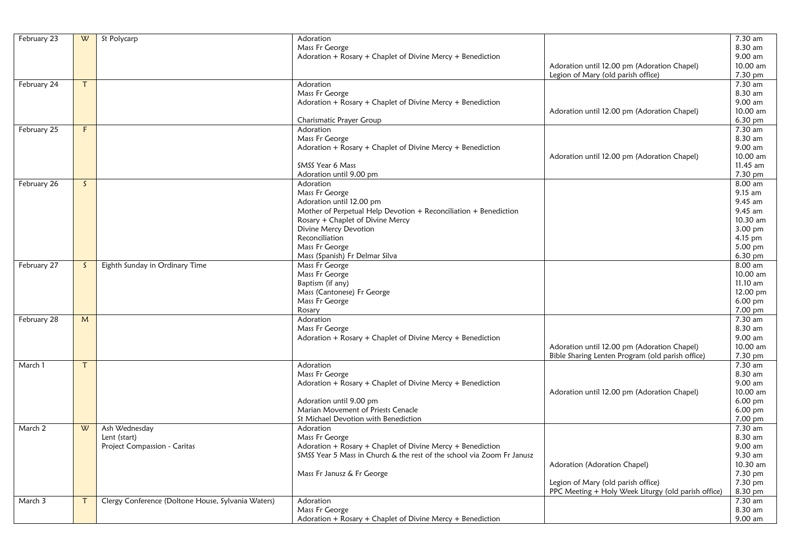| February 23 | W  | St Polycarp                                        | Adoration                                                              |                                                     | 7.30 am            |
|-------------|----|----------------------------------------------------|------------------------------------------------------------------------|-----------------------------------------------------|--------------------|
|             |    |                                                    | Mass Fr George                                                         |                                                     | 8.30 am            |
|             |    |                                                    | Adoration + Rosary + Chaplet of Divine Mercy + Benediction             |                                                     | 9.00 am            |
|             |    |                                                    |                                                                        | Adoration until 12.00 pm (Adoration Chapel)         | 10.00 am           |
|             |    |                                                    |                                                                        | Legion of Mary (old parish office)                  | 7.30 pm            |
| February 24 |    |                                                    | Adoration                                                              |                                                     | 7.30 am            |
|             |    |                                                    | Mass Fr George                                                         |                                                     | 8.30 am            |
|             |    |                                                    | Adoration + Rosary + Chaplet of Divine Mercy + Benediction             |                                                     | 9.00 am            |
|             |    |                                                    |                                                                        | Adoration until 12.00 pm (Adoration Chapel)         | 10.00 am           |
|             |    |                                                    | Charismatic Prayer Group                                               |                                                     | 6.30 pm            |
| February 25 | F  |                                                    | Adoration                                                              |                                                     | 7.30 am            |
|             |    |                                                    | Mass Fr George                                                         |                                                     | 8.30 am            |
|             |    |                                                    | Adoration + Rosary + Chaplet of Divine Mercy + Benediction             |                                                     | 9.00 am            |
|             |    |                                                    |                                                                        | Adoration until 12.00 pm (Adoration Chapel)         | 10.00 am           |
|             |    |                                                    | <b>SMSS Year 6 Mass</b>                                                |                                                     | 11.45 am           |
|             |    |                                                    | Adoration until 9.00 pm                                                |                                                     | 7.30 pm            |
| February 26 | S. |                                                    | Adoration                                                              |                                                     | 8.00 am            |
|             |    |                                                    | Mass Fr George                                                         |                                                     | 9.15 am            |
|             |    |                                                    | Adoration until 12.00 pm                                               |                                                     | $9.45$ am          |
|             |    |                                                    | Mother of Perpetual Help Devotion + Reconciliation + Benediction       |                                                     | 9.45 am            |
|             |    |                                                    | Rosary + Chaplet of Divine Mercy                                       |                                                     | 10.30 am           |
|             |    |                                                    | Divine Mercy Devotion                                                  |                                                     | 3.00 pm            |
|             |    |                                                    | Reconciliation                                                         |                                                     |                    |
|             |    |                                                    | Mass Fr George                                                         |                                                     | 4.15 pm<br>5.00 pm |
|             |    |                                                    | Mass (Spanish) Fr Delmar Silva                                         |                                                     | 6.30 pm            |
| February 27 |    | Eighth Sunday in Ordinary Time                     | Mass Fr George                                                         |                                                     | $8.00$ am          |
|             | S. |                                                    | Mass Fr George                                                         |                                                     | 10.00 am           |
|             |    |                                                    | Baptism (if any)                                                       |                                                     | 11.10 am           |
|             |    |                                                    | Mass (Cantonese) Fr George                                             |                                                     | 12.00 pm           |
|             |    |                                                    |                                                                        |                                                     |                    |
|             |    |                                                    | Mass Fr George                                                         |                                                     | 6.00 pm<br>7.00 pm |
|             |    |                                                    | Rosary                                                                 |                                                     | 7.30 am            |
| February 28 | M  |                                                    | Adoration                                                              |                                                     | 8.30 am            |
|             |    |                                                    | Mass Fr George                                                         |                                                     | 9.00 am            |
|             |    |                                                    | Adoration + Rosary + Chaplet of Divine Mercy + Benediction             |                                                     | 10.00 am           |
|             |    |                                                    |                                                                        | Adoration until 12.00 pm (Adoration Chapel)         |                    |
|             |    |                                                    |                                                                        | Bible Sharing Lenten Program (old parish office)    | 7.30 pm            |
| March 1     |    |                                                    | Adoration                                                              |                                                     | 7.30 am            |
|             |    |                                                    | Mass Fr George                                                         |                                                     | 8.30 am<br>9.00 am |
|             |    |                                                    | Adoration + Rosary + Chaplet of Divine Mercy + Benediction             |                                                     |                    |
|             |    |                                                    |                                                                        | Adoration until 12.00 pm (Adoration Chapel)         | 10.00 am           |
|             |    |                                                    | Adoration until 9.00 pm<br>Marian Movement of Priests Cenacle          |                                                     | 6.00 pm            |
|             |    |                                                    |                                                                        |                                                     | 6.00 pm            |
|             |    |                                                    | St Michael Devotion with Benediction                                   |                                                     | 7.00 pm            |
| March 2     | W  | Ash Wednesday                                      | Adoration                                                              |                                                     | 7.30 am            |
|             |    | Lent (start)                                       | Mass Fr George                                                         |                                                     | 8.30 am            |
|             |    | Project Compassion - Caritas                       | Adoration + Rosary + Chaplet of Divine Mercy + Benediction             |                                                     | 9.00 am            |
|             |    |                                                    | SMSS Year 5 Mass in Church & the rest of the school via Zoom Fr Janusz |                                                     | 9.30 am            |
|             |    |                                                    |                                                                        | Adoration (Adoration Chapel)                        | 10.30 am           |
|             |    |                                                    | Mass Fr Janusz & Fr George                                             |                                                     | 7.30 pm            |
|             |    |                                                    |                                                                        | Legion of Mary (old parish office)                  | 7.30 pm            |
|             |    |                                                    |                                                                        | PPC Meeting + Holy Week Liturgy (old parish office) | 8.30 pm            |
| March 3     |    | Clergy Conference (Doltone House, Sylvania Waters) | Adoration                                                              |                                                     | 7.30 am            |
|             |    |                                                    | Mass Fr George                                                         |                                                     | 8.30 am            |
|             |    |                                                    | Adoration + Rosary + Chaplet of Divine Mercy + Benediction             |                                                     | 9.00 am            |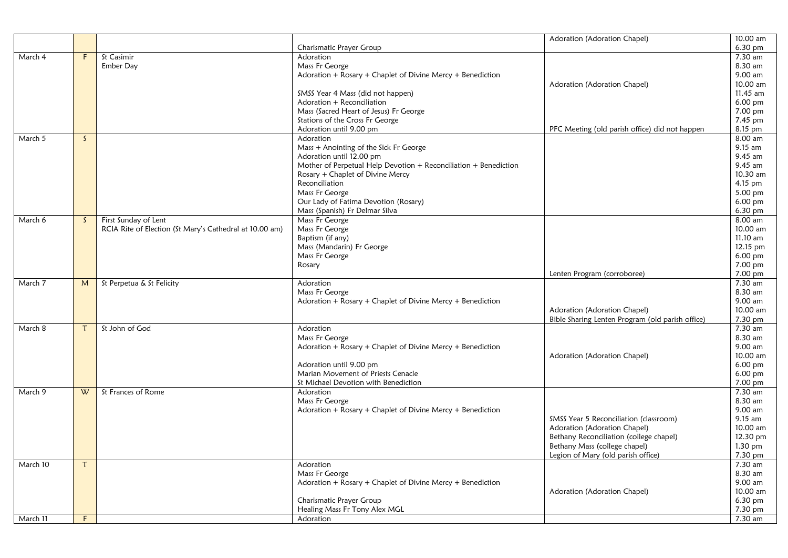|          |              |                                                         |                                                                  | Adoration (Adoration Chapel)                     | 10.00 am             |
|----------|--------------|---------------------------------------------------------|------------------------------------------------------------------|--------------------------------------------------|----------------------|
|          |              |                                                         | Charismatic Prayer Group                                         |                                                  | 6.30 pm              |
| March 4  | F            | St Casimir                                              | Adoration                                                        |                                                  | $7.30$ am            |
|          |              | Ember Day                                               | Mass Fr George                                                   |                                                  | 8.30 am              |
|          |              |                                                         | Adoration + Rosary + Chaplet of Divine Mercy + Benediction       |                                                  | 9.00 am              |
|          |              |                                                         |                                                                  | Adoration (Adoration Chapel)                     | 10.00 am             |
|          |              |                                                         | SMSS Year 4 Mass (did not happen)                                |                                                  | 11.45 am             |
|          |              |                                                         | Adoration + Reconciliation                                       |                                                  | 6.00 pm              |
|          |              |                                                         | Mass (Sacred Heart of Jesus) Fr George                           |                                                  | 7.00 pm              |
|          |              |                                                         | Stations of the Cross Fr George                                  |                                                  | 7.45 pm              |
|          |              |                                                         | Adoration until 9.00 pm                                          | PFC Meeting (old parish office) did not happen   | 8.15 pm              |
| March 5  | $\mathsf{S}$ |                                                         | Adoration                                                        |                                                  | 8.00 am              |
|          |              |                                                         | Mass + Anointing of the Sick Fr George                           |                                                  | 9.15 am              |
|          |              |                                                         | Adoration until 12.00 pm                                         |                                                  | 9.45 am              |
|          |              |                                                         | Mother of Perpetual Help Devotion + Reconciliation + Benediction |                                                  | 9.45 am              |
|          |              |                                                         | Rosary + Chaplet of Divine Mercy                                 |                                                  | 10.30 am             |
|          |              |                                                         | Reconciliation                                                   |                                                  | 4.15 pm              |
|          |              |                                                         | Mass Fr George                                                   |                                                  | 5.00 pm              |
|          |              |                                                         | Our Lady of Fatima Devotion (Rosary)                             |                                                  | $6.00$ pm            |
|          |              |                                                         | Mass (Spanish) Fr Delmar Silva                                   |                                                  | $6.30$ pm            |
| March 6  | $\mathsf{S}$ | First Sunday of Lent                                    | Mass Fr George                                                   |                                                  | 8.00 am              |
|          |              | RCIA Rite of Election (St Mary's Cathedral at 10.00 am) | Mass Fr George                                                   |                                                  | 10.00 am             |
|          |              |                                                         | Baptism (if any)                                                 |                                                  | 11.10 am             |
|          |              |                                                         | Mass (Mandarin) Fr George                                        |                                                  | 12.15 pm             |
|          |              |                                                         | Mass Fr George                                                   |                                                  | $6.00 \text{ pm}$    |
|          |              |                                                         | Rosary                                                           |                                                  | $7.00 \,\mathrm{pm}$ |
|          |              |                                                         |                                                                  | Lenten Program (corroboree)                      | 7.00 pm              |
| March 7  | M            | St Perpetua & St Felicity                               | Adoration                                                        |                                                  | $7.30$ am            |
|          |              |                                                         | Mass Fr George                                                   |                                                  | 8.30 am              |
|          |              |                                                         | Adoration + Rosary + Chaplet of Divine Mercy + Benediction       |                                                  | 9.00 am              |
|          |              |                                                         |                                                                  | Adoration (Adoration Chapel)                     | 10.00 am             |
|          |              |                                                         |                                                                  | Bible Sharing Lenten Program (old parish office) | 7.30 pm              |
| March 8  | $\tau$       | St John of God                                          | Adoration                                                        |                                                  | 7.30 am              |
|          |              |                                                         | Mass Fr George                                                   |                                                  | 8.30 am              |
|          |              |                                                         | Adoration + Rosary + Chaplet of Divine Mercy + Benediction       |                                                  | 9.00 am              |
|          |              |                                                         |                                                                  | Adoration (Adoration Chapel)                     | 10.00 am             |
|          |              |                                                         | Adoration until 9.00 pm                                          |                                                  | 6.00 pm              |
|          |              |                                                         | Marian Movement of Priests Cenacle                               |                                                  | $6.00$ pm            |
|          |              |                                                         | St Michael Devotion with Benediction                             |                                                  | 7.00 pm              |
| March 9  | W            | St Frances of Rome                                      | Adoration                                                        |                                                  | 7.30 am              |
|          |              |                                                         | Mass Fr George                                                   |                                                  | 8.30 am              |
|          |              |                                                         | Adoration + Rosary + Chaplet of Divine Mercy + Benediction       |                                                  | 9.00 am              |
|          |              |                                                         |                                                                  | SMSS Year 5 Reconciliation (classroom)           | 9.15 am              |
|          |              |                                                         |                                                                  | Adoration (Adoration Chapel)                     | 10.00 am             |
|          |              |                                                         |                                                                  | Bethany Reconciliation (college chapel)          | 12.30 pm             |
|          |              |                                                         |                                                                  | Bethany Mass (college chapel)                    | 1.30 pm              |
|          |              |                                                         |                                                                  | Legion of Mary (old parish office)               | 7.30 pm              |
| March 10 | T            |                                                         | Adoration                                                        |                                                  | 7.30 am              |
|          |              |                                                         | Mass Fr George                                                   |                                                  | 8.30 am              |
|          |              |                                                         | Adoration + Rosary + Chaplet of Divine Mercy + Benediction       |                                                  | $9.00$ am            |
|          |              |                                                         |                                                                  | Adoration (Adoration Chapel)                     | 10.00 am             |
|          |              |                                                         | Charismatic Prayer Group                                         |                                                  | 6.30 pm              |
|          |              |                                                         | Healing Mass Fr Tony Alex MGL                                    |                                                  | 7.30 pm              |
| March 11 | F.           |                                                         | Adoration                                                        |                                                  | 7.30 am              |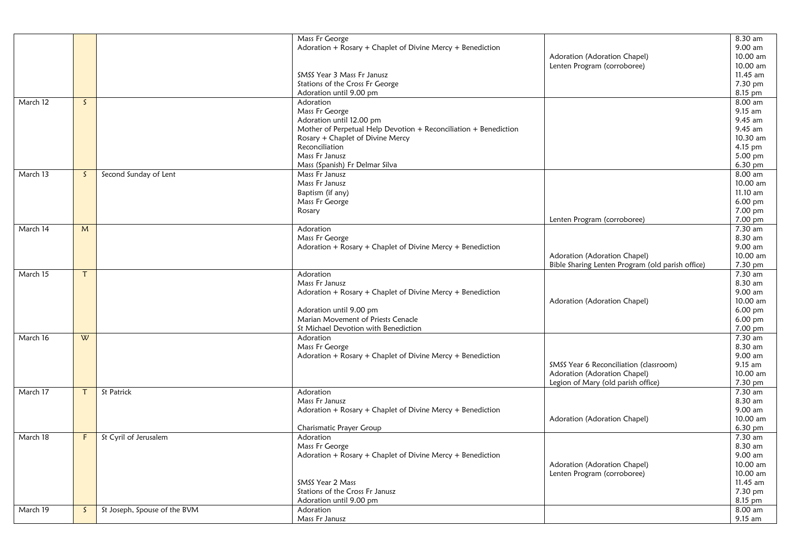|          |              |                              | Mass Fr George                                                   |                                                  | 8.30 am   |
|----------|--------------|------------------------------|------------------------------------------------------------------|--------------------------------------------------|-----------|
|          |              |                              | Adoration + Rosary + Chaplet of Divine Mercy + Benediction       |                                                  | 9.00 am   |
|          |              |                              |                                                                  | Adoration (Adoration Chapel)                     | 10.00 am  |
|          |              |                              |                                                                  | Lenten Program (corroboree)                      | 10.00 am  |
|          |              |                              | SMSS Year 3 Mass Fr Janusz                                       |                                                  | 11.45 am  |
|          |              |                              | Stations of the Cross Fr George                                  |                                                  | 7.30 pm   |
|          |              |                              | Adoration until 9.00 pm                                          |                                                  | 8.15 pm   |
| March 12 | $\mathsf{S}$ |                              | Adoration                                                        |                                                  | 8.00 am   |
|          |              |                              | Mass Fr George                                                   |                                                  | 9.15 am   |
|          |              |                              | Adoration until 12.00 pm                                         |                                                  | 9.45 am   |
|          |              |                              | Mother of Perpetual Help Devotion + Reconciliation + Benediction |                                                  | 9.45 am   |
|          |              |                              | Rosary + Chaplet of Divine Mercy                                 |                                                  | 10.30 am  |
|          |              |                              | Reconciliation                                                   |                                                  | 4.15 pm   |
|          |              |                              | Mass Fr Janusz                                                   |                                                  | 5.00 pm   |
|          |              |                              | Mass (Spanish) Fr Delmar Silva                                   |                                                  | 6.30 pm   |
| March 13 | S.           | Second Sunday of Lent        | Mass Fr Janusz                                                   |                                                  | 8.00 am   |
|          |              |                              | Mass Fr Janusz                                                   |                                                  | 10.00 am  |
|          |              |                              | Baptism (if any)                                                 |                                                  | 11.10 am  |
|          |              |                              | Mass Fr George                                                   |                                                  | 6.00 pm   |
|          |              |                              | Rosary                                                           |                                                  | 7.00 pm   |
|          |              |                              |                                                                  | Lenten Program (corroboree)                      | 7.00 pm   |
| March 14 | M            |                              | Adoration                                                        |                                                  | $7.30$ am |
|          |              |                              | Mass Fr George                                                   |                                                  | 8.30 am   |
|          |              |                              | Adoration + Rosary + Chaplet of Divine Mercy + Benediction       |                                                  | 9.00 am   |
|          |              |                              |                                                                  | Adoration (Adoration Chapel)                     | 10.00 am  |
|          |              |                              |                                                                  | Bible Sharing Lenten Program (old parish office) | 7.30 pm   |
| March 15 | $\mathsf{T}$ |                              | Adoration                                                        |                                                  | 7.30 am   |
|          |              |                              | Mass Fr Janusz                                                   |                                                  | 8.30 am   |
|          |              |                              | Adoration + Rosary + Chaplet of Divine Mercy + Benediction       |                                                  | 9.00 am   |
|          |              |                              |                                                                  | Adoration (Adoration Chapel)                     | 10.00 am  |
|          |              |                              | Adoration until 9.00 pm                                          |                                                  | 6.00 pm   |
|          |              |                              | Marian Movement of Priests Cenacle                               |                                                  | 6.00 pm   |
|          |              |                              | St Michael Devotion with Benediction                             |                                                  | 7.00 pm   |
| March 16 | W            |                              | Adoration                                                        |                                                  | 7.30 am   |
|          |              |                              | Mass Fr George                                                   |                                                  | 8.30 am   |
|          |              |                              | Adoration + Rosary + Chaplet of Divine Mercy + Benediction       |                                                  | 9.00 am   |
|          |              |                              |                                                                  | SMSS Year 6 Reconciliation (classroom)           | 9.15 am   |
|          |              |                              |                                                                  | Adoration (Adoration Chapel)                     | 10.00 am  |
|          |              |                              |                                                                  | Legion of Mary (old parish office)               | 7.30 pm   |
| March 17 | T.           | St Patrick                   | Adoration                                                        |                                                  | 7.30 am   |
|          |              |                              | Mass Fr Janusz                                                   |                                                  | 8.30 am   |
|          |              |                              | Adoration + Rosary + Chaplet of Divine Mercy + Benediction       |                                                  | 9.00 am   |
|          |              |                              |                                                                  | Adoration (Adoration Chapel)                     | 10.00 am  |
|          |              |                              | Charismatic Prayer Group                                         |                                                  | 6.30 pm   |
| March 18 | F.           | St Cyril of Jerusalem        | Adoration                                                        |                                                  | 7.30 am   |
|          |              |                              | Mass Fr George                                                   |                                                  | 8.30 am   |
|          |              |                              | Adoration + Rosary + Chaplet of Divine Mercy + Benediction       |                                                  | 9.00 am   |
|          |              |                              |                                                                  | Adoration (Adoration Chapel)                     | 10.00 am  |
|          |              |                              |                                                                  | Lenten Program (corroboree)                      | 10.00 am  |
|          |              |                              | SMSS Year 2 Mass                                                 |                                                  | 11.45 am  |
|          |              |                              | Stations of the Cross Fr Janusz                                  |                                                  | 7.30 pm   |
|          |              |                              | Adoration until 9.00 pm                                          |                                                  | 8.15 pm   |
| March 19 | S.           | St Joseph, Spouse of the BVM | Adoration                                                        |                                                  | 8.00 am   |
|          |              |                              | Mass Fr Janusz                                                   |                                                  | 9.15 am   |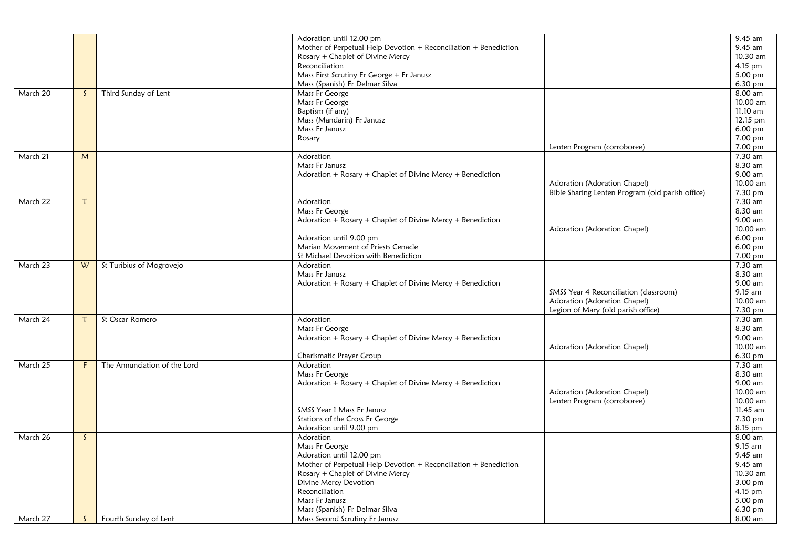|          |              |                              | Adoration until 12.00 pm                                         |                                                  | 9.45 am  |
|----------|--------------|------------------------------|------------------------------------------------------------------|--------------------------------------------------|----------|
|          |              |                              | Mother of Perpetual Help Devotion + Reconciliation + Benediction |                                                  | 9.45 am  |
|          |              |                              | Rosary + Chaplet of Divine Mercy                                 |                                                  | 10.30 am |
|          |              |                              | Reconciliation                                                   |                                                  | 4.15 pm  |
|          |              |                              | Mass First Scrutiny Fr George + Fr Janusz                        |                                                  | 5.00 pm  |
|          |              |                              | Mass (Spanish) Fr Delmar Silva                                   |                                                  | 6.30 pm  |
| March 20 | S.           | Third Sunday of Lent         | Mass Fr George                                                   |                                                  | 8.00 am  |
|          |              |                              | Mass Fr George                                                   |                                                  | 10.00 am |
|          |              |                              | Baptism (if any)                                                 |                                                  | 11.10 am |
|          |              |                              | Mass (Mandarin) Fr Janusz                                        |                                                  | 12.15 pm |
|          |              |                              | Mass Fr Janusz                                                   |                                                  | 6.00 pm  |
|          |              |                              | Rosary                                                           |                                                  | 7.00 pm  |
|          |              |                              |                                                                  | Lenten Program (corroboree)                      | 7.00 pm  |
| March 21 | M            |                              | Adoration                                                        |                                                  | 7.30 am  |
|          |              |                              | Mass Fr Janusz                                                   |                                                  | 8.30 am  |
|          |              |                              |                                                                  |                                                  | 9.00 am  |
|          |              |                              | Adoration + Rosary + Chaplet of Divine Mercy + Benediction       |                                                  | 10.00 am |
|          |              |                              |                                                                  | Adoration (Adoration Chapel)                     |          |
|          |              |                              |                                                                  | Bible Sharing Lenten Program (old parish office) | 7.30 pm  |
| March 22 |              |                              | Adoration                                                        |                                                  | 7.30 am  |
|          |              |                              | Mass Fr George                                                   |                                                  | 8.30 am  |
|          |              |                              | Adoration + Rosary + Chaplet of Divine Mercy + Benediction       |                                                  | 9.00 am  |
|          |              |                              |                                                                  | Adoration (Adoration Chapel)                     | 10.00 am |
|          |              |                              | Adoration until 9.00 pm                                          |                                                  | 6.00 pm  |
|          |              |                              | Marian Movement of Priests Cenacle                               |                                                  | 6.00 pm  |
|          |              |                              | St Michael Devotion with Benediction                             |                                                  | 7.00 pm  |
| March 23 | W            | St Turibius of Mogrovejo     | Adoration                                                        |                                                  | 7.30 am  |
|          |              |                              | Mass Fr Janusz                                                   |                                                  | 8.30 am  |
|          |              |                              | Adoration + Rosary + Chaplet of Divine Mercy + Benediction       |                                                  | 9.00 am  |
|          |              |                              |                                                                  | SMSS Year 4 Reconciliation (classroom)           | 9.15 am  |
|          |              |                              |                                                                  | Adoration (Adoration Chapel)                     | 10.00 am |
|          |              |                              |                                                                  | Legion of Mary (old parish office)               | 7.30 pm  |
| March 24 | Τ            | St Oscar Romero              | Adoration                                                        |                                                  | 7.30 am  |
|          |              |                              | Mass Fr George                                                   |                                                  | 8.30 am  |
|          |              |                              | Adoration + Rosary + Chaplet of Divine Mercy + Benediction       |                                                  | 9.00 am  |
|          |              |                              |                                                                  | Adoration (Adoration Chapel)                     | 10.00 am |
|          |              |                              | Charismatic Prayer Group                                         |                                                  | 6.30 pm  |
| March 25 | F.           | The Annunciation of the Lord | Adoration                                                        |                                                  | 7.30 am  |
|          |              |                              | Mass Fr George                                                   |                                                  | 8.30 am  |
|          |              |                              | Adoration + Rosary + Chaplet of Divine Mercy + Benediction       |                                                  | 9.00 am  |
|          |              |                              |                                                                  | Adoration (Adoration Chapel)                     | 10.00 am |
|          |              |                              |                                                                  | Lenten Program (corroboree)                      | 10.00 am |
|          |              |                              | SMSS Year 1 Mass Fr Janusz                                       |                                                  | 11.45 am |
|          |              |                              | Stations of the Cross Fr George                                  |                                                  | 7.30 pm  |
|          |              |                              | Adoration until 9.00 pm                                          |                                                  | 8.15 pm  |
| March 26 | <sub>S</sub> |                              | Adoration                                                        |                                                  | 8.00 am  |
|          |              |                              | Mass Fr George                                                   |                                                  | 9.15 am  |
|          |              |                              | Adoration until 12.00 pm                                         |                                                  | 9.45 am  |
|          |              |                              | Mother of Perpetual Help Devotion + Reconciliation + Benediction |                                                  | 9.45 am  |
|          |              |                              | Rosary + Chaplet of Divine Mercy                                 |                                                  | 10.30 am |
|          |              |                              | Divine Mercy Devotion                                            |                                                  | 3.00 pm  |
|          |              |                              | Reconciliation                                                   |                                                  | 4.15 pm  |
|          |              |                              | Mass Fr Janusz                                                   |                                                  | 5.00 pm  |
|          |              |                              | Mass (Spanish) Fr Delmar Silva                                   |                                                  | 6.30 pm  |
| March 27 | S.           | Fourth Sunday of Lent        | Mass Second Scrutiny Fr Janusz                                   |                                                  | 8.00 am  |
|          |              |                              |                                                                  |                                                  |          |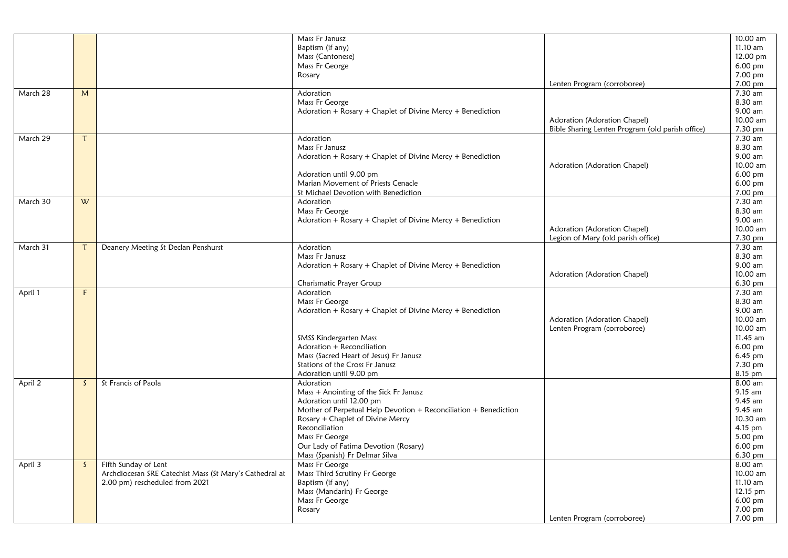|          |        |                                                         | Mass Fr Janusz                                                   |                                                  | 10.00 am  |
|----------|--------|---------------------------------------------------------|------------------------------------------------------------------|--------------------------------------------------|-----------|
|          |        |                                                         | Baptism (if any)                                                 |                                                  | 11.10 am  |
|          |        |                                                         | Mass (Cantonese)                                                 |                                                  | 12.00 pm  |
|          |        |                                                         | Mass Fr George                                                   |                                                  | 6.00 pm   |
|          |        |                                                         | Rosary                                                           |                                                  | 7.00 pm   |
|          |        |                                                         |                                                                  | Lenten Program (corroboree)                      | 7.00 pm   |
| March 28 | M      |                                                         | Adoration                                                        |                                                  | 7.30 am   |
|          |        |                                                         | Mass Fr George                                                   |                                                  | 8.30 am   |
|          |        |                                                         | Adoration + Rosary + Chaplet of Divine Mercy + Benediction       |                                                  | 9.00 am   |
|          |        |                                                         |                                                                  | Adoration (Adoration Chapel)                     | 10.00 am  |
|          |        |                                                         |                                                                  | Bible Sharing Lenten Program (old parish office) | 7.30 pm   |
| March 29 | $\tau$ |                                                         | Adoration                                                        |                                                  | 7.30 am   |
|          |        |                                                         | Mass Fr Janusz                                                   |                                                  | 8.30 am   |
|          |        |                                                         | Adoration + Rosary + Chaplet of Divine Mercy + Benediction       |                                                  | 9.00 am   |
|          |        |                                                         |                                                                  | Adoration (Adoration Chapel)                     | 10.00 am  |
|          |        |                                                         | Adoration until 9.00 pm                                          |                                                  | 6.00 pm   |
|          |        |                                                         | Marian Movement of Priests Cenacle                               |                                                  | 6.00 pm   |
|          |        |                                                         | St Michael Devotion with Benediction                             |                                                  | 7.00 pm   |
| March 30 | W      |                                                         | Adoration                                                        |                                                  | 7.30 am   |
|          |        |                                                         | Mass Fr George                                                   |                                                  | 8.30 am   |
|          |        |                                                         | Adoration + Rosary + Chaplet of Divine Mercy + Benediction       |                                                  | 9.00 am   |
|          |        |                                                         |                                                                  | Adoration (Adoration Chapel)                     | 10.00 am  |
|          |        |                                                         |                                                                  | Legion of Mary (old parish office)               | 7.30 pm   |
| March 31 | $\tau$ | Deanery Meeting St Declan Penshurst                     | Adoration                                                        |                                                  | 7.30 am   |
|          |        |                                                         | Mass Fr Janusz                                                   |                                                  | 8.30 am   |
|          |        |                                                         | Adoration + Rosary + Chaplet of Divine Mercy + Benediction       |                                                  | 9.00 am   |
|          |        |                                                         |                                                                  | Adoration (Adoration Chapel)                     | 10.00 am  |
|          |        |                                                         | Charismatic Prayer Group                                         |                                                  | 6.30 pm   |
| April 1  | F      |                                                         | Adoration                                                        |                                                  | 7.30 am   |
|          |        |                                                         | Mass Fr George                                                   |                                                  | 8.30 am   |
|          |        |                                                         | Adoration + Rosary + Chaplet of Divine Mercy + Benediction       |                                                  | 9.00 am   |
|          |        |                                                         |                                                                  |                                                  | 10.00 am  |
|          |        |                                                         |                                                                  | Adoration (Adoration Chapel)                     | 10.00 am  |
|          |        |                                                         |                                                                  | Lenten Program (corroboree)                      |           |
|          |        |                                                         | SMSS Kindergarten Mass<br>Adoration + Reconciliation             |                                                  | 11.45 am  |
|          |        |                                                         |                                                                  |                                                  | 6.00 pm   |
|          |        |                                                         | Mass (Sacred Heart of Jesus) Fr Janusz                           |                                                  | 6.45 pm   |
|          |        |                                                         | Stations of the Cross Fr Janusz                                  |                                                  | 7.30 pm   |
|          |        |                                                         | Adoration until 9.00 pm                                          |                                                  | 8.15 pm   |
| April 2  | S.     | St Francis of Paola                                     | Adoration                                                        |                                                  | $8.00$ am |
|          |        |                                                         | Mass + Anointing of the Sick Fr Janusz                           |                                                  | 9.15 am   |
|          |        |                                                         | Adoration until 12.00 pm                                         |                                                  | 9.45 am   |
|          |        |                                                         | Mother of Perpetual Help Devotion + Reconciliation + Benediction |                                                  | 9.45 am   |
|          |        |                                                         | Rosary + Chaplet of Divine Mercy                                 |                                                  | 10.30 am  |
|          |        |                                                         | Reconciliation                                                   |                                                  | 4.15 pm   |
|          |        |                                                         | Mass Fr George                                                   |                                                  | 5.00 pm   |
|          |        |                                                         | Our Lady of Fatima Devotion (Rosary)                             |                                                  | 6.00 pm   |
|          |        |                                                         | Mass (Spanish) Fr Delmar Silva                                   |                                                  | 6.30 pm   |
| April 3  | S.     | Fifth Sunday of Lent                                    | Mass Fr George                                                   |                                                  | 8.00 am   |
|          |        | Archdiocesan SRE Catechist Mass (St Mary's Cathedral at | Mass Third Scrutiny Fr George                                    |                                                  | 10.00 am  |
|          |        | 2.00 pm) rescheduled from 2021                          | Baptism (if any)                                                 |                                                  | 11.10 am  |
|          |        |                                                         | Mass (Mandarin) Fr George                                        |                                                  | 12.15 pm  |
|          |        |                                                         | Mass Fr George                                                   |                                                  | 6.00 pm   |
|          |        |                                                         | Rosary                                                           |                                                  | 7.00 pm   |
|          |        |                                                         |                                                                  | Lenten Program (corroboree)                      | 7.00 pm   |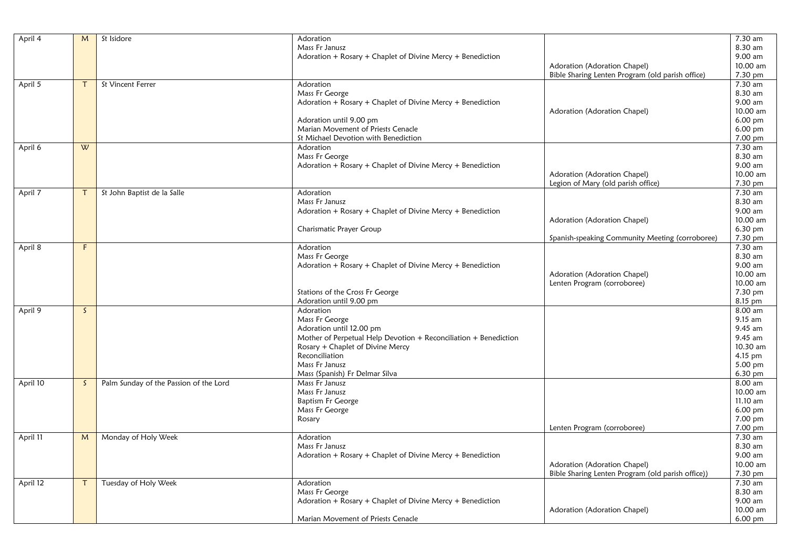| April 4  | M            | St Isidore                             | Adoration                                                        |                                                   | 7.30 am            |
|----------|--------------|----------------------------------------|------------------------------------------------------------------|---------------------------------------------------|--------------------|
|          |              |                                        | Mass Fr Janusz                                                   |                                                   | 8.30 am            |
|          |              |                                        | Adoration + Rosary + Chaplet of Divine Mercy + Benediction       |                                                   | 9.00 am            |
|          |              |                                        |                                                                  | Adoration (Adoration Chapel)                      | 10.00 am           |
|          |              | St Vincent Ferrer                      |                                                                  | Bible Sharing Lenten Program (old parish office)  | 7.30 pm            |
| April 5  | $\tau$       |                                        | Adoration                                                        |                                                   | 7.30 am            |
|          |              |                                        | Mass Fr George                                                   |                                                   | 8.30 am<br>9.00 am |
|          |              |                                        | Adoration + Rosary + Chaplet of Divine Mercy + Benediction       |                                                   | 10.00 am           |
|          |              |                                        | Adoration until 9.00 pm                                          | Adoration (Adoration Chapel)                      | 6.00 pm            |
|          |              |                                        | Marian Movement of Priests Cenacle                               |                                                   | 6.00 pm            |
|          |              |                                        | St Michael Devotion with Benediction                             |                                                   | 7.00 pm            |
| April 6  | W            |                                        | Adoration                                                        |                                                   | 7.30 am            |
|          |              |                                        | Mass Fr George                                                   |                                                   | 8.30 am            |
|          |              |                                        | Adoration + Rosary + Chaplet of Divine Mercy + Benediction       |                                                   | 9.00 am            |
|          |              |                                        |                                                                  | Adoration (Adoration Chapel)                      | 10.00 am           |
|          |              |                                        |                                                                  | Legion of Mary (old parish office)                | 7.30 pm            |
| April 7  | $\tau$       | St John Baptist de la Salle            | Adoration                                                        |                                                   | $7.30$ am          |
|          |              |                                        | Mass Fr Janusz                                                   |                                                   | 8.30 am            |
|          |              |                                        | Adoration + Rosary + Chaplet of Divine Mercy + Benediction       |                                                   | 9.00 am            |
|          |              |                                        |                                                                  | Adoration (Adoration Chapel)                      | 10.00 am           |
|          |              |                                        | Charismatic Prayer Group                                         |                                                   | 6.30 pm            |
|          |              |                                        |                                                                  | Spanish-speaking Community Meeting (corroboree)   | 7.30 pm            |
| April 8  | F            |                                        | Adoration                                                        |                                                   | $7.30$ am          |
|          |              |                                        | Mass Fr George                                                   |                                                   | 8.30 am            |
|          |              |                                        | Adoration + Rosary + Chaplet of Divine Mercy + Benediction       |                                                   | 9.00 am            |
|          |              |                                        |                                                                  | Adoration (Adoration Chapel)                      | 10.00 am           |
|          |              |                                        |                                                                  | Lenten Program (corroboree)                       | 10.00 am           |
|          |              |                                        | Stations of the Cross Fr George                                  |                                                   | 7.30 pm            |
|          |              |                                        | Adoration until 9.00 pm                                          |                                                   | 8.15 pm            |
| April 9  | $\mathsf{S}$ |                                        | Adoration                                                        |                                                   | 8.00 am            |
|          |              |                                        | Mass Fr George                                                   |                                                   | 9.15 am            |
|          |              |                                        | Adoration until 12.00 pm                                         |                                                   | 9.45 am            |
|          |              |                                        | Mother of Perpetual Help Devotion + Reconciliation + Benediction |                                                   | 9.45 am            |
|          |              |                                        | Rosary + Chaplet of Divine Mercy                                 |                                                   | 10.30 am           |
|          |              |                                        | Reconciliation                                                   |                                                   | 4.15 pm            |
|          |              |                                        | Mass Fr Janusz                                                   |                                                   | 5.00 pm            |
|          |              |                                        | Mass (Spanish) Fr Delmar Silva                                   |                                                   | 6.30 pm            |
| April 10 | <sub>S</sub> | Palm Sunday of the Passion of the Lord | Mass Fr Janusz                                                   |                                                   | 8.00 am            |
|          |              |                                        | Mass Fr Janusz                                                   |                                                   | 10.00 am           |
|          |              |                                        | Baptism Fr George                                                |                                                   | $11.10$ am         |
|          |              |                                        | Mass Fr George                                                   |                                                   | 6.00 pm            |
|          |              |                                        | Rosary                                                           |                                                   | 7.00 pm            |
|          |              |                                        |                                                                  | Lenten Program (corroboree)                       | 7.00 pm            |
| April 11 | M            | Monday of Holy Week                    | Adoration                                                        |                                                   | 7.30 am            |
|          |              |                                        | Mass Fr Janusz                                                   |                                                   | 8.30 am            |
|          |              |                                        | Adoration + Rosary + Chaplet of Divine Mercy + Benediction       |                                                   | 9.00 am            |
|          |              |                                        |                                                                  | Adoration (Adoration Chapel)                      | 10.00 am           |
|          |              |                                        |                                                                  | Bible Sharing Lenten Program (old parish office)) | 7.30 pm            |
| April 12 | $\tau$       | Tuesday of Holy Week                   | Adoration                                                        |                                                   | 7.30 am            |
|          |              |                                        | Mass Fr George                                                   |                                                   | 8.30 am            |
|          |              |                                        | Adoration + $R$ osary + Chaplet of Divine Mercy + Benediction    |                                                   | 9.00 am            |
|          |              |                                        |                                                                  | Adoration (Adoration Chapel)                      | 10.00 am           |
|          |              |                                        | Marian Movement of Priests Cenacle                               |                                                   | 6.00 pm            |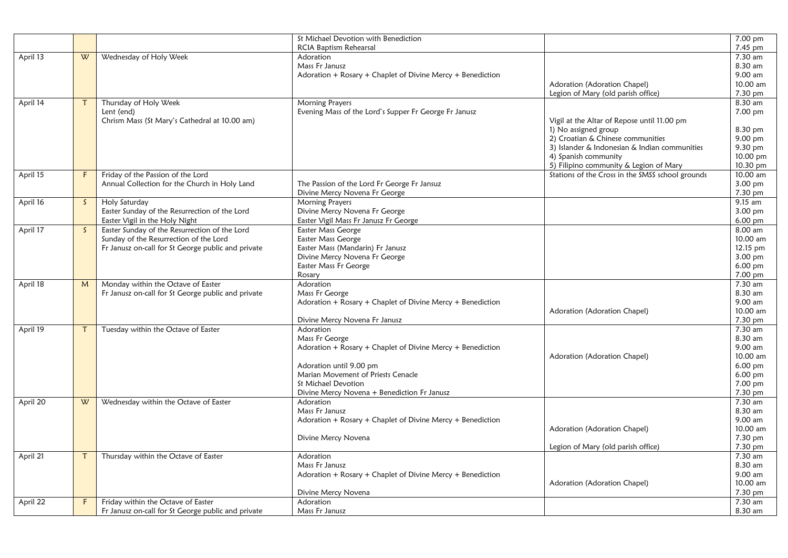|          |              |                                                                | St Michael Devotion with Benediction                       |                                                  | 7.00 pm            |
|----------|--------------|----------------------------------------------------------------|------------------------------------------------------------|--------------------------------------------------|--------------------|
|          |              |                                                                | RCIA Baptism Rehearsal                                     |                                                  | $7.45$ pm          |
| April 13 | W            | Wednesday of Holy Week                                         | Adoration                                                  |                                                  | 7.30 am            |
|          |              |                                                                | Mass Fr Janusz                                             |                                                  | 8.30 am            |
|          |              |                                                                | Adoration + Rosary + Chaplet of Divine Mercy + Benediction |                                                  | 9.00 am            |
|          |              |                                                                |                                                            | Adoration (Adoration Chapel)                     | 10.00 am           |
|          |              |                                                                |                                                            | Legion of Mary (old parish office)               | 7.30 pm            |
| April 14 | $\mathsf{T}$ | Thursday of Holy Week                                          | <b>Morning Prayers</b>                                     |                                                  | 8.30 am            |
|          |              | Lent (end)                                                     | Evening Mass of the Lord's Supper Fr George Fr Janusz      |                                                  | 7.00 pm            |
|          |              | Chrism Mass (St Mary's Cathedral at 10.00 am)                  |                                                            | Vigil at the Altar of Repose until 11.00 pm      |                    |
|          |              |                                                                |                                                            | 1) No assigned group                             | 8.30 pm            |
|          |              |                                                                |                                                            | 2) Croatian & Chinese communities                | 9.00 pm            |
|          |              |                                                                |                                                            | 3) Islander & Indonesian & Indian communities    | 9.30 pm            |
|          |              |                                                                |                                                            | 4) Spanish community                             | 10.00 pm           |
|          |              |                                                                |                                                            | 5) Filipino community & Legion of Mary           | 10.30 pm           |
| April 15 | F.           | Friday of the Passion of the Lord                              |                                                            | Stations of the Cross in the SMSS school grounds | 10.00 am           |
|          |              | Annual Collection for the Church in Holy Land                  | The Passion of the Lord Fr George Fr Jansuz                |                                                  | 3.00 pm            |
|          |              |                                                                | Divine Mercy Novena Fr George                              |                                                  | 7.30 pm            |
| April 16 | S.           | Holy Saturday<br>Easter Sunday of the Resurrection of the Lord | <b>Morning Prayers</b><br>Divine Mercy Novena Fr George    |                                                  | 9.15 am<br>3.00 pm |
|          |              | Easter Vigil in the Holy Night                                 | Easter Vigil Mass Fr Janusz Fr George                      |                                                  | 6.00 pm            |
| April 17 | S.           | Easter Sunday of the Resurrection of the Lord                  | Easter Mass George                                         |                                                  | $8.00$ am          |
|          |              | Sunday of the Resurrection of the Lord                         | Easter Mass George                                         |                                                  | 10.00 am           |
|          |              | Fr Janusz on-call for St George public and private             | Easter Mass (Mandarin) Fr Janusz                           |                                                  | 12.15 pm           |
|          |              |                                                                | Divine Mercy Novena Fr George                              |                                                  | 3.00 pm            |
|          |              |                                                                | Easter Mass Fr George                                      |                                                  | $6.00$ pm          |
|          |              |                                                                | Rosary                                                     |                                                  | 7.00 pm            |
| April 18 | M            | Monday within the Octave of Easter                             | Adoration                                                  |                                                  | 7.30 am            |
|          |              | Fr Janusz on-call for St George public and private             | Mass Fr George                                             |                                                  | 8.30 am            |
|          |              |                                                                | Adoration + Rosary + Chaplet of Divine Mercy + Benediction |                                                  | 9.00 am            |
|          |              |                                                                |                                                            | Adoration (Adoration Chapel)                     | 10.00 am           |
|          |              |                                                                | Divine Mercy Novena Fr Janusz                              |                                                  | 7.30 pm            |
| April 19 | $\tau$       | Tuesday within the Octave of Easter                            | Adoration                                                  |                                                  | 7.30 am            |
|          |              |                                                                | Mass Fr George                                             |                                                  | 8.30 am            |
|          |              |                                                                | Adoration + Rosary + Chaplet of Divine Mercy + Benediction |                                                  | 9.00 am            |
|          |              |                                                                |                                                            | Adoration (Adoration Chapel)                     | 10.00 am           |
|          |              |                                                                | Adoration until 9.00 pm                                    |                                                  | 6.00 pm            |
|          |              |                                                                | Marian Movement of Priests Cenacle                         |                                                  | 6.00 pm            |
|          |              |                                                                | St Michael Devotion                                        |                                                  | 7.00 pm            |
|          |              |                                                                | Divine Mercy Novena + Benediction Fr Janusz<br>Adoration   |                                                  | 7.30 pm<br>7.30 am |
| April 20 | W            | Wednesday within the Octave of Easter                          | Mass Fr Janusz                                             |                                                  | 8.30 am            |
|          |              |                                                                | Adoration + Rosary + Chaplet of Divine Mercy + Benediction |                                                  | 9.00 am            |
|          |              |                                                                |                                                            | Adoration (Adoration Chapel)                     | 10.00 am           |
|          |              |                                                                | Divine Mercy Novena                                        |                                                  | 7.30 pm            |
|          |              |                                                                |                                                            | Legion of Mary (old parish office)               | 7.30 pm            |
| April 21 | $\mathsf T$  | Thursday within the Octave of Easter                           | Adoration                                                  |                                                  | 7.30 am            |
|          |              |                                                                | Mass Fr Janusz                                             |                                                  | 8.30 am            |
|          |              |                                                                | Adoration + Rosary + Chaplet of Divine Mercy + Benediction |                                                  | 9.00 am            |
|          |              |                                                                |                                                            | Adoration (Adoration Chapel)                     | 10.00 am           |
|          |              |                                                                | Divine Mercy Novena                                        |                                                  | 7.30 pm            |
| April 22 | F.           | Friday within the Octave of Easter                             | Adoration                                                  |                                                  | 7.30 am            |
|          |              | Fr Janusz on-call for St George public and private             | Mass Fr Janusz                                             |                                                  | 8.30 am            |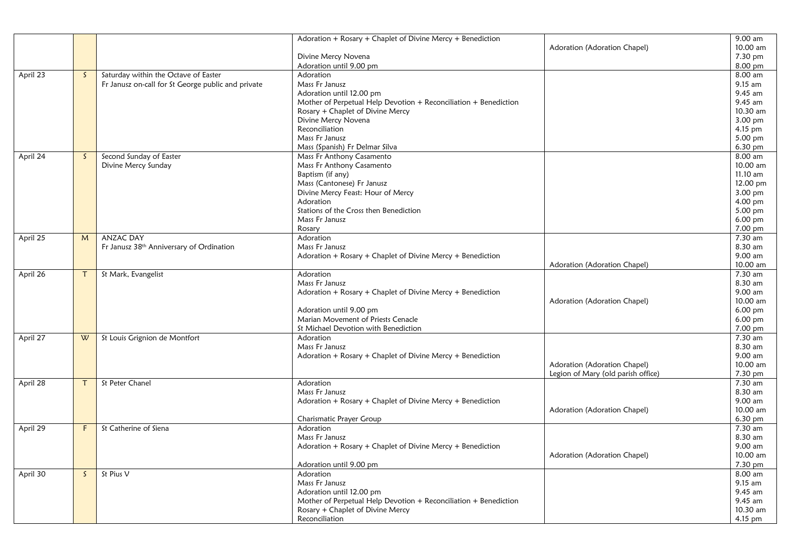|          |              |                                                    | Adoration + Rosary + Chaplet of Divine Mercy + Benediction       |                                    | 9.00 am              |
|----------|--------------|----------------------------------------------------|------------------------------------------------------------------|------------------------------------|----------------------|
|          |              |                                                    |                                                                  | Adoration (Adoration Chapel)       | 10.00 am             |
|          |              |                                                    | Divine Mercy Novena                                              |                                    | 7.30 pm              |
|          |              |                                                    | Adoration until 9.00 pm                                          |                                    | 8.00 pm              |
| April 23 | $\mathsf{S}$ | Saturday within the Octave of Easter               | Adoration                                                        |                                    | 8.00 am              |
|          |              | Fr Janusz on-call for St George public and private | Mass Fr Janusz                                                   |                                    | 9.15 am              |
|          |              |                                                    | Adoration until 12.00 pm                                         |                                    | 9.45 am              |
|          |              |                                                    | Mother of Perpetual Help Devotion + Reconciliation + Benediction |                                    | 9.45 am              |
|          |              |                                                    | Rosary + Chaplet of Divine Mercy                                 |                                    | 10.30 am             |
|          |              |                                                    | Divine Mercy Novena                                              |                                    | 3.00 pm              |
|          |              |                                                    | Reconciliation                                                   |                                    | 4.15 pm              |
|          |              |                                                    | Mass Fr Janusz                                                   |                                    | 5.00 pm              |
|          |              |                                                    | Mass (Spanish) Fr Delmar Silva                                   |                                    | 6.30 pm              |
|          | $\mathsf{S}$ | Second Sunday of Easter                            |                                                                  |                                    | 8.00 am              |
| April 24 |              |                                                    | Mass Fr Anthony Casamento                                        |                                    | 10.00 am             |
|          |              | Divine Mercy Sunday                                | Mass Fr Anthony Casamento                                        |                                    |                      |
|          |              |                                                    | Baptism (if any)                                                 |                                    | 11.10 am             |
|          |              |                                                    | Mass (Cantonese) Fr Janusz                                       |                                    | 12.00 pm             |
|          |              |                                                    | Divine Mercy Feast: Hour of Mercy                                |                                    | 3.00 pm              |
|          |              |                                                    | Adoration                                                        |                                    | 4.00 pm              |
|          |              |                                                    | Stations of the Cross then Benediction                           |                                    | 5.00 pm              |
|          |              |                                                    | Mass Fr Janusz                                                   |                                    | $6.00 \,\mathrm{pm}$ |
|          |              |                                                    | Rosary                                                           |                                    | 7.00 pm              |
| April 25 | M            | <b>ANZAC DAY</b>                                   | Adoration                                                        |                                    | 7.30 am              |
|          |              | Fr Janusz 38th Anniversary of Ordination           | Mass Fr Janusz                                                   |                                    | 8.30 am              |
|          |              |                                                    | Adoration + Rosary + Chaplet of Divine Mercy + Benediction       |                                    | 9.00 am              |
|          |              |                                                    |                                                                  | Adoration (Adoration Chapel)       | 10.00 am             |
| April 26 | $\mathsf{T}$ | St Mark, Evangelist                                | Adoration                                                        |                                    | 7.30 am              |
|          |              |                                                    | Mass Fr Janusz                                                   |                                    | 8.30 am              |
|          |              |                                                    | Adoration + Rosary + Chaplet of Divine Mercy + Benediction       |                                    | 9.00 am              |
|          |              |                                                    |                                                                  | Adoration (Adoration Chapel)       | 10.00 am             |
|          |              |                                                    | Adoration until 9.00 pm                                          |                                    | 6.00 pm              |
|          |              |                                                    | Marian Movement of Priests Cenacle                               |                                    | 6.00 pm              |
|          |              |                                                    | St Michael Devotion with Benediction                             |                                    | 7.00 pm              |
| April 27 | W            | St Louis Grignion de Montfort                      | Adoration                                                        |                                    | 7.30 am              |
|          |              |                                                    | Mass Fr Janusz                                                   |                                    | 8.30 am              |
|          |              |                                                    | Adoration + $Rosary$ + Chaplet of Divine Mercy + Benediction     |                                    | 9.00 am              |
|          |              |                                                    |                                                                  | Adoration (Adoration Chapel)       | 10.00 am             |
|          |              |                                                    |                                                                  | Legion of Mary (old parish office) | 7.30 pm              |
| April 28 | T            | St Peter Chanel                                    | Adoration                                                        |                                    | 7.30 am              |
|          |              |                                                    | Mass Fr Janusz                                                   |                                    | 8.30 am              |
|          |              |                                                    | Adoration + Rosary + Chaplet of Divine Mercy + Benediction       |                                    | 9.00 am              |
|          |              |                                                    |                                                                  | Adoration (Adoration Chapel)       | 10.00 am             |
|          |              |                                                    | Charismatic Prayer Group                                         |                                    | 6.30 pm              |
| April 29 | F.           | St Catherine of Siena                              | Adoration                                                        |                                    | 7.30 am              |
|          |              |                                                    | Mass Fr Janusz                                                   |                                    | 8.30 am              |
|          |              |                                                    | Adoration + Rosary + Chaplet of Divine Mercy + Benediction       |                                    | 9.00 am              |
|          |              |                                                    |                                                                  | Adoration (Adoration Chapel)       | 10.00 am             |
|          |              |                                                    | Adoration until 9.00 pm                                          |                                    | 7.30 pm              |
|          | $\mathsf{S}$ | St Pius V                                          | Adoration                                                        |                                    | 8.00 am              |
| April 30 |              |                                                    | Mass Fr Janusz                                                   |                                    | 9.15 am              |
|          |              |                                                    | Adoration until 12.00 pm                                         |                                    | 9.45 am              |
|          |              |                                                    |                                                                  |                                    | 9.45 am              |
|          |              |                                                    | Mother of Perpetual Help Devotion + Reconciliation + Benediction |                                    |                      |
|          |              |                                                    | Rosary + Chaplet of Divine Mercy                                 |                                    | 10.30 am             |
|          |              |                                                    | Reconciliation                                                   |                                    | 4.15 pm              |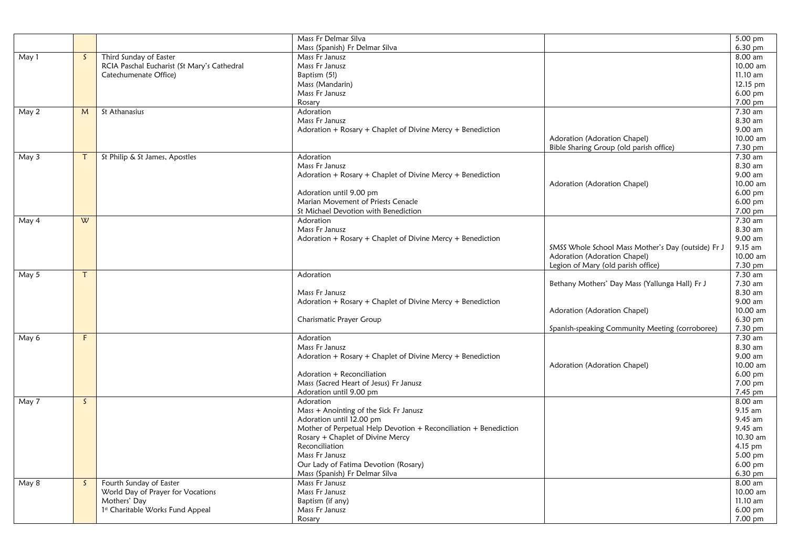|       |              |                                             | Mass Fr Delmar Silva                                             |                                                    | 5.00 pm    |
|-------|--------------|---------------------------------------------|------------------------------------------------------------------|----------------------------------------------------|------------|
|       |              |                                             | Mass (Spanish) Fr Delmar Silva                                   |                                                    | 6.30 pm    |
| May 1 | $\mathsf{S}$ | Third Sunday of Easter                      | Mass Fr Janusz                                                   |                                                    | $8.00$ am  |
|       |              | RCIA Paschal Eucharist (St Mary's Cathedral | Mass Fr Janusz                                                   |                                                    | 10.00 am   |
|       |              | Catechumenate Office)                       | Baptism (5!)                                                     |                                                    | $11.10$ am |
|       |              |                                             | Mass (Mandarin)                                                  |                                                    | 12.15 pm   |
|       |              |                                             | Mass Fr Janusz                                                   |                                                    | $6.00$ pm  |
|       |              |                                             | Rosary                                                           |                                                    | 7.00 pm    |
| May 2 | M            | St Athanasius                               | Adoration                                                        |                                                    | 7.30 am    |
|       |              |                                             | Mass Fr Janusz                                                   |                                                    | 8.30 am    |
|       |              |                                             |                                                                  |                                                    | 9.00 am    |
|       |              |                                             | Adoration + Rosary + Chaplet of Divine Mercy + Benediction       |                                                    |            |
|       |              |                                             |                                                                  | Adoration (Adoration Chapel)                       | 10.00 am   |
|       |              |                                             |                                                                  | Bible Sharing Group (old parish office)            | 7.30 pm    |
| May 3 | $\tau$       | St Philip & St James, Apostles              | Adoration                                                        |                                                    | 7.30 am    |
|       |              |                                             | Mass Fr Janusz                                                   |                                                    | 8.30 am    |
|       |              |                                             | Adoration + Rosary + Chaplet of Divine Mercy + Benediction       |                                                    | 9.00 am    |
|       |              |                                             |                                                                  | Adoration (Adoration Chapel)                       | 10.00 am   |
|       |              |                                             | Adoration until 9.00 pm                                          |                                                    | 6.00 pm    |
|       |              |                                             | Marian Movement of Priests Cenacle                               |                                                    | $6.00$ pm  |
|       |              |                                             | St Michael Devotion with Benediction                             |                                                    | 7.00 pm    |
| May 4 | W            |                                             | Adoration                                                        |                                                    | 7.30 am    |
|       |              |                                             | Mass Fr Janusz                                                   |                                                    | 8.30 am    |
|       |              |                                             | Adoration + Rosary + Chaplet of Divine Mercy + Benediction       |                                                    | 9.00 am    |
|       |              |                                             |                                                                  | SMSS Whole School Mass Mother's Day (outside) Fr J | 9.15 am    |
|       |              |                                             |                                                                  | Adoration (Adoration Chapel)                       | 10.00 am   |
|       |              |                                             |                                                                  | Legion of Mary (old parish office)                 | 7.30 pm    |
| May 5 | T            |                                             | Adoration                                                        |                                                    | 7.30 am    |
|       |              |                                             |                                                                  | Bethany Mothers' Day Mass (Yallunga Hall) Fr J     | 7.30 am    |
|       |              |                                             | Mass Fr Janusz                                                   |                                                    | 8.30 am    |
|       |              |                                             | Adoration + Rosary + Chaplet of Divine Mercy + Benediction       |                                                    | 9.00 am    |
|       |              |                                             |                                                                  | Adoration (Adoration Chapel)                       | 10.00 am   |
|       |              |                                             | Charismatic Prayer Group                                         |                                                    | $6.30$ pm  |
|       |              |                                             |                                                                  | Spanish-speaking Community Meeting (corroboree)    | 7.30 pm    |
| May 6 | F.           |                                             | Adoration                                                        |                                                    | 7.30 am    |
|       |              |                                             | Mass Fr Janusz                                                   |                                                    | 8.30 am    |
|       |              |                                             | Adoration + Rosary + Chaplet of Divine Mercy + Benediction       |                                                    | 9.00 am    |
|       |              |                                             |                                                                  | Adoration (Adoration Chapel)                       | 10.00 am   |
|       |              |                                             | Adoration + Reconciliation                                       |                                                    | $6.00$ pm  |
|       |              |                                             | Mass (Sacred Heart of Jesus) Fr Janusz                           |                                                    | 7.00 pm    |
|       |              |                                             | Adoration until 9.00 pm                                          |                                                    | 7.45 pm    |
| May 7 | $\mathsf{S}$ |                                             | Adoration                                                        |                                                    | 8.00 am    |
|       |              |                                             | Mass + Anointing of the Sick Fr Janusz                           |                                                    | 9.15 am    |
|       |              |                                             | Adoration until 12.00 pm                                         |                                                    | 9.45 am    |
|       |              |                                             | Mother of Perpetual Help Devotion + Reconciliation + Benediction |                                                    | 9.45 am    |
|       |              |                                             | Rosary + Chaplet of Divine Mercy                                 |                                                    | 10.30 am   |
|       |              |                                             | Reconciliation                                                   |                                                    | 4.15 pm    |
|       |              |                                             | Mass Fr Janusz                                                   |                                                    | $5.00$ pm  |
|       |              |                                             | Our Lady of Fatima Devotion (Rosary)                             |                                                    | 6.00 pm    |
|       |              |                                             | Mass (Spanish) Fr Delmar Silva                                   |                                                    | 6.30 pm    |
| May 8 | S.           | Fourth Sunday of Easter                     | Mass Fr Janusz                                                   |                                                    | $8.00$ am  |
|       |              | World Day of Prayer for Vocations           | Mass Fr Janusz                                                   |                                                    | 10.00 am   |
|       |              | Mothers' Day                                | Baptism (if any)                                                 |                                                    | 11.10 am   |
|       |              | 1st Charitable Works Fund Appeal            | Mass Fr Janusz                                                   |                                                    | $6.00$ pm  |
|       |              |                                             | Rosary                                                           |                                                    | 7.00 pm    |
|       |              |                                             |                                                                  |                                                    |            |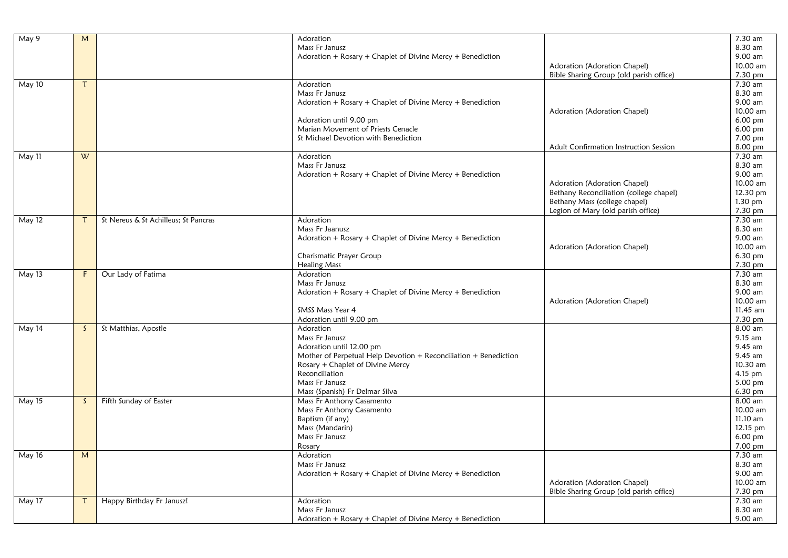| May 9  | M            |                                      | Adoration                                                        |                                         | 7.30 am   |
|--------|--------------|--------------------------------------|------------------------------------------------------------------|-----------------------------------------|-----------|
|        |              |                                      | Mass Fr Janusz                                                   |                                         | 8.30 am   |
|        |              |                                      | Adoration + Rosary + Chaplet of Divine Mercy + Benediction       |                                         | 9.00 am   |
|        |              |                                      |                                                                  | Adoration (Adoration Chapel)            | 10.00 am  |
|        |              |                                      |                                                                  | Bible Sharing Group (old parish office) | 7.30 pm   |
| May 10 | $\tau$       |                                      | Adoration                                                        |                                         | 7.30 am   |
|        |              |                                      | Mass Fr Janusz                                                   |                                         | 8.30 am   |
|        |              |                                      | Adoration + Rosary + Chaplet of Divine Mercy + Benediction       |                                         | 9.00 am   |
|        |              |                                      |                                                                  | Adoration (Adoration Chapel)            | 10.00 am  |
|        |              |                                      | Adoration until 9.00 pm                                          |                                         | 6.00 pm   |
|        |              |                                      | Marian Movement of Priests Cenacle                               |                                         | $6.00$ pm |
|        |              |                                      | St Michael Devotion with Benediction                             |                                         | 7.00 pm   |
|        |              |                                      |                                                                  | Adult Confirmation Instruction Session  | 8.00 pm   |
| May 11 | W            |                                      | Adoration                                                        |                                         | 7.30 am   |
|        |              |                                      | Mass Fr Janusz                                                   |                                         | 8.30 am   |
|        |              |                                      | Adoration + Rosary + Chaplet of Divine Mercy + Benediction       |                                         | 9.00 am   |
|        |              |                                      |                                                                  | Adoration (Adoration Chapel)            | 10.00 am  |
|        |              |                                      |                                                                  | Bethany Reconciliation (college chapel) | 12.30 pm  |
|        |              |                                      |                                                                  | Bethany Mass (college chapel)           | 1.30 pm   |
|        |              |                                      |                                                                  | Legion of Mary (old parish office)      | 7.30 pm   |
| May 12 | $\mathsf{T}$ | St Nereus & St Achilleus; St Pancras | Adoration                                                        |                                         | 7.30 am   |
|        |              |                                      | Mass Fr Jaanusz                                                  |                                         | 8.30 am   |
|        |              |                                      | Adoration + Rosary + Chaplet of Divine Mercy + Benediction       |                                         | 9.00 am   |
|        |              |                                      |                                                                  | Adoration (Adoration Chapel)            | 10.00 am  |
|        |              |                                      | Charismatic Prayer Group                                         |                                         | 6.30 pm   |
|        |              |                                      | <b>Healing Mass</b>                                              |                                         | 7.30 pm   |
| May 13 | F            | Our Lady of Fatima                   | Adoration                                                        |                                         | 7.30 am   |
|        |              |                                      | Mass Fr Janusz                                                   |                                         | 8.30 am   |
|        |              |                                      | Adoration + Rosary + Chaplet of Divine Mercy + Benediction       |                                         | 9.00 am   |
|        |              |                                      |                                                                  | Adoration (Adoration Chapel)            | 10.00 am  |
|        |              |                                      | SMSS Mass Year 4                                                 |                                         | 11.45 am  |
|        |              |                                      | Adoration until 9.00 pm                                          |                                         | 7.30 pm   |
| May 14 | S.           | St Matthias, Apostle                 | Adoration                                                        |                                         | 8.00 am   |
|        |              |                                      | Mass Fr Janusz                                                   |                                         | 9.15 am   |
|        |              |                                      | Adoration until 12.00 pm                                         |                                         | 9.45 am   |
|        |              |                                      | Mother of Perpetual Help Devotion + Reconciliation + Benediction |                                         | 9.45 am   |
|        |              |                                      | Rosary + Chaplet of Divine Mercy                                 |                                         | 10.30 am  |
|        |              |                                      | Reconciliation                                                   |                                         | 4.15 pm   |
|        |              |                                      | Mass Fr Janusz                                                   |                                         | 5.00 pm   |
|        |              |                                      | Mass (Spanish) Fr Delmar Silva                                   |                                         | 6.30 pm   |
| May 15 | $\mathsf{S}$ | Fifth Sunday of Easter               | Mass Fr Anthony Casamento                                        |                                         | 8.00 am   |
|        |              |                                      | Mass Fr Anthony Casamento                                        |                                         | 10.00 am  |
|        |              |                                      | Baptism (if any)                                                 |                                         | 11.10 am  |
|        |              |                                      | Mass (Mandarin)                                                  |                                         | 12.15 pm  |
|        |              |                                      | Mass Fr Janusz                                                   |                                         | 6.00 pm   |
|        |              |                                      | Rosary                                                           |                                         | 7.00 pm   |
| May 16 | M            |                                      | Adoration                                                        |                                         | 7.30 am   |
|        |              |                                      | Mass Fr Janusz                                                   |                                         | 8.30 am   |
|        |              |                                      | Adoration + Rosary + Chaplet of Divine Mercy + Benediction       |                                         | 9.00 am   |
|        |              |                                      |                                                                  | Adoration (Adoration Chapel)            | 10.00 am  |
|        |              |                                      |                                                                  | Bible Sharing Group (old parish office) | 7.30 pm   |
| May 17 | $\tau$       | Happy Birthday Fr Janusz!            | Adoration                                                        |                                         | 7.30 am   |
|        |              |                                      | Mass Fr Janusz                                                   |                                         | 8.30 am   |
|        |              |                                      | Adoration + Rosary + Chaplet of Divine Mercy + Benediction       |                                         | 9.00 am   |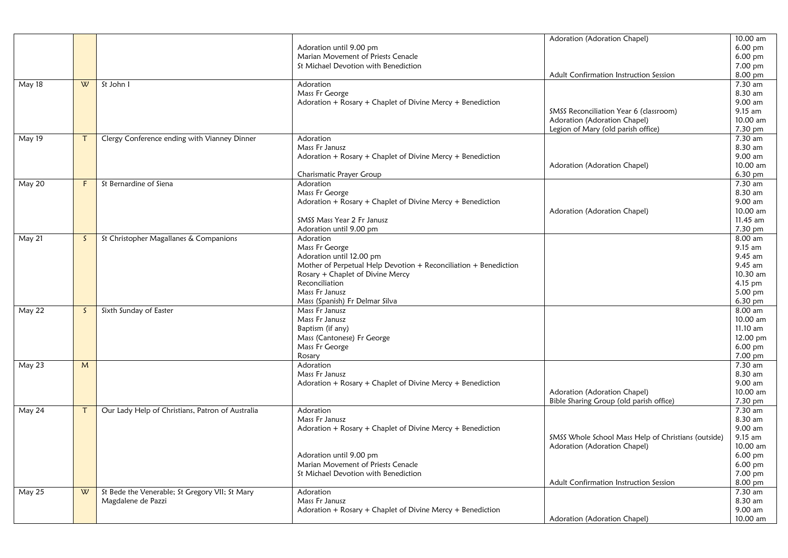|        |              |                                                  |                                                                  | Adoration (Adoration Chapel)                        | 10.00 am             |
|--------|--------------|--------------------------------------------------|------------------------------------------------------------------|-----------------------------------------------------|----------------------|
|        |              |                                                  | Adoration until 9.00 pm                                          |                                                     | 6.00 pm              |
|        |              |                                                  | Marian Movement of Priests Cenacle                               |                                                     | 6.00 pm              |
|        |              |                                                  | St Michael Devotion with Benediction                             |                                                     | 7.00 pm              |
|        |              |                                                  |                                                                  | Adult Confirmation Instruction Session              | 8.00 pm              |
| May 18 | W            | St John I                                        | Adoration                                                        |                                                     | 7.30 am              |
|        |              |                                                  | Mass Fr George                                                   |                                                     | 8.30 am              |
|        |              |                                                  | Adoration + Rosary + Chaplet of Divine Mercy + Benediction       |                                                     | 9.00 am              |
|        |              |                                                  |                                                                  | SMSS Reconciliation Year 6 (classroom)              | 9.15 am              |
|        |              |                                                  |                                                                  | Adoration (Adoration Chapel)                        | 10.00 am             |
|        |              |                                                  |                                                                  | Legion of Mary (old parish office)                  | 7.30 pm              |
| May 19 |              | Clergy Conference ending with Vianney Dinner     | Adoration                                                        |                                                     | 7.30 am              |
|        |              |                                                  | Mass Fr Janusz                                                   |                                                     | 8.30 am              |
|        |              |                                                  | Adoration + Rosary + Chaplet of Divine Mercy + Benediction       |                                                     | 9.00 am              |
|        |              |                                                  |                                                                  | Adoration (Adoration Chapel)                        | 10.00 am             |
|        |              |                                                  | Charismatic Prayer Group                                         |                                                     | 6.30 pm              |
| May 20 | F            | St Bernardine of Siena                           | Adoration                                                        |                                                     | 7.30 am              |
|        |              |                                                  | Mass Fr George                                                   |                                                     | 8.30 am              |
|        |              |                                                  | Adoration + Rosary + Chaplet of Divine Mercy + Benediction       |                                                     | 9.00 am              |
|        |              |                                                  |                                                                  | Adoration (Adoration Chapel)                        | 10.00 am             |
|        |              |                                                  | SMSS Mass Year 2 Fr Janusz                                       |                                                     | 11.45 am             |
|        |              |                                                  | Adoration until 9.00 pm                                          |                                                     | 7.30 pm              |
| May 21 | S.           | St Christopher Magallanes & Companions           | Adoration                                                        |                                                     | 8.00 am              |
|        |              |                                                  | Mass Fr George                                                   |                                                     | 9.15 am              |
|        |              |                                                  | Adoration until 12.00 pm                                         |                                                     | 9.45 am              |
|        |              |                                                  | Mother of Perpetual Help Devotion + Reconciliation + Benediction |                                                     | 9.45 am              |
|        |              |                                                  | Rosary + Chaplet of Divine Mercy                                 |                                                     | 10.30 am             |
|        |              |                                                  | Reconciliation                                                   |                                                     |                      |
|        |              |                                                  | Mass Fr Janusz                                                   |                                                     | 4.15 pm              |
|        |              |                                                  |                                                                  |                                                     | 5.00 pm              |
|        |              |                                                  | Mass (Spanish) Fr Delmar Silva                                   |                                                     | 6.30 pm              |
| May 22 | $\mathsf{S}$ | Sixth Sunday of Easter                           | Mass Fr Janusz                                                   |                                                     | 8.00 am              |
|        |              |                                                  | Mass Fr Janusz                                                   |                                                     | 10.00 am<br>11.10 am |
|        |              |                                                  | Baptism (if any)                                                 |                                                     |                      |
|        |              |                                                  | Mass (Cantonese) Fr George                                       |                                                     | 12.00 pm             |
|        |              |                                                  | Mass Fr George                                                   |                                                     | 6.00 pm              |
|        |              |                                                  | Rosary                                                           |                                                     | 7.00 pm              |
| May 23 | M            |                                                  | Adoration                                                        |                                                     | $7.30$ am            |
|        |              |                                                  | Mass Fr Janusz                                                   |                                                     | 8.30 am              |
|        |              |                                                  | Adoration + Rosary + Chaplet of Divine Mercy + Benediction       |                                                     | 9.00 am              |
|        |              |                                                  |                                                                  | Adoration (Adoration Chapel)                        | 10.00 am             |
|        |              |                                                  |                                                                  | Bible Sharing Group (old parish office)             | 7.30 pm              |
| May 24 |              | Our Lady Help of Christians, Patron of Australia | Adoration                                                        |                                                     | 7.30 am              |
|        |              |                                                  | Mass Fr Janusz                                                   |                                                     | 8.30 am              |
|        |              |                                                  | Adoration + Rosary + Chaplet of Divine Mercy + Benediction       |                                                     | 9.00 am              |
|        |              |                                                  |                                                                  | SMSS Whole School Mass Help of Christians (outside) | 9.15 am              |
|        |              |                                                  |                                                                  | Adoration (Adoration Chapel)                        | 10.00 am             |
|        |              |                                                  | Adoration until 9.00 pm                                          |                                                     | $6.00 \text{ pm}$    |
|        |              |                                                  | Marian Movement of Priests Cenacle                               |                                                     | 6.00 pm              |
|        |              |                                                  | St Michael Devotion with Benediction                             |                                                     | 7.00 pm              |
|        |              |                                                  |                                                                  | Adult Confirmation Instruction Session              | 8.00 pm              |
| May 25 | W            | St Bede the Venerable; St Gregory VII; St Mary   | Adoration                                                        |                                                     | 7.30 am              |
|        |              | Magdalene de Pazzi                               | Mass Fr Janusz                                                   |                                                     | 8.30 am              |
|        |              |                                                  | Adoration + Rosary + Chaplet of Divine Mercy + Benediction       |                                                     | 9.00 am              |
|        |              |                                                  |                                                                  | Adoration (Adoration Chapel)                        | 10.00 am             |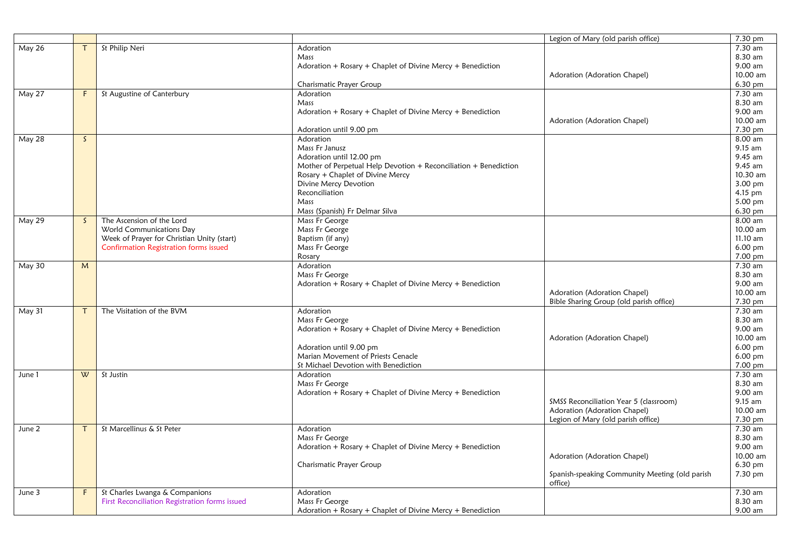|        |              |                                                |                                                                  | Legion of Mary (old parish office)             | 7.30 pm            |
|--------|--------------|------------------------------------------------|------------------------------------------------------------------|------------------------------------------------|--------------------|
| May 26 |              | St Philip Neri                                 | Adoration                                                        |                                                | 7.30 am            |
|        |              |                                                | Mass                                                             |                                                | 8.30 am            |
|        |              |                                                | Adoration + Rosary + Chaplet of Divine Mercy + Benediction       |                                                | 9.00 am            |
|        |              |                                                |                                                                  | Adoration (Adoration Chapel)                   | 10.00 am           |
|        |              |                                                | Charismatic Prayer Group                                         |                                                | 6.30 pm            |
| May 27 | F            | St Augustine of Canterbury                     | Adoration                                                        |                                                | 7.30 am            |
|        |              |                                                | Mass                                                             |                                                | 8.30 am            |
|        |              |                                                | Adoration + Rosary + Chaplet of Divine Mercy + Benediction       |                                                | 9.00 am            |
|        |              |                                                |                                                                  | Adoration (Adoration Chapel)                   | 10.00 am           |
|        |              |                                                | Adoration until 9.00 pm                                          |                                                | 7.30 pm            |
| May 28 | $\mathsf{S}$ |                                                | Adoration                                                        |                                                | 8.00 am            |
|        |              |                                                | Mass Fr Janusz                                                   |                                                | 9.15 am            |
|        |              |                                                | Adoration until 12.00 pm                                         |                                                | 9.45 am            |
|        |              |                                                | Mother of Perpetual Help Devotion + Reconciliation + Benediction |                                                | 9.45 am            |
|        |              |                                                | Rosary + Chaplet of Divine Mercy                                 |                                                | 10.30 am           |
|        |              |                                                | Divine Mercy Devotion                                            |                                                | 3.00 pm            |
|        |              |                                                | Reconciliation                                                   |                                                | 4.15 pm            |
|        |              |                                                | Mass                                                             |                                                | 5.00 pm            |
|        |              |                                                | Mass (Spanish) Fr Delmar Silva                                   |                                                | 6.30 pm            |
| May 29 | $\mathsf{S}$ | The Ascension of the Lord                      | Mass Fr George                                                   |                                                | 8.00 am            |
|        |              | World Communications Day                       | Mass Fr George                                                   |                                                | 10.00 am           |
|        |              | Week of Prayer for Christian Unity (start)     | Baptism (if any)                                                 |                                                | 11.10 am           |
|        |              | Confirmation Registration forms issued         | Mass Fr George                                                   |                                                | $6.00$ pm          |
|        |              |                                                | Rosary                                                           |                                                | 7.00 pm            |
| May 30 | M            |                                                | Adoration                                                        |                                                | 7.30 am            |
|        |              |                                                | Mass Fr George                                                   |                                                | 8.30 am            |
|        |              |                                                | Adoration + Rosary + Chaplet of Divine Mercy + Benediction       |                                                | 9.00 am            |
|        |              |                                                |                                                                  | Adoration (Adoration Chapel)                   | 10.00 am           |
|        |              |                                                |                                                                  | Bible Sharing Group (old parish office)        | 7.30 pm            |
| May 31 | $\tau$       | The Visitation of the BVM                      | Adoration                                                        |                                                | 7.30 am<br>8.30 am |
|        |              |                                                | Mass Fr George                                                   |                                                | 9.00 am            |
|        |              |                                                | Adoration + Rosary + Chaplet of Divine Mercy + Benediction       | Adoration (Adoration Chapel)                   | 10.00 am           |
|        |              |                                                | Adoration until 9.00 pm                                          |                                                | $6.00$ pm          |
|        |              |                                                | Marian Movement of Priests Cenacle                               |                                                | $6.00$ pm          |
|        |              |                                                | St Michael Devotion with Benediction                             |                                                | 7.00 pm            |
| June 1 | W            | St Justin                                      | Adoration                                                        |                                                | 7.30 am            |
|        |              |                                                | Mass Fr George                                                   |                                                | 8.30 am            |
|        |              |                                                | Adoration + Rosary + Chaplet of Divine Mercy + Benediction       |                                                | 9.00 am            |
|        |              |                                                |                                                                  | SMSS Reconciliation Year 5 (classroom)         | 9.15 am            |
|        |              |                                                |                                                                  | Adoration (Adoration Chapel)                   | 10.00 am           |
|        |              |                                                |                                                                  | Legion of Mary (old parish office)             | 7.30 pm            |
| June 2 | $\tau$       | St Marcellinus & St Peter                      | Adoration                                                        |                                                | 7.30 am            |
|        |              |                                                | Mass Fr George                                                   |                                                | 8.30 am            |
|        |              |                                                | Adoration + Rosary + Chaplet of Divine Mercy + Benediction       |                                                | 9.00 am            |
|        |              |                                                |                                                                  | Adoration (Adoration Chapel)                   | 10.00 am           |
|        |              |                                                | Charismatic Prayer Group                                         |                                                | 6.30 pm            |
|        |              |                                                |                                                                  | Spanish-speaking Community Meeting (old parish | 7.30 pm            |
|        |              |                                                |                                                                  | office)                                        |                    |
| June 3 | F.           | St Charles Lwanga & Companions                 | Adoration                                                        |                                                | 7.30 am            |
|        |              | First Reconciliation Registration forms issued | Mass Fr George                                                   |                                                | 8.30 am            |
|        |              |                                                | Adoration + Rosary + Chaplet of Divine Mercy + Benediction       |                                                | 9.00 am            |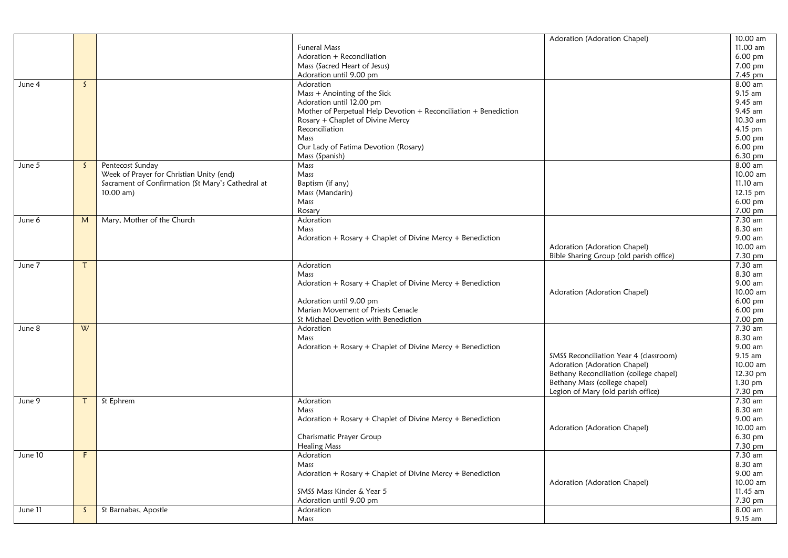|         |              |                                                   |                                                                  | Adoration (Adoration Chapel)            | 10.00 am               |
|---------|--------------|---------------------------------------------------|------------------------------------------------------------------|-----------------------------------------|------------------------|
|         |              |                                                   | <b>Funeral Mass</b>                                              |                                         | 11.00 am               |
|         |              |                                                   | Adoration + Reconciliation                                       |                                         | 6.00 pm                |
|         |              |                                                   | Mass (Sacred Heart of Jesus)                                     |                                         | 7.00 pm                |
|         |              |                                                   | Adoration until 9.00 pm                                          |                                         | 7.45 pm                |
| June 4  | $\mathsf{S}$ |                                                   | Adoration                                                        |                                         | 8.00 am                |
|         |              |                                                   | Mass + Anointing of the Sick                                     |                                         | 9.15 am                |
|         |              |                                                   | Adoration until 12.00 pm                                         |                                         | 9.45 am                |
|         |              |                                                   | Mother of Perpetual Help Devotion + Reconciliation + Benediction |                                         | $9.45$ am              |
|         |              |                                                   | Rosary + Chaplet of Divine Mercy                                 |                                         | 10.30 am               |
|         |              |                                                   | Reconciliation                                                   |                                         | 4.15 pm                |
|         |              |                                                   | Mass                                                             |                                         | 5.00 pm                |
|         |              |                                                   | Our Lady of Fatima Devotion (Rosary)                             |                                         | 6.00 pm                |
|         |              |                                                   | Mass (Spanish)                                                   |                                         | 6.30 pm                |
| June 5  | S.           | Pentecost Sunday                                  | Mass                                                             |                                         | 8.00 am                |
|         |              | Week of Prayer for Christian Unity (end)          | Mass                                                             |                                         | 10.00 am               |
|         |              | Sacrament of Confirmation (St Mary's Cathedral at | Baptism (if any)                                                 |                                         | 11.10 am               |
|         |              | $10.00$ am)                                       | Mass (Mandarin)                                                  |                                         | 12.15 pm               |
|         |              |                                                   | Mass                                                             |                                         | $6.00 \text{ pm}$      |
|         |              |                                                   | Rosary                                                           |                                         | 7.00 pm                |
| June 6  | M            | Mary, Mother of the Church                        | Adoration                                                        |                                         | 7.30 am                |
|         |              |                                                   | Mass                                                             |                                         | 8.30 am                |
|         |              |                                                   | Adoration + Rosary + Chaplet of Divine Mercy + Benediction       |                                         | 9.00 am                |
|         |              |                                                   |                                                                  | Adoration (Adoration Chapel)            | 10.00 am               |
|         |              |                                                   |                                                                  | Bible Sharing Group (old parish office) | 7.30 pm                |
| June 7  |              |                                                   | Adoration                                                        |                                         | 7.30 am                |
|         |              |                                                   | Mass                                                             |                                         | 8.30 am                |
|         |              |                                                   | Adoration + Rosary + Chaplet of Divine Mercy + Benediction       |                                         | 9.00 am                |
|         |              |                                                   |                                                                  | Adoration (Adoration Chapel)            | 10.00 am               |
|         |              |                                                   | Adoration until 9.00 pm                                          |                                         | 6.00 pm                |
|         |              |                                                   | Marian Movement of Priests Cenacle                               |                                         | $6.00$ pm              |
|         |              |                                                   | St Michael Devotion with Benediction                             |                                         | 7.00 pm                |
| June 8  | W            |                                                   | Adoration                                                        |                                         | 7.30 am                |
|         |              |                                                   | Mass                                                             |                                         | 8.30 am                |
|         |              |                                                   | Adoration + Rosary + Chaplet of Divine Mercy + Benediction       |                                         | 9.00 am                |
|         |              |                                                   |                                                                  | SMSS Reconciliation Year 4 (classroom)  | 9.15 am                |
|         |              |                                                   |                                                                  | Adoration (Adoration Chapel)            | 10.00 am               |
|         |              |                                                   |                                                                  | Bethany Reconciliation (college chapel) | 12.30 pm               |
|         |              |                                                   |                                                                  | Bethany Mass (college chapel)           | 1.30 pm                |
|         |              |                                                   |                                                                  | Legion of Mary (old parish office)      | 7.30 pm                |
| June 9  | Τ            | St Ephrem                                         | Adoration                                                        |                                         | 7.30 am                |
|         |              |                                                   | Mass                                                             |                                         | 8.30 am                |
|         |              |                                                   | Adoration + Rosary + Chaplet of Divine Mercy + Benediction       |                                         | 9.00 am                |
|         |              |                                                   |                                                                  | Adoration (Adoration Chapel)            | 10.00 am               |
|         |              |                                                   | Charismatic Prayer Group                                         |                                         | 6.30 pm                |
|         |              |                                                   | <b>Healing Mass</b>                                              |                                         | 7.30 pm                |
| June 10 | F            |                                                   | Adoration                                                        |                                         | 7.30 am                |
|         |              |                                                   | Mass                                                             |                                         | 8.30 am<br>9.00 am     |
|         |              |                                                   | Adoration + Rosary + Chaplet of Divine Mercy + Benediction       |                                         |                        |
|         |              |                                                   | SMSS Mass Kinder & Year 5                                        | Adoration (Adoration Chapel)            | 10.00 am<br>$11.45$ am |
|         |              |                                                   |                                                                  |                                         |                        |
|         |              |                                                   | Adoration until 9.00 pm                                          |                                         | 7.30 pm                |
| June 11 | $\mathsf{S}$ | St Barnabas, Apostle                              | Adoration                                                        |                                         | 8.00 am                |
|         |              |                                                   | Mass                                                             |                                         | 9.15 am                |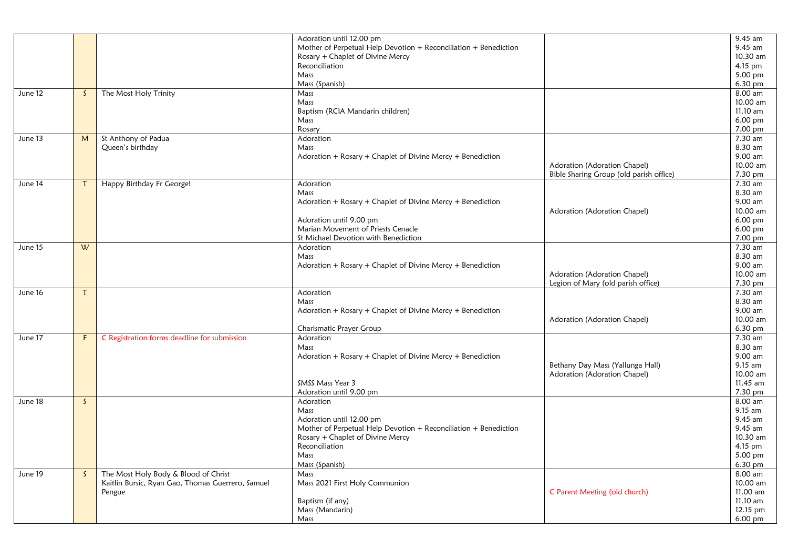|         |              |                                                   | Adoration until 12.00 pm                                         |                                         | 9.45 am    |
|---------|--------------|---------------------------------------------------|------------------------------------------------------------------|-----------------------------------------|------------|
|         |              |                                                   | Mother of Perpetual Help Devotion + Reconciliation + Benediction |                                         | 9.45 am    |
|         |              |                                                   | Rosary + Chaplet of Divine Mercy                                 |                                         | 10.30 am   |
|         |              |                                                   | Reconciliation                                                   |                                         | 4.15 pm    |
|         |              |                                                   | Mass                                                             |                                         | 5.00 pm    |
|         |              |                                                   | Mass (Spanish)                                                   |                                         | 6.30 pm    |
| June 12 | S.           | The Most Holy Trinity                             | Mass                                                             |                                         | $8.00$ am  |
|         |              |                                                   | Mass                                                             |                                         | 10.00 am   |
|         |              |                                                   | Baptism (RCIA Mandarin children)                                 |                                         | 11.10 am   |
|         |              |                                                   | Mass                                                             |                                         | 6.00 pm    |
|         |              |                                                   | Rosary                                                           |                                         | 7.00 pm    |
| June 13 | M            | St Anthony of Padua                               | Adoration                                                        |                                         | 7.30 am    |
|         |              | Queen's birthday                                  | Mass                                                             |                                         | 8.30 am    |
|         |              |                                                   | Adoration + Rosary + Chaplet of Divine Mercy + Benediction       |                                         | 9.00 am    |
|         |              |                                                   |                                                                  | Adoration (Adoration Chapel)            | 10.00 am   |
|         |              |                                                   |                                                                  | Bible Sharing Group (old parish office) | 7.30 pm    |
| June 14 | T.           | Happy Birthday Fr George!                         | Adoration                                                        |                                         | 7.30 am    |
|         |              |                                                   | Mass                                                             |                                         | 8.30 am    |
|         |              |                                                   | Adoration + Rosary + Chaplet of Divine Mercy + Benediction       |                                         | 9.00 am    |
|         |              |                                                   |                                                                  | Adoration (Adoration Chapel)            | 10.00 am   |
|         |              |                                                   | Adoration until 9.00 pm                                          |                                         | 6.00 pm    |
|         |              |                                                   | Marian Movement of Priests Cenacle                               |                                         | 6.00 pm    |
|         |              |                                                   | St Michael Devotion with Benediction                             |                                         | 7.00 pm    |
| June 15 | W            |                                                   | Adoration                                                        |                                         | 7.30 am    |
|         |              |                                                   | Mass                                                             |                                         | 8.30 am    |
|         |              |                                                   | Adoration + Rosary + Chaplet of Divine Mercy + Benediction       |                                         | 9.00 am    |
|         |              |                                                   |                                                                  | Adoration (Adoration Chapel)            | 10.00 am   |
|         |              |                                                   |                                                                  | Legion of Mary (old parish office)      | 7.30 pm    |
| June 16 | $\tau$       |                                                   | Adoration                                                        |                                         | $7.30$ am  |
|         |              |                                                   | Mass                                                             |                                         | 8.30 am    |
|         |              |                                                   | Adoration + Rosary + Chaplet of Divine Mercy + Benediction       |                                         | 9.00 am    |
|         |              |                                                   |                                                                  | Adoration (Adoration Chapel)            | 10.00 am   |
|         |              |                                                   | Charismatic Prayer Group                                         |                                         | 6.30 pm    |
| June 17 | F.           | C Registration forms deadline for submission      | Adoration                                                        |                                         | $7.30$ am  |
|         |              |                                                   | Mass                                                             |                                         | 8.30 am    |
|         |              |                                                   | Adoration + Rosary + Chaplet of Divine Mercy + Benediction       |                                         | 9.00 am    |
|         |              |                                                   |                                                                  | Bethany Day Mass (Yallunga Hall)        | 9.15 am    |
|         |              |                                                   |                                                                  | Adoration (Adoration Chapel)            | 10.00 am   |
|         |              |                                                   | SMSS Mass Year 3                                                 |                                         | $11.45$ am |
|         |              |                                                   | Adoration until 9.00 pm                                          |                                         | 7.30 pm    |
| June 18 | $\mathsf{S}$ |                                                   | Adoration                                                        |                                         | 8.00 am    |
|         |              |                                                   | Mass                                                             |                                         | 9.15 am    |
|         |              |                                                   | Adoration until 12.00 pm                                         |                                         | 9.45 am    |
|         |              |                                                   | Mother of Perpetual Help Devotion + Reconciliation + Benediction |                                         | 9.45 am    |
|         |              |                                                   | Rosary + Chaplet of Divine Mercy                                 |                                         | 10.30 am   |
|         |              |                                                   | Reconciliation                                                   |                                         | 4.15 pm    |
|         |              |                                                   | Mass                                                             |                                         | 5.00 pm    |
|         |              |                                                   | Mass (Spanish)                                                   |                                         | 6.30 pm    |
| June 19 | $\mathsf{S}$ | The Most Holy Body & Blood of Christ              | Mass                                                             |                                         | 8.00 am    |
|         |              | Kaitlin Bursic, Ryan Gao, Thomas Guerrero, Samuel | Mass 2021 First Holy Communion                                   |                                         | 10.00 am   |
|         |              | Pengue                                            |                                                                  | C Parent Meeting (old church)           | 11.00 am   |
|         |              |                                                   | Baptism (if any)                                                 |                                         | 11.10 am   |
|         |              |                                                   | Mass (Mandarin)                                                  |                                         | 12.15 pm   |
|         |              |                                                   | Mass                                                             |                                         | 6.00 pm    |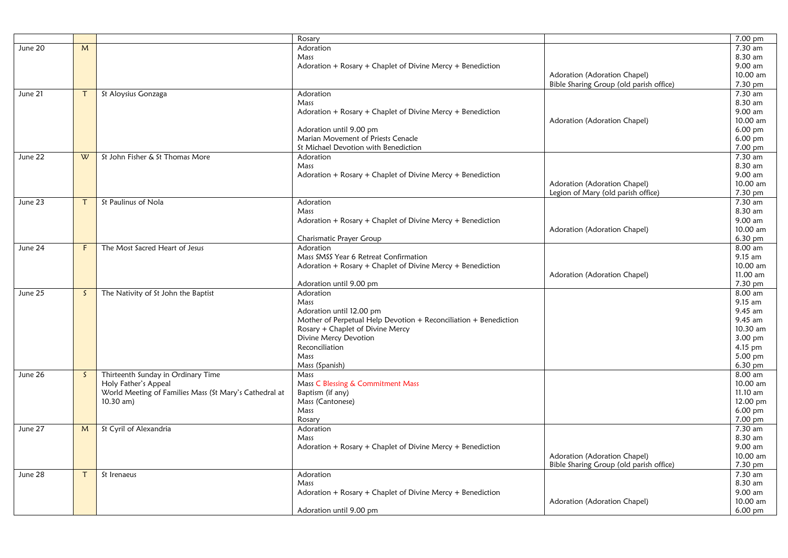|         |              |                                                        | Rosary                                                           |                                         | 7.00 pm   |
|---------|--------------|--------------------------------------------------------|------------------------------------------------------------------|-----------------------------------------|-----------|
| June 20 | M            |                                                        | Adoration                                                        |                                         | 7.30 am   |
|         |              |                                                        | Mass                                                             |                                         | 8.30 am   |
|         |              |                                                        | Adoration + Rosary + Chaplet of Divine Mercy + Benediction       |                                         | 9.00 am   |
|         |              |                                                        |                                                                  | Adoration (Adoration Chapel)            | 10.00 am  |
|         |              |                                                        |                                                                  | Bible Sharing Group (old parish office) | 7.30 pm   |
|         | $\mathsf{T}$ | St Aloysius Gonzaga                                    |                                                                  |                                         | 7.30 am   |
| June 21 |              |                                                        | Adoration                                                        |                                         |           |
|         |              |                                                        | Mass                                                             |                                         | 8.30 am   |
|         |              |                                                        | Adoration + Rosary + Chaplet of Divine Mercy + Benediction       |                                         | 9.00 am   |
|         |              |                                                        |                                                                  | Adoration (Adoration Chapel)            | 10.00 am  |
|         |              |                                                        | Adoration until 9.00 pm                                          |                                         | $6.00$ pm |
|         |              |                                                        | Marian Movement of Priests Cenacle                               |                                         | 6.00 pm   |
|         |              |                                                        | St Michael Devotion with Benediction                             |                                         | 7.00 pm   |
| June 22 | W            | St John Fisher & St Thomas More                        | Adoration                                                        |                                         | 7.30 am   |
|         |              |                                                        | Mass                                                             |                                         | 8.30 am   |
|         |              |                                                        | Adoration + Rosary + Chaplet of Divine Mercy + Benediction       |                                         | 9.00 am   |
|         |              |                                                        |                                                                  | Adoration (Adoration Chapel)            | 10.00 am  |
|         |              |                                                        |                                                                  | Legion of Mary (old parish office)      | 7.30 pm   |
| June 23 | $\mathsf{T}$ | St Paulinus of Nola                                    | Adoration                                                        |                                         | 7.30 am   |
|         |              |                                                        | Mass                                                             |                                         | 8.30 am   |
|         |              |                                                        | Adoration + Rosary + Chaplet of Divine Mercy + Benediction       |                                         | 9.00 am   |
|         |              |                                                        |                                                                  | Adoration (Adoration Chapel)            | 10.00 am  |
|         |              |                                                        | Charismatic Prayer Group                                         |                                         | 6.30 pm   |
| June 24 | F.           | The Most Sacred Heart of Jesus                         | Adoration                                                        |                                         | 8.00 am   |
|         |              |                                                        | Mass SMSS Year 6 Retreat Confirmation                            |                                         | 9.15 am   |
|         |              |                                                        | Adoration + Rosary + Chaplet of Divine Mercy + Benediction       |                                         | 10.00 am  |
|         |              |                                                        |                                                                  | Adoration (Adoration Chapel)            | 11.00 am  |
|         |              |                                                        | Adoration until 9.00 pm                                          |                                         | 7.30 pm   |
| June 25 | $\mathsf{S}$ | The Nativity of St John the Baptist                    | Adoration                                                        |                                         | 8.00 am   |
|         |              |                                                        | Mass                                                             |                                         | 9.15 am   |
|         |              |                                                        | Adoration until 12.00 pm                                         |                                         | 9.45 am   |
|         |              |                                                        | Mother of Perpetual Help Devotion + Reconciliation + Benediction |                                         | 9.45 am   |
|         |              |                                                        | Rosary + Chaplet of Divine Mercy                                 |                                         | 10.30 am  |
|         |              |                                                        | Divine Mercy Devotion                                            |                                         | 3.00 pm   |
|         |              |                                                        | Reconciliation                                                   |                                         | $4.15$ pm |
|         |              |                                                        | Mass                                                             |                                         | 5.00 pm   |
|         |              |                                                        | Mass (Spanish)                                                   |                                         | 6.30 pm   |
| June 26 | S.           | Thirteenth Sunday in Ordinary Time                     | Mass                                                             |                                         | 8.00 am   |
|         |              | Holy Father's Appeal                                   | Mass C Blessing & Commitment Mass                                |                                         | 10.00 am  |
|         |              | World Meeting of Families Mass (St Mary's Cathedral at | Baptism (if any)                                                 |                                         | 11.10 am  |
|         |              | $10.30$ am)                                            | Mass (Cantonese)                                                 |                                         | 12.00 pm  |
|         |              |                                                        | Mass                                                             |                                         | 6.00 pm   |
|         |              |                                                        | Rosary                                                           |                                         | 7.00 pm   |
| June 27 | M            | St Cyril of Alexandria                                 | Adoration                                                        |                                         | 7.30 am   |
|         |              |                                                        | Mass                                                             |                                         | 8.30 am   |
|         |              |                                                        |                                                                  |                                         | 9.00 am   |
|         |              |                                                        | Adoration + Rosary + Chaplet of Divine Mercy + Benediction       |                                         | 10.00 am  |
|         |              |                                                        |                                                                  | Adoration (Adoration Chapel)            |           |
|         |              |                                                        |                                                                  | Bible Sharing Group (old parish office) | 7.30 pm   |
| June 28 | $\mathsf{T}$ | St Irenaeus                                            | Adoration                                                        |                                         | 7.30 am   |
|         |              |                                                        | Mass                                                             |                                         | 8.30 am   |
|         |              |                                                        | Adoration + Rosary + Chaplet of Divine Mercy + Benediction       |                                         | 9.00 am   |
|         |              |                                                        |                                                                  | Adoration (Adoration Chapel)            | 10.00 am  |
|         |              |                                                        | Adoration until 9.00 pm                                          |                                         | 6.00 pm   |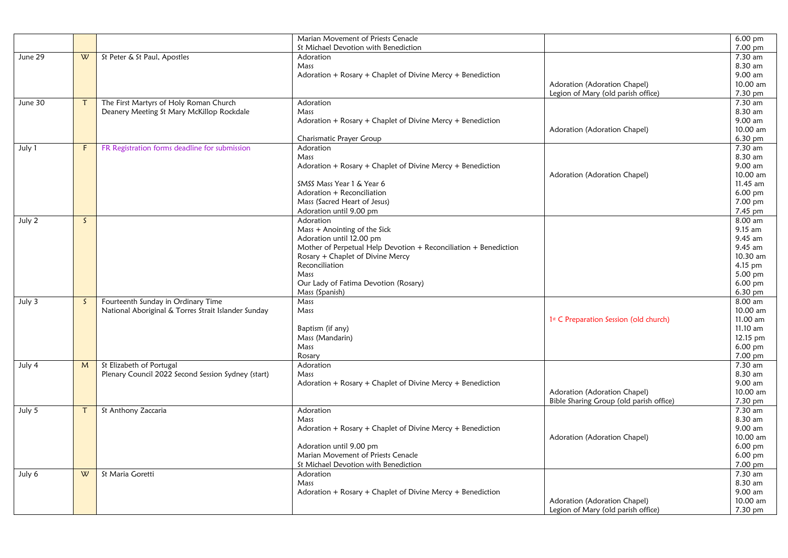|         |              |                                                     | Marian Movement of Priests Cenacle                               |                                         | $6.00$ pm              |
|---------|--------------|-----------------------------------------------------|------------------------------------------------------------------|-----------------------------------------|------------------------|
|         |              |                                                     | St Michael Devotion with Benediction                             |                                         | 7.00 pm                |
| June 29 | W            | St Peter & St Paul, Apostles                        | Adoration                                                        |                                         | 7.30 am                |
|         |              |                                                     | Mass                                                             |                                         | 8.30 am                |
|         |              |                                                     | Adoration + Rosary + Chaplet of Divine Mercy + Benediction       |                                         | 9.00 am                |
|         |              |                                                     |                                                                  | Adoration (Adoration Chapel)            | 10.00 am               |
|         |              |                                                     |                                                                  | Legion of Mary (old parish office)      | 7.30 pm                |
| June 30 | $\tau$       | The First Martyrs of Holy Roman Church              | Adoration                                                        |                                         | 7.30 am                |
|         |              | Deanery Meeting St Mary McKillop Rockdale           | Mass                                                             |                                         | 8.30 am                |
|         |              |                                                     | Adoration + Rosary + Chaplet of Divine Mercy + Benediction       |                                         | 9.00 am                |
|         |              |                                                     |                                                                  | Adoration (Adoration Chapel)            | 10.00 am               |
|         |              |                                                     | Charismatic Prayer Group                                         |                                         | 6.30 pm                |
| July 1  | F.           | FR Registration forms deadline for submission       | Adoration                                                        |                                         | 7.30 am                |
|         |              |                                                     | Mass                                                             |                                         | 8.30 am                |
|         |              |                                                     | Adoration + Rosary + Chaplet of Divine Mercy + Benediction       |                                         | 9.00 am                |
|         |              |                                                     | SMSS Mass Year 1 & Year 6                                        | Adoration (Adoration Chapel)            | 10.00 am<br>$11.45$ am |
|         |              |                                                     | Adoration + Reconciliation                                       |                                         | $6.00$ pm              |
|         |              |                                                     | Mass (Sacred Heart of Jesus)                                     |                                         | 7.00 pm                |
|         |              |                                                     | Adoration until 9.00 pm                                          |                                         | 7.45 pm                |
| July 2  | $\mathsf{S}$ |                                                     | Adoration                                                        |                                         | 8.00 am                |
|         |              |                                                     | Mass + Anointing of the Sick                                     |                                         | 9.15 am                |
|         |              |                                                     | Adoration until 12.00 pm                                         |                                         | 9.45 am                |
|         |              |                                                     | Mother of Perpetual Help Devotion + Reconciliation + Benediction |                                         | $9.45$ am              |
|         |              |                                                     | Rosary + Chaplet of Divine Mercy                                 |                                         | 10.30 am               |
|         |              |                                                     | Reconciliation                                                   |                                         | 4.15 pm                |
|         |              |                                                     | Mass                                                             |                                         | 5.00 pm                |
|         |              |                                                     | Our Lady of Fatima Devotion (Rosary)                             |                                         | $6.00$ pm              |
|         |              |                                                     | Mass (Spanish)                                                   |                                         | 6.30 pm                |
| July 3  | $\mathsf{S}$ | Fourteenth Sunday in Ordinary Time                  | Mass                                                             |                                         | 8.00 am                |
|         |              | National Aboriginal & Torres Strait Islander Sunday | Mass                                                             |                                         | 10.00 am               |
|         |              |                                                     |                                                                  | 1st C Preparation Session (old church)  | 11.00 am               |
|         |              |                                                     | Baptism (if any)                                                 |                                         | 11.10 am               |
|         |              |                                                     | Mass (Mandarin)                                                  |                                         | 12.15 pm               |
|         |              |                                                     | Mass                                                             |                                         | $6.00 \text{ pm}$      |
|         |              |                                                     | Rosary                                                           |                                         | 7.00 pm                |
| July 4  | M            | St Elizabeth of Portugal                            | Adoration                                                        |                                         | $7.30$ am              |
|         |              | Plenary Council 2022 Second Session Sydney (start)  | Mass                                                             |                                         | 8.30 am                |
|         |              |                                                     | Adoration + Rosary + Chaplet of Divine Mercy + Benediction       |                                         | 9.00 am                |
|         |              |                                                     |                                                                  | Adoration (Adoration Chapel)            | 10.00 am               |
|         |              |                                                     |                                                                  | Bible Sharing Group (old parish office) | 7.30 pm                |
| July 5  | $\tau$       | St Anthony Zaccaria                                 | Adoration                                                        |                                         | 7.30 am                |
|         |              |                                                     | Mass                                                             |                                         | 8.30 am                |
|         |              |                                                     | Adoration + Rosary + Chaplet of Divine Mercy + Benediction       |                                         | 9.00 am                |
|         |              |                                                     |                                                                  | Adoration (Adoration Chapel)            | 10.00 am               |
|         |              |                                                     | Adoration until 9.00 pm                                          |                                         | 6.00 pm                |
|         |              |                                                     | Marian Movement of Priests Cenacle                               |                                         | 6.00 pm                |
|         |              |                                                     | St Michael Devotion with Benediction                             |                                         | 7.00 pm                |
| July 6  | W            | St Maria Goretti                                    | Adoration                                                        |                                         | 7.30 am                |
|         |              |                                                     | Mass                                                             |                                         | 8.30 am                |
|         |              |                                                     | Adoration + Rosary + Chaplet of Divine Mercy + Benediction       |                                         | 9.00 am                |
|         |              |                                                     |                                                                  | Adoration (Adoration Chapel)            | 10.00 am               |
|         |              |                                                     |                                                                  | Legion of Mary (old parish office)      | 7.30 pm                |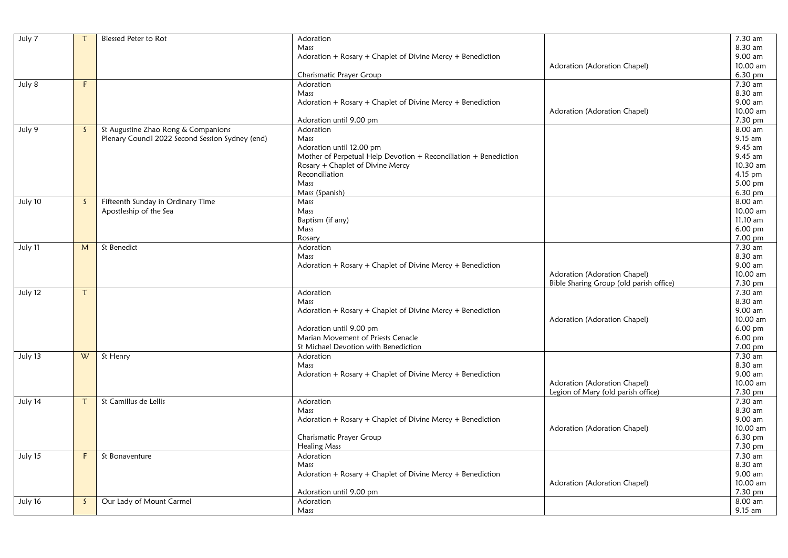| July 7  | $\tau$       | Blessed Peter to Rot                             | Adoration                                                        |                                         | 7.30 am              |
|---------|--------------|--------------------------------------------------|------------------------------------------------------------------|-----------------------------------------|----------------------|
|         |              |                                                  | Mass                                                             |                                         | 8.30 am              |
|         |              |                                                  | Adoration + Rosary + Chaplet of Divine Mercy + Benediction       |                                         | 9.00 am              |
|         |              |                                                  |                                                                  | Adoration (Adoration Chapel)            | 10.00 am             |
|         |              |                                                  | Charismatic Prayer Group                                         |                                         | 6.30 pm              |
| July 8  | F.           |                                                  | Adoration                                                        |                                         | 7.30 am              |
|         |              |                                                  | Mass                                                             |                                         | 8.30 am              |
|         |              |                                                  | Adoration + Rosary + Chaplet of Divine Mercy + Benediction       |                                         | 9.00 am              |
|         |              |                                                  |                                                                  | Adoration (Adoration Chapel)            | 10.00 am             |
|         |              |                                                  | Adoration until 9.00 pm                                          |                                         | 7.30 pm              |
| July 9  | $\mathsf{S}$ | St Augustine Zhao Rong & Companions              | Adoration                                                        |                                         | 8.00 am              |
|         |              | Plenary Council 2022 Second Session Sydney (end) | Mass                                                             |                                         | 9.15 am              |
|         |              |                                                  | Adoration until 12.00 pm                                         |                                         | $9.45$ am            |
|         |              |                                                  | Mother of Perpetual Help Devotion + Reconciliation + Benediction |                                         | 9.45 am              |
|         |              |                                                  | Rosary + Chaplet of Divine Mercy                                 |                                         | 10.30 am             |
|         |              |                                                  | Reconciliation                                                   |                                         | 4.15 pm              |
|         |              |                                                  | Mass                                                             |                                         | 5.00 pm              |
|         |              |                                                  | Mass (Spanish)                                                   |                                         | 6.30 pm              |
| July 10 | S.           | Fifteenth Sunday in Ordinary Time                | Mass                                                             |                                         | 8.00 am              |
|         |              | Apostleship of the Sea                           | Mass                                                             |                                         | 10.00 am             |
|         |              |                                                  | Baptism (if any)                                                 |                                         | 11.10 am             |
|         |              |                                                  | Mass                                                             |                                         | 6.00 pm              |
|         |              |                                                  | Rosary                                                           |                                         | 7.00 pm              |
| July 11 | M            | St Benedict                                      | Adoration                                                        |                                         | 7.30 am              |
|         |              |                                                  | Mass                                                             |                                         | 8.30 am              |
|         |              |                                                  | Adoration + Rosary + Chaplet of Divine Mercy + Benediction       |                                         | 9.00 am              |
|         |              |                                                  |                                                                  | Adoration (Adoration Chapel)            | 10.00 am             |
|         |              |                                                  |                                                                  | Bible Sharing Group (old parish office) | 7.30 pm              |
| July 12 | $\mathsf{T}$ |                                                  | Adoration                                                        |                                         | 7.30 am              |
|         |              |                                                  | Mass                                                             |                                         | 8.30 am              |
|         |              |                                                  | Adoration + Rosary + Chaplet of Divine Mercy + Benediction       |                                         | 9.00 am              |
|         |              |                                                  |                                                                  | Adoration (Adoration Chapel)            | 10.00 am             |
|         |              |                                                  | Adoration until 9.00 pm                                          |                                         | 6.00 pm              |
|         |              |                                                  | Marian Movement of Priests Cenacle                               |                                         | 6.00 pm              |
|         |              |                                                  | St Michael Devotion with Benediction                             |                                         | $7.00 \,\mathrm{pm}$ |
| July 13 | W            | St Henry                                         | Adoration                                                        |                                         | 7.30 am              |
|         |              |                                                  | Mass                                                             |                                         | 8.30 am              |
|         |              |                                                  | Adoration + Rosary + Chaplet of Divine Mercy + Benediction       |                                         | 9.00 am              |
|         |              |                                                  |                                                                  | Adoration (Adoration Chapel)            | 10.00 am             |
|         |              |                                                  |                                                                  | Legion of Mary (old parish office)      | 7.30 pm              |
| July 14 | $\mathsf{T}$ | St Camillus de Lellis                            | Adoration                                                        |                                         | 7.30 am              |
|         |              |                                                  | Mass                                                             |                                         | 8.30 am              |
|         |              |                                                  | Adoration + Rosary + Chaplet of Divine Mercy + Benediction       |                                         | 9.00 am<br>10.00 am  |
|         |              |                                                  |                                                                  | Adoration (Adoration Chapel)            |                      |
|         |              |                                                  | Charismatic Prayer Group<br><b>Healing Mass</b>                  |                                         | 6.30 pm<br>7.30 pm   |
|         |              |                                                  |                                                                  |                                         |                      |
| July 15 | F            | St Bonaventure                                   | Adoration                                                        |                                         | 7.30 am              |
|         |              |                                                  | Mass                                                             |                                         | 8.30 am<br>9.00 am   |
|         |              |                                                  | Adoration + Rosary + Chaplet of Divine Mercy + Benediction       |                                         | 10.00 am             |
|         |              |                                                  |                                                                  | Adoration (Adoration Chapel)            |                      |
|         |              |                                                  | Adoration until 9.00 pm                                          |                                         | 7.30 pm              |
| July 16 | $\mathsf{S}$ | Our Lady of Mount Carmel                         | Adoration                                                        |                                         | 8.00 am              |
|         |              |                                                  | Mass                                                             |                                         | 9.15 am              |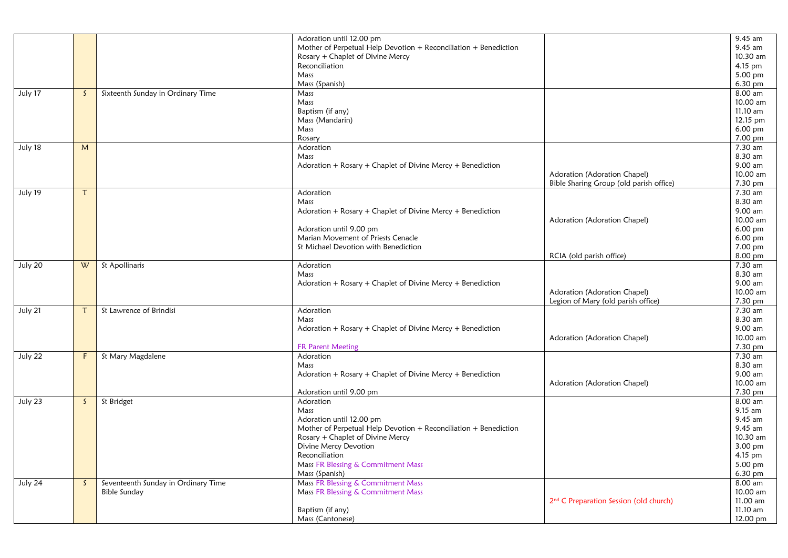|         |              |                                     | Adoration until 12.00 pm                                         |                                                    | 9.45 am            |
|---------|--------------|-------------------------------------|------------------------------------------------------------------|----------------------------------------------------|--------------------|
|         |              |                                     | Mother of Perpetual Help Devotion + Reconciliation + Benediction |                                                    | 9.45 am            |
|         |              |                                     | Rosary + Chaplet of Divine Mercy                                 |                                                    | 10.30 am           |
|         |              |                                     | Reconciliation                                                   |                                                    | 4.15 pm            |
|         |              |                                     | Mass                                                             |                                                    | 5.00 pm            |
|         |              |                                     | Mass (Spanish)                                                   |                                                    | 6.30 pm            |
| July 17 | $\mathsf{S}$ | Sixteenth Sunday in Ordinary Time   | Mass                                                             |                                                    | 8.00 am            |
|         |              |                                     | Mass                                                             |                                                    | 10.00 am           |
|         |              |                                     | Baptism (if any)                                                 |                                                    | 11.10 am           |
|         |              |                                     | Mass (Mandarin)                                                  |                                                    | 12.15 pm           |
|         |              |                                     | Mass                                                             |                                                    | 6.00 pm            |
|         |              |                                     | Rosary                                                           |                                                    | 7.00 pm            |
| July 18 | M            |                                     | Adoration                                                        |                                                    | 7.30 am            |
|         |              |                                     | Mass                                                             |                                                    | 8.30 am            |
|         |              |                                     | Adoration + Rosary + Chaplet of Divine Mercy + Benediction       |                                                    | 9.00 am            |
|         |              |                                     |                                                                  | Adoration (Adoration Chapel)                       | 10.00 am           |
|         |              |                                     |                                                                  | Bible Sharing Group (old parish office)            | 7.30 pm            |
| July 19 | т            |                                     | Adoration                                                        |                                                    | 7.30 am            |
|         |              |                                     | Mass                                                             |                                                    | 8.30 am            |
|         |              |                                     | Adoration + Rosary + Chaplet of Divine Mercy + Benediction       |                                                    | 9.00 am            |
|         |              |                                     |                                                                  | Adoration (Adoration Chapel)                       | 10.00 am           |
|         |              |                                     | Adoration until 9.00 pm                                          |                                                    | 6.00 pm            |
|         |              |                                     | Marian Movement of Priests Cenacle                               |                                                    | 6.00 pm            |
|         |              |                                     | St Michael Devotion with Benediction                             |                                                    |                    |
|         |              |                                     |                                                                  |                                                    | 7.00 pm<br>8.00 pm |
|         |              |                                     |                                                                  | RCIA (old parish office)                           |                    |
| July 20 | W            | St Apollinaris                      | Adoration                                                        |                                                    | 7.30 am            |
|         |              |                                     | Mass                                                             |                                                    | 8.30 am            |
|         |              |                                     | Adoration + Rosary + Chaplet of Divine Mercy + Benediction       |                                                    | 9.00 am            |
|         |              |                                     |                                                                  | Adoration (Adoration Chapel)                       | 10.00 am           |
|         |              |                                     |                                                                  | Legion of Mary (old parish office)                 | 7.30 pm            |
| July 21 | т            | St Lawrence of Brindisi             | Adoration                                                        |                                                    | 7.30 am            |
|         |              |                                     | Mass                                                             |                                                    | 8.30 am            |
|         |              |                                     | Adoration + Rosary + Chaplet of Divine Mercy + Benediction       |                                                    | 9.00 am            |
|         |              |                                     |                                                                  | Adoration (Adoration Chapel)                       | 10.00 am           |
|         |              |                                     | <b>FR Parent Meeting</b>                                         |                                                    | 7.30 pm            |
| July 22 | F            | St Mary Magdalene                   | Adoration                                                        |                                                    | 7.30 am            |
|         |              |                                     | Mass                                                             |                                                    | 8.30 am            |
|         |              |                                     | Adoration + Rosary + Chaplet of Divine Mercy + Benediction       |                                                    | 9.00 am            |
|         |              |                                     |                                                                  | Adoration (Adoration Chapel)                       | 10.00 am           |
|         |              |                                     | Adoration until 9.00 pm                                          |                                                    | 7.30 pm            |
| July 23 | $\mathsf{S}$ | St Bridget                          | Adoration                                                        |                                                    | 8.00 am            |
|         |              |                                     | Mass                                                             |                                                    | 9.15 am            |
|         |              |                                     | Adoration until 12.00 pm                                         |                                                    | 9.45 am            |
|         |              |                                     | Mother of Perpetual Help Devotion + Reconciliation + Benediction |                                                    | 9.45 am            |
|         |              |                                     | Rosary + Chaplet of Divine Mercy                                 |                                                    | 10.30 am           |
|         |              |                                     | Divine Mercy Devotion                                            |                                                    | 3.00 pm            |
|         |              |                                     | Reconciliation                                                   |                                                    | 4.15 pm            |
|         |              |                                     | Mass FR Blessing & Commitment Mass                               |                                                    | 5.00 pm            |
|         |              |                                     | Mass (Spanish)                                                   |                                                    | 6.30 pm            |
| July 24 | S.           | Seventeenth Sunday in Ordinary Time | Mass FR Blessing & Commitment Mass                               |                                                    | 8.00 am            |
|         |              | <b>Bible Sunday</b>                 | Mass FR Blessing & Commitment Mass                               |                                                    | 10.00 am           |
|         |              |                                     |                                                                  | 2 <sup>nd</sup> C Preparation Session (old church) | 11.00 am           |
|         |              |                                     | Baptism (if any)                                                 |                                                    | 11.10 am           |
|         |              |                                     | Mass (Cantonese)                                                 |                                                    | 12.00 pm           |
|         |              |                                     |                                                                  |                                                    |                    |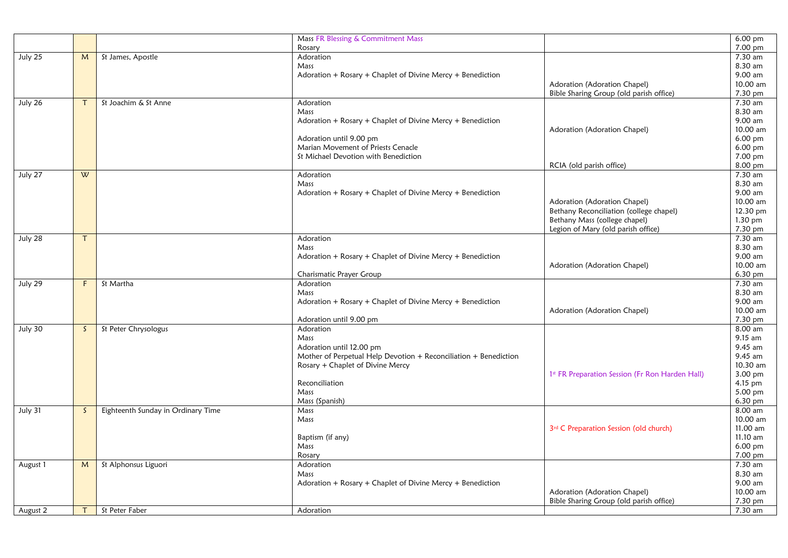|          |              |                                    | Mass FR Blessing & Commitment Mass                                 |                                                 | 6.00 pm              |
|----------|--------------|------------------------------------|--------------------------------------------------------------------|-------------------------------------------------|----------------------|
|          |              |                                    | Rosary                                                             |                                                 | $7.00 \,\mathrm{pm}$ |
| July 25  | M            | St James, Apostle                  | Adoration                                                          |                                                 | 7.30 am              |
|          |              |                                    | Mass                                                               |                                                 | 8.30 am              |
|          |              |                                    | Adoration + Rosary + Chaplet of Divine Mercy + Benediction         |                                                 | 9.00 am              |
|          |              |                                    |                                                                    | Adoration (Adoration Chapel)                    | 10.00 am             |
|          |              |                                    |                                                                    | Bible Sharing Group (old parish office)         | 7.30 pm              |
| July 26  | $\tau$       | St Joachim & St Anne               | Adoration                                                          |                                                 | 7.30 am              |
|          |              |                                    | Mass                                                               |                                                 | 8.30 am              |
|          |              |                                    | Adoration + Rosary + Chaplet of Divine Mercy + Benediction         |                                                 | 9.00 am              |
|          |              |                                    |                                                                    | Adoration (Adoration Chapel)                    | 10.00 am             |
|          |              |                                    | Adoration until 9.00 pm                                            |                                                 | 6.00 pm              |
|          |              |                                    | Marian Movement of Priests Cenacle                                 |                                                 | 6.00 pm              |
|          |              |                                    | St Michael Devotion with Benediction                               |                                                 | 7.00 pm              |
|          |              |                                    |                                                                    | RCIA (old parish office)                        | 8.00 pm              |
| July 27  | W            |                                    | Adoration                                                          |                                                 | 7.30 am<br>8.30 am   |
|          |              |                                    | Mass<br>Adoration + Rosary + Chaplet of Divine Mercy + Benediction |                                                 | 9.00 am              |
|          |              |                                    |                                                                    | Adoration (Adoration Chapel)                    | 10.00 am             |
|          |              |                                    |                                                                    | Bethany Reconciliation (college chapel)         | 12.30 pm             |
|          |              |                                    |                                                                    | Bethany Mass (college chapel)                   | 1.30 pm              |
|          |              |                                    |                                                                    | Legion of Mary (old parish office)              | $7.30$ pm            |
| July 28  | T            |                                    | Adoration                                                          |                                                 | 7.30 am              |
|          |              |                                    | Mass                                                               |                                                 | 8.30 am              |
|          |              |                                    | Adoration + Rosary + Chaplet of Divine Mercy + Benediction         |                                                 | 9.00 am              |
|          |              |                                    |                                                                    | Adoration (Adoration Chapel)                    | 10.00 am             |
|          |              |                                    | Charismatic Prayer Group                                           |                                                 | 6.30 pm              |
| July 29  | F            | St Martha                          | Adoration                                                          |                                                 | 7.30 am              |
|          |              |                                    | Mass                                                               |                                                 | 8.30 am              |
|          |              |                                    | Adoration + $Rosary$ + Chaplet of Divine Mercy + Benediction       |                                                 | 9.00 am              |
|          |              |                                    |                                                                    | Adoration (Adoration Chapel)                    | 10.00 am             |
|          |              |                                    | Adoration until 9.00 pm                                            |                                                 | 7.30 pm              |
| July 30  | $\mathsf{S}$ | St Peter Chrysologus               | Adoration                                                          |                                                 | 8.00 am              |
|          |              |                                    | Mass                                                               |                                                 | 9.15 am              |
|          |              |                                    | Adoration until 12.00 pm                                           |                                                 | 9.45 am              |
|          |              |                                    | Mother of Perpetual Help Devotion + Reconciliation + Benediction   |                                                 | 9.45 am              |
|          |              |                                    | Rosary + Chaplet of Divine Mercy                                   |                                                 | 10.30 am             |
|          |              |                                    | Reconciliation                                                     | 1st FR Preparation Session (Fr Ron Harden Hall) | 3.00 pm<br>4.15 pm   |
|          |              |                                    | Mass                                                               |                                                 | 5.00 pm              |
|          |              |                                    | Mass (Spanish)                                                     |                                                 | $6.30$ pm            |
| July 31  | $\mathsf{S}$ | Eighteenth Sunday in Ordinary Time | Mass                                                               |                                                 | 8.00 am              |
|          |              |                                    | Mass                                                               |                                                 | 10.00 am             |
|          |              |                                    |                                                                    | 3rd C Preparation Session (old church)          | 11.00 am             |
|          |              |                                    | Baptism (if any)                                                   |                                                 | 11.10 am             |
|          |              |                                    | Mass                                                               |                                                 | $6.00 \text{ pm}$    |
|          |              |                                    | Rosary                                                             |                                                 | 7.00 pm              |
| August 1 | M            | St Alphonsus Liguori               | Adoration                                                          |                                                 | 7.30 am              |
|          |              |                                    | Mass                                                               |                                                 | 8.30 am              |
|          |              |                                    | Adoration + Rosary + Chaplet of Divine Mercy + Benediction         |                                                 | 9.00 am              |
|          |              |                                    |                                                                    | Adoration (Adoration Chapel)                    | 10.00 am             |
|          |              |                                    |                                                                    | Bible Sharing Group (old parish office)         | 7.30 pm              |
| August 2 | $\mathsf{T}$ | St Peter Faber                     | Adoration                                                          |                                                 | 7.30 am              |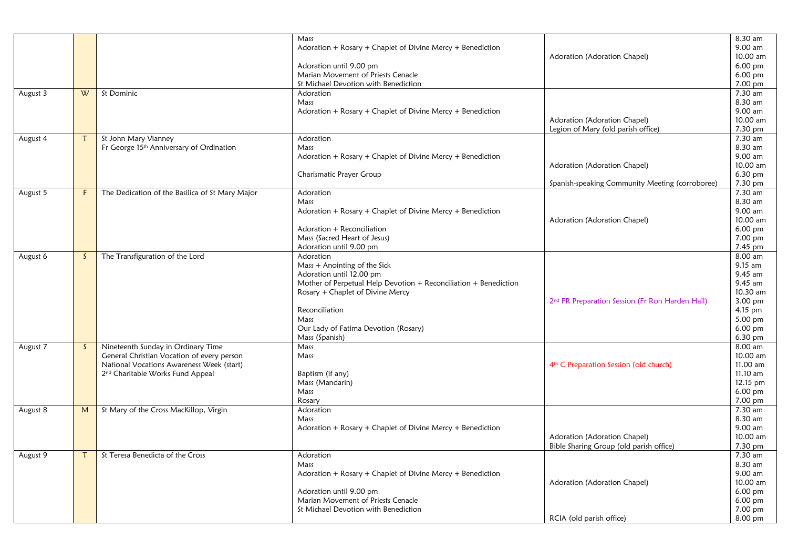|          |              |                                                 | Mass                                                             |                                                             | 8.30 am           |
|----------|--------------|-------------------------------------------------|------------------------------------------------------------------|-------------------------------------------------------------|-------------------|
|          |              |                                                 | Adoration + Rosary + Chaplet of Divine Mercy + Benediction       |                                                             | 9.00 am           |
|          |              |                                                 |                                                                  | Adoration (Adoration Chapel)                                | 10.00 am          |
|          |              |                                                 | Adoration until 9.00 pm                                          |                                                             | $6.00$ pm         |
|          |              |                                                 | Marian Movement of Priests Cenacle                               |                                                             | 6.00 pm           |
|          |              |                                                 | St Michael Devotion with Benediction                             |                                                             | 7.00 pm           |
| August 3 | W            | St Dominic                                      | Adoration                                                        |                                                             | 7.30 am           |
|          |              |                                                 | Mass                                                             |                                                             | 8.30 am           |
|          |              |                                                 | Adoration + Rosary + Chaplet of Divine Mercy + Benediction       |                                                             | 9.00 am           |
|          |              |                                                 |                                                                  | Adoration (Adoration Chapel)                                | 10.00 am          |
|          |              |                                                 |                                                                  | Legion of Mary (old parish office)                          | 7.30 pm           |
| August 4 | $\tau$       | St John Mary Vianney                            | Adoration                                                        |                                                             | 7.30 am           |
|          |              | Fr George 15th Anniversary of Ordination        | Mass                                                             |                                                             | 8.30 am           |
|          |              |                                                 | Adoration + Rosary + Chaplet of Divine Mercy + Benediction       |                                                             | 9.00 am           |
|          |              |                                                 |                                                                  | Adoration (Adoration Chapel)                                | 10.00 am          |
|          |              |                                                 | Charismatic Prayer Group                                         |                                                             | 6.30 pm           |
|          |              |                                                 |                                                                  | Spanish-speaking Community Meeting (corroboree)             | 7.30 pm           |
| August 5 | F.           | The Dedication of the Basilica of St Mary Major | Adoration                                                        |                                                             | 7.30 am           |
|          |              |                                                 | Mass                                                             |                                                             | 8.30 am           |
|          |              |                                                 | Adoration $+$ Rosary $+$ Chaplet of Divine Mercy $+$ Benediction |                                                             | 9.00 am           |
|          |              |                                                 |                                                                  | Adoration (Adoration Chapel)                                | 10.00 am          |
|          |              |                                                 | Adoration + Reconciliation                                       |                                                             | 6.00 pm           |
|          |              |                                                 | Mass (Sacred Heart of Jesus)                                     |                                                             | 7.00 pm           |
|          |              |                                                 | Adoration until 9.00 pm                                          |                                                             | 7.45 pm           |
| August 6 | <sub>S</sub> | The Transfiguration of the Lord                 | Adoration                                                        |                                                             | 8.00 am           |
|          |              |                                                 | Mass + Anointing of the Sick                                     |                                                             | $9.15$ am         |
|          |              |                                                 | Adoration until 12.00 pm                                         |                                                             | 9.45 am           |
|          |              |                                                 | Mother of Perpetual Help Devotion + Reconciliation + Benediction |                                                             | $9.45$ am         |
|          |              |                                                 | Rosary + Chaplet of Divine Mercy                                 |                                                             | 10.30 am          |
|          |              |                                                 |                                                                  | 2 <sup>nd</sup> FR Preparation Session (Fr Ron Harden Hall) | 3.00 pm           |
|          |              |                                                 | Reconciliation                                                   |                                                             | $4.15$ pm         |
|          |              |                                                 | Mass                                                             |                                                             | 5.00 pm           |
|          |              |                                                 | Our Lady of Fatima Devotion (Rosary)                             |                                                             | $6.00$ pm         |
|          |              |                                                 | Mass (Spanish)                                                   |                                                             | 6.30 pm           |
| August 7 | S.           | Nineteenth Sunday in Ordinary Time              | Mass                                                             |                                                             | 8.00 am           |
|          |              | General Christian Vocation of every person      | Mass                                                             |                                                             | 10.00 am          |
|          |              | National Vocations Awareness Week (start)       |                                                                  | 4 <sup>th</sup> C Preparation Session (old church)          | 11.00 am          |
|          |              | 2 <sup>nd</sup> Charitable Works Fund Appeal    | Baptism (if any)                                                 |                                                             | 11.10 am          |
|          |              |                                                 | Mass (Mandarin)                                                  |                                                             | 12.15 pm          |
|          |              |                                                 | Mass                                                             |                                                             | 6.00 pm           |
|          |              |                                                 | Rosary                                                           |                                                             | 7.00 pm           |
| August 8 | M            | St Mary of the Cross MacKillop, Virgin          | Adoration                                                        |                                                             | 7.30 am           |
|          |              |                                                 | Mass                                                             |                                                             | 8.30 am           |
|          |              |                                                 | Adoration + Rosary + Chaplet of Divine Mercy + Benediction       |                                                             | 9.00 am           |
|          |              |                                                 |                                                                  | Adoration (Adoration Chapel)                                | 10.00 am          |
|          |              |                                                 |                                                                  | Bible Sharing Group (old parish office)                     | 7.30 pm           |
| August 9 | $\tau$       | St Teresa Benedicta of the Cross                | Adoration                                                        |                                                             | 7.30 am           |
|          |              |                                                 | Mass                                                             |                                                             | 8.30 am           |
|          |              |                                                 | Adoration + Rosary + Chaplet of Divine Mercy + Benediction       |                                                             | 9.00 am           |
|          |              |                                                 |                                                                  | Adoration (Adoration Chapel)                                | 10.00 am          |
|          |              |                                                 | Adoration until 9.00 pm                                          |                                                             | $6.00 \text{ pm}$ |
|          |              |                                                 | Marian Movement of Priests Cenacle                               |                                                             | $6.00$ pm         |
|          |              |                                                 | St Michael Devotion with Benediction                             |                                                             | 7.00 pm           |
|          |              |                                                 |                                                                  | RCIA (old parish office)                                    | 8.00 pm           |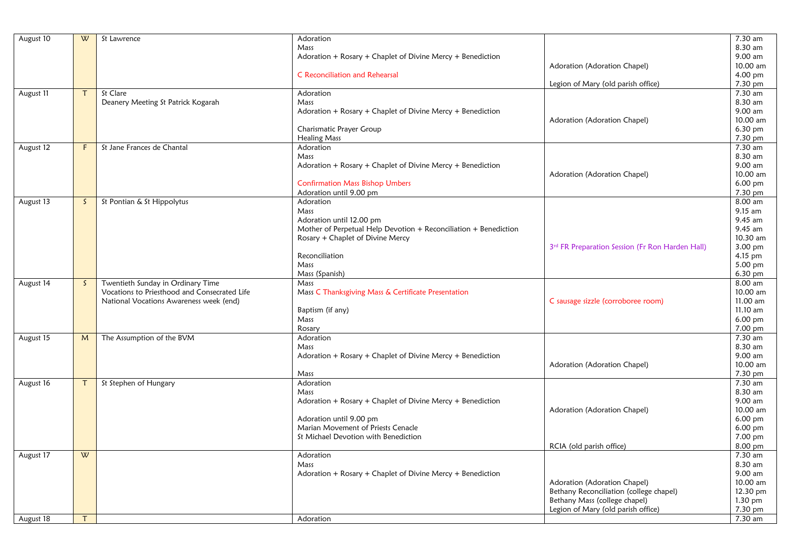| August 10 | W            | St Lawrence                                  | Adoration                                                        |                                                 | 7.30 am    |
|-----------|--------------|----------------------------------------------|------------------------------------------------------------------|-------------------------------------------------|------------|
|           |              |                                              | Mass                                                             |                                                 | 8.30 am    |
|           |              |                                              | Adoration + Rosary + Chaplet of Divine Mercy + Benediction       |                                                 | 9.00 am    |
|           |              |                                              |                                                                  | Adoration (Adoration Chapel)                    | 10.00 am   |
|           |              |                                              | <b>C</b> Reconciliation and Rehearsal                            |                                                 | 4.00 pm    |
|           |              |                                              |                                                                  | Legion of Mary (old parish office)              | 7.30 pm    |
| August 11 | $\mathsf{T}$ | St Clare                                     | Adoration                                                        |                                                 | 7.30 am    |
|           |              | Deanery Meeting St Patrick Kogarah           | Mass                                                             |                                                 | 8.30 am    |
|           |              |                                              | Adoration + Rosary + Chaplet of Divine Mercy + Benediction       |                                                 | 9.00 am    |
|           |              |                                              |                                                                  | Adoration (Adoration Chapel)                    | 10.00 am   |
|           |              |                                              | Charismatic Prayer Group                                         |                                                 | 6.30 pm    |
|           |              |                                              | <b>Healing Mass</b>                                              |                                                 | 7.30 pm    |
| August 12 | F            | St Jane Frances de Chantal                   | Adoration                                                        |                                                 | 7.30 am    |
|           |              |                                              | Mass                                                             |                                                 | 8.30 am    |
|           |              |                                              | Adoration + Rosary + Chaplet of Divine Mercy + Benediction       |                                                 | 9.00 am    |
|           |              |                                              |                                                                  | Adoration (Adoration Chapel)                    | 10.00 am   |
|           |              |                                              | <b>Confirmation Mass Bishop Umbers</b>                           |                                                 | $6.00$ pm  |
|           |              |                                              | Adoration until 9.00 pm                                          |                                                 | 7.30 pm    |
| August 13 | S.           | St Pontian & St Hippolytus                   | Adoration                                                        |                                                 | 8.00 am    |
|           |              |                                              | Mass                                                             |                                                 | 9.15 am    |
|           |              |                                              | Adoration until 12.00 pm                                         |                                                 | 9.45 am    |
|           |              |                                              | Mother of Perpetual Help Devotion + Reconciliation + Benediction |                                                 | 9.45 am    |
|           |              |                                              | Rosary + Chaplet of Divine Mercy                                 |                                                 | 10.30 am   |
|           |              |                                              |                                                                  | 3rd FR Preparation Session (Fr Ron Harden Hall) | 3.00 pm    |
|           |              |                                              | Reconciliation                                                   |                                                 | $4.15$ pm  |
|           |              |                                              | Mass                                                             |                                                 | 5.00 pm    |
|           |              |                                              | Mass (Spanish)                                                   |                                                 | 6.30 pm    |
| August 14 | S.           | Twentieth Sunday in Ordinary Time            | Mass                                                             |                                                 | 8.00 am    |
|           |              | Vocations to Priesthood and Consecrated Life | Mass C Thanksgiving Mass & Certificate Presentation              |                                                 | 10.00 am   |
|           |              | National Vocations Awareness week (end)      |                                                                  | C sausage sizzle (corroboree room)              | 11.00 am   |
|           |              |                                              | Baptism (if any)                                                 |                                                 | $11.10$ am |
|           |              |                                              | Mass                                                             |                                                 | 6.00 pm    |
|           |              |                                              | Rosary                                                           |                                                 | 7.00 pm    |
| August 15 | M            | The Assumption of the BVM                    | Adoration                                                        |                                                 | 7.30 am    |
|           |              |                                              | Mass                                                             |                                                 | 8.30 am    |
|           |              |                                              | Adoration + Rosary + Chaplet of Divine Mercy + Benediction       |                                                 | 9.00 am    |
|           |              |                                              |                                                                  | Adoration (Adoration Chapel)                    | 10.00 am   |
|           |              |                                              | Mass                                                             |                                                 | 7.30 pm    |
| August 16 | T            | St Stephen of Hungary                        | Adoration                                                        |                                                 | 7.30 am    |
|           |              |                                              | Mass                                                             |                                                 | 8.30 am    |
|           |              |                                              | Adoration + Rosary + Chaplet of Divine Mercy + Benediction       |                                                 | 9.00 am    |
|           |              |                                              |                                                                  | Adoration (Adoration Chapel)                    | 10.00 am   |
|           |              |                                              | Adoration until 9.00 pm                                          |                                                 | $6.00$ pm  |
|           |              |                                              | Marian Movement of Priests Cenacle                               |                                                 | $6.00$ pm  |
|           |              |                                              | St Michael Devotion with Benediction                             |                                                 | 7.00 pm    |
|           |              |                                              |                                                                  | RCIA (old parish office)                        | 8.00 pm    |
| August 17 | W            |                                              | Adoration                                                        |                                                 | 7.30 am    |
|           |              |                                              | Mass                                                             |                                                 | 8.30 am    |
|           |              |                                              | Adoration + Rosary + Chaplet of Divine Mercy + Benediction       |                                                 | 9.00 am    |
|           |              |                                              |                                                                  | Adoration (Adoration Chapel)                    | 10.00 am   |
|           |              |                                              |                                                                  | Bethany Reconciliation (college chapel)         | 12.30 pm   |
|           |              |                                              |                                                                  | Bethany Mass (college chapel)                   | 1.30 pm    |
|           |              |                                              |                                                                  | Legion of Mary (old parish office)              | 7.30 pm    |
| August 18 | $\mathsf{T}$ |                                              | Adoration                                                        |                                                 | 7.30 am    |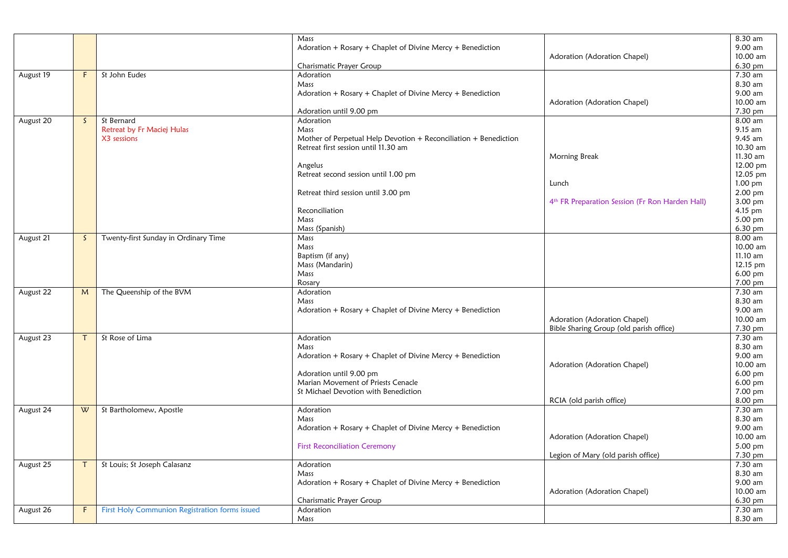|           |              |                                                | Mass                                                             |                                                             | 8.30 am   |
|-----------|--------------|------------------------------------------------|------------------------------------------------------------------|-------------------------------------------------------------|-----------|
|           |              |                                                | Adoration + Rosary + Chaplet of Divine Mercy + Benediction       |                                                             | 9.00 am   |
|           |              |                                                |                                                                  | Adoration (Adoration Chapel)                                | 10.00 am  |
|           |              |                                                | Charismatic Prayer Group                                         |                                                             | 6.30 pm   |
| August 19 | F            | St John Eudes                                  | Adoration                                                        |                                                             | 7.30 am   |
|           |              |                                                | Mass                                                             |                                                             | 8.30 am   |
|           |              |                                                | Adoration + Rosary + Chaplet of Divine Mercy + Benediction       |                                                             | 9.00 am   |
|           |              |                                                |                                                                  | Adoration (Adoration Chapel)                                | 10.00 am  |
|           |              |                                                | Adoration until 9.00 pm                                          |                                                             | 7.30 pm   |
| August 20 | S.           | St Bernard                                     | Adoration                                                        |                                                             | 8.00 am   |
|           |              | Retreat by Fr Maciej Hulas                     | Mass                                                             |                                                             | $9.15$ am |
|           |              | X3 sessions                                    | Mother of Perpetual Help Devotion + Reconciliation + Benediction |                                                             | 9.45 am   |
|           |              |                                                | Retreat first session until 11.30 am                             |                                                             | 10.30 am  |
|           |              |                                                |                                                                  | Morning Break                                               | 11.30 am  |
|           |              |                                                | Angelus                                                          |                                                             | 12.00 pm  |
|           |              |                                                | Retreat second session until 1.00 pm                             |                                                             | 12.05 pm  |
|           |              |                                                |                                                                  | Lunch                                                       | 1.00 pm   |
|           |              |                                                | Retreat third session until 3.00 pm                              |                                                             | 2.00 pm   |
|           |              |                                                |                                                                  | 4 <sup>th</sup> FR Preparation Session (Fr Ron Harden Hall) | 3.00 pm   |
|           |              |                                                | Reconciliation                                                   |                                                             | 4.15 pm   |
|           |              |                                                | Mass                                                             |                                                             | 5.00 pm   |
|           |              |                                                | Mass (Spanish)                                                   |                                                             | 6.30 pm   |
| August 21 | $\mathsf{S}$ | Twenty-first Sunday in Ordinary Time           | Mass                                                             |                                                             | 8.00 am   |
|           |              |                                                | Mass                                                             |                                                             | 10.00 am  |
|           |              |                                                | Baptism (if any)                                                 |                                                             | 11.10 am  |
|           |              |                                                | Mass (Mandarin)                                                  |                                                             | 12.15 pm  |
|           |              |                                                | Mass                                                             |                                                             | 6.00 pm   |
|           |              |                                                | Rosary                                                           |                                                             | 7.00 pm   |
| August 22 | M            | The Queenship of the BVM                       | Adoration                                                        |                                                             | 7.30 am   |
|           |              |                                                | Mass                                                             |                                                             | 8.30 am   |
|           |              |                                                | Adoration + Rosary + Chaplet of Divine Mercy + Benediction       |                                                             | 9.00 am   |
|           |              |                                                |                                                                  | Adoration (Adoration Chapel)                                | 10.00 am  |
|           |              |                                                |                                                                  | Bible Sharing Group (old parish office)                     | 7.30 pm   |
| August 23 | Τ            | St Rose of Lima                                | Adoration                                                        |                                                             | 7.30 am   |
|           |              |                                                | Mass                                                             |                                                             | 8.30 am   |
|           |              |                                                | Adoration + Rosary + Chaplet of Divine Mercy + Benediction       |                                                             | 9.00 am   |
|           |              |                                                |                                                                  | Adoration (Adoration Chapel)                                | 10.00 am  |
|           |              |                                                | Adoration until 9.00 pm                                          |                                                             | 6.00 pm   |
|           |              |                                                | Marian Movement of Priests Cenacle                               |                                                             | 6.00 pm   |
|           |              |                                                | St Michael Devotion with Benediction                             |                                                             | 7.00 pm   |
|           |              |                                                |                                                                  | RCIA (old parish office)                                    | 8.00 pm   |
| August 24 | W            | St Bartholomew, Apostle                        | Adoration                                                        |                                                             | 7.30 am   |
|           |              |                                                | Mass                                                             |                                                             | 8.30 am   |
|           |              |                                                | Adoration + Rosary + Chaplet of Divine Mercy + Benediction       |                                                             | 9.00 am   |
|           |              |                                                |                                                                  | Adoration (Adoration Chapel)                                | 10.00 am  |
|           |              |                                                | <b>First Reconciliation Ceremony</b>                             |                                                             | 5.00 pm   |
|           |              |                                                |                                                                  | Legion of Mary (old parish office)                          | 7.30 pm   |
| August 25 | $\tau$       | St Louis; St Joseph Calasanz                   | Adoration                                                        |                                                             | $7.30$ am |
|           |              |                                                | Mass                                                             |                                                             | 8.30 am   |
|           |              |                                                | Adoration + Rosary + Chaplet of Divine Mercy + Benediction       |                                                             | 9.00 am   |
|           |              |                                                |                                                                  | Adoration (Adoration Chapel)                                | 10.00 am  |
|           |              |                                                | Charismatic Prayer Group                                         |                                                             | 6.30 pm   |
| August 26 | F            | First Holy Communion Registration forms issued | Adoration                                                        |                                                             | 7.30 am   |
|           |              |                                                | Mass                                                             |                                                             | 8.30 am   |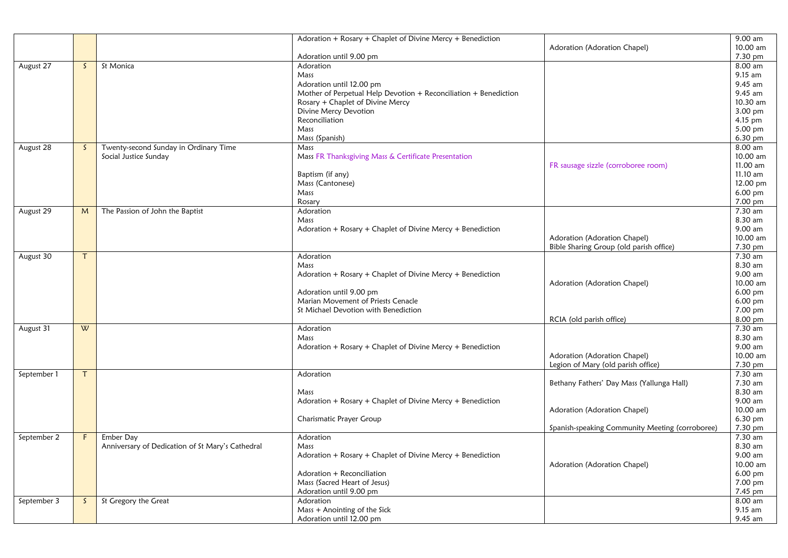|             |              |                                                  | Adoration + Rosary + Chaplet of Divine Mercy + Benediction       |                                                 | 9.00 am   |
|-------------|--------------|--------------------------------------------------|------------------------------------------------------------------|-------------------------------------------------|-----------|
|             |              |                                                  |                                                                  | Adoration (Adoration Chapel)                    | 10.00 am  |
|             |              |                                                  | Adoration until 9.00 pm                                          |                                                 | 7.30 pm   |
| August 27   | S.           | St Monica                                        | Adoration                                                        |                                                 | 8.00 am   |
|             |              |                                                  | Mass                                                             |                                                 | 9.15 am   |
|             |              |                                                  |                                                                  |                                                 | 9.45 am   |
|             |              |                                                  | Adoration until 12.00 pm                                         |                                                 |           |
|             |              |                                                  | Mother of Perpetual Help Devotion + Reconciliation + Benediction |                                                 | 9.45 am   |
|             |              |                                                  | Rosary + Chaplet of Divine Mercy                                 |                                                 | 10.30 am  |
|             |              |                                                  | Divine Mercy Devotion                                            |                                                 | 3.00 pm   |
|             |              |                                                  | Reconciliation                                                   |                                                 | 4.15 pm   |
|             |              |                                                  | Mass                                                             |                                                 | 5.00 pm   |
|             |              |                                                  | Mass (Spanish)                                                   |                                                 | 6.30 pm   |
| August 28   | $\mathsf{S}$ | Twenty-second Sunday in Ordinary Time            | Mass                                                             |                                                 | 8.00 am   |
|             |              | Social Justice Sunday                            | Mass FR Thanksgiving Mass & Certificate Presentation             |                                                 | 10.00 am  |
|             |              |                                                  |                                                                  | FR sausage sizzle (corroboree room)             | 11.00 am  |
|             |              |                                                  | Baptism (if any)                                                 |                                                 | 11.10 am  |
|             |              |                                                  | Mass (Cantonese)                                                 |                                                 | 12.00 pm  |
|             |              |                                                  | Mass                                                             |                                                 | 6.00 pm   |
|             |              |                                                  | Rosary                                                           |                                                 | 7.00 pm   |
|             | M            |                                                  | Adoration                                                        |                                                 | 7.30 am   |
| August 29   |              | The Passion of John the Baptist                  |                                                                  |                                                 | 8.30 am   |
|             |              |                                                  | Mass                                                             |                                                 |           |
|             |              |                                                  | Adoration + Rosary + Chaplet of Divine Mercy + Benediction       |                                                 | 9.00 am   |
|             |              |                                                  |                                                                  | Adoration (Adoration Chapel)                    | 10.00 am  |
|             |              |                                                  |                                                                  | Bible Sharing Group (old parish office)         | 7.30 pm   |
| August 30   | T            |                                                  | Adoration                                                        |                                                 | 7.30 am   |
|             |              |                                                  | Mass                                                             |                                                 | 8.30 am   |
|             |              |                                                  | Adoration + Rosary + Chaplet of Divine Mercy + Benediction       |                                                 | 9.00 am   |
|             |              |                                                  |                                                                  | Adoration (Adoration Chapel)                    | 10.00 am  |
|             |              |                                                  | Adoration until 9.00 pm                                          |                                                 | $6.00$ pm |
|             |              |                                                  | Marian Movement of Priests Cenacle                               |                                                 | 6.00 pm   |
|             |              |                                                  | St Michael Devotion with Benediction                             |                                                 | 7.00 pm   |
|             |              |                                                  |                                                                  | RCIA (old parish office)                        | 8.00 pm   |
| August 31   | W            |                                                  | Adoration                                                        |                                                 | 7.30 am   |
|             |              |                                                  | Mass                                                             |                                                 | 8.30 am   |
|             |              |                                                  | Adoration + Rosary + Chaplet of Divine Mercy + Benediction       |                                                 | 9.00 am   |
|             |              |                                                  |                                                                  |                                                 | 10.00 am  |
|             |              |                                                  |                                                                  | Adoration (Adoration Chapel)                    |           |
|             |              |                                                  |                                                                  | Legion of Mary (old parish office)              | 7.30 pm   |
| September 1 | $\mathsf{T}$ |                                                  | Adoration                                                        |                                                 | 7.30 am   |
|             |              |                                                  |                                                                  | Bethany Fathers' Day Mass (Yallunga Hall)       | 7.30 am   |
|             |              |                                                  | Mass                                                             |                                                 | 8.30 am   |
|             |              |                                                  | Adoration + Rosary + Chaplet of Divine Mercy + Benediction       |                                                 | 9.00 am   |
|             |              |                                                  |                                                                  | Adoration (Adoration Chapel)                    | 10.00 am  |
|             |              |                                                  | Charismatic Prayer Group                                         |                                                 | 6.30 pm   |
|             |              |                                                  |                                                                  | Spanish-speaking Community Meeting (corroboree) | 7.30 pm   |
| September 2 | F            | Ember Day                                        | Adoration                                                        |                                                 | 7.30 am   |
|             |              | Anniversary of Dedication of St Mary's Cathedral | Mass                                                             |                                                 | 8.30 am   |
|             |              |                                                  | Adoration + Rosary + Chaplet of Divine Mercy + Benediction       |                                                 | 9.00 am   |
|             |              |                                                  |                                                                  | Adoration (Adoration Chapel)                    | 10.00 am  |
|             |              |                                                  | Adoration + Reconciliation                                       |                                                 | 6.00 pm   |
|             |              |                                                  | Mass (Sacred Heart of Jesus)                                     |                                                 | 7.00 pm   |
|             |              |                                                  | Adoration until 9.00 pm                                          |                                                 | 7.45 pm   |
| September 3 | S.           | St Gregory the Great                             | Adoration                                                        |                                                 | 8.00 am   |
|             |              |                                                  |                                                                  |                                                 | $9.15$ am |
|             |              |                                                  | Mass + Anointing of the Sick                                     |                                                 |           |
|             |              |                                                  | Adoration until 12.00 pm                                         |                                                 | 9.45 am   |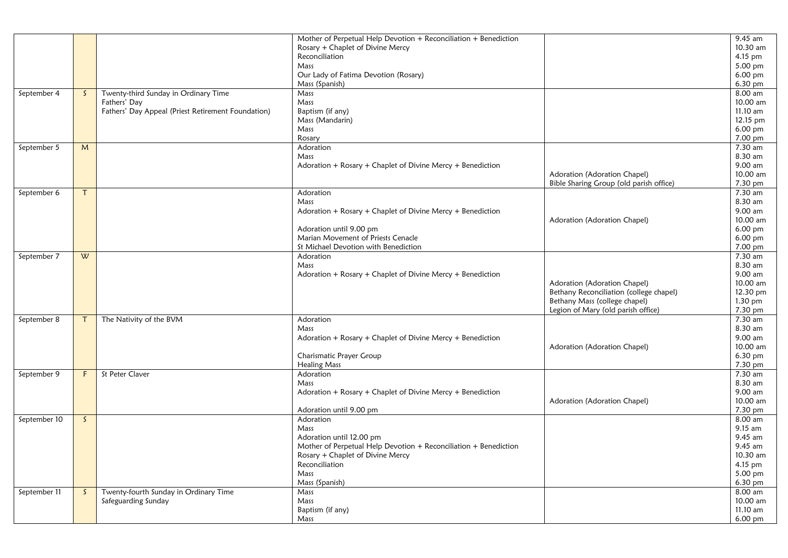|              |              |                                                    | Mother of Perpetual Help Devotion + Reconciliation + Benediction                             |                                         | $9.45$ am           |
|--------------|--------------|----------------------------------------------------|----------------------------------------------------------------------------------------------|-----------------------------------------|---------------------|
|              |              |                                                    | Rosary + Chaplet of Divine Mercy                                                             |                                         | 10.30 am            |
|              |              |                                                    | Reconciliation                                                                               |                                         | 4.15 pm             |
|              |              |                                                    | Mass                                                                                         |                                         | 5.00 pm             |
|              |              |                                                    | Our Lady of Fatima Devotion (Rosary)                                                         |                                         | 6.00 pm             |
|              |              |                                                    | Mass (Spanish)                                                                               |                                         | 6.30 pm             |
| September 4  | <sub>S</sub> | Twenty-third Sunday in Ordinary Time               | Mass                                                                                         |                                         | $8.00$ am           |
|              |              | Fathers' Day                                       | Mass                                                                                         |                                         | 10.00 am            |
|              |              | Fathers' Day Appeal (Priest Retirement Foundation) | Baptism (if any)                                                                             |                                         | 11.10 am            |
|              |              |                                                    | Mass (Mandarin)                                                                              |                                         | 12.15 pm            |
|              |              |                                                    | Mass                                                                                         |                                         | 6.00 pm             |
|              |              |                                                    | Rosary                                                                                       |                                         | 7.00 pm             |
| September 5  | M            |                                                    | Adoration                                                                                    |                                         | 7.30 am             |
|              |              |                                                    | Mass                                                                                         |                                         | 8.30 am             |
|              |              |                                                    | Adoration + Rosary + Chaplet of Divine Mercy + Benediction                                   |                                         | 9.00 am             |
|              |              |                                                    |                                                                                              | Adoration (Adoration Chapel)            | 10.00 am            |
|              |              |                                                    |                                                                                              | Bible Sharing Group (old parish office) | 7.30 pm             |
| September 6  | T            |                                                    | Adoration                                                                                    |                                         | 7.30 am             |
|              |              |                                                    | Mass                                                                                         |                                         | 8.30 am             |
|              |              |                                                    | Adoration + Rosary + Chaplet of Divine Mercy + Benediction                                   |                                         | 9.00 am             |
|              |              |                                                    |                                                                                              | Adoration (Adoration Chapel)            | 10.00 am            |
|              |              |                                                    | Adoration until 9.00 pm                                                                      |                                         | 6.00 pm             |
|              |              |                                                    | Marian Movement of Priests Cenacle                                                           |                                         | 6.00 pm             |
|              |              |                                                    | St Michael Devotion with Benediction                                                         |                                         | 7.00 pm             |
| September 7  | W            |                                                    | Adoration                                                                                    |                                         | 7.30 am             |
|              |              |                                                    | Mass                                                                                         |                                         | 8.30 am             |
|              |              |                                                    | Adoration + Rosary + Chaplet of Divine Mercy + Benediction                                   |                                         | 9.00 am             |
|              |              |                                                    |                                                                                              | Adoration (Adoration Chapel)            | 10.00 am            |
|              |              |                                                    |                                                                                              | Bethany Reconciliation (college chapel) | 12.30 pm            |
|              |              |                                                    |                                                                                              | Bethany Mass (college chapel)           | 1.30 pm             |
|              |              |                                                    |                                                                                              | Legion of Mary (old parish office)      | 7.30 pm             |
| September 8  | $\tau$       | The Nativity of the BVM                            | Adoration                                                                                    |                                         | 7.30 am             |
|              |              |                                                    | Mass                                                                                         |                                         | 8.30 am             |
|              |              |                                                    |                                                                                              |                                         | 9.00 am             |
|              |              |                                                    | Adoration + Rosary + Chaplet of Divine Mercy + Benediction                                   | Adoration (Adoration Chapel)            | 10.00 am            |
|              |              |                                                    | Charismatic Prayer Group                                                                     |                                         | 6.30 pm             |
|              |              |                                                    | <b>Healing Mass</b>                                                                          |                                         | 7.30 pm             |
|              | F.           | St Peter Claver                                    | Adoration                                                                                    |                                         | 7.30 am             |
| September 9  |              |                                                    | Mass                                                                                         |                                         | 8.30 am             |
|              |              |                                                    | Adoration + Rosary + Chaplet of Divine Mercy + Benediction                                   |                                         | 9.00 am             |
|              |              |                                                    |                                                                                              | Adoration (Adoration Chapel)            | 10.00 am            |
|              |              |                                                    | Adoration until 9.00 pm                                                                      |                                         | 7.30 pm             |
|              | S.           |                                                    | Adoration                                                                                    |                                         | $8.00$ am           |
| September 10 |              |                                                    | Mass                                                                                         |                                         | 9.15 am             |
|              |              |                                                    |                                                                                              |                                         | 9.45 am             |
|              |              |                                                    | Adoration until 12.00 pm<br>Mother of Perpetual Help Devotion + Reconciliation + Benediction |                                         | $9.45$ am           |
|              |              |                                                    |                                                                                              |                                         |                     |
|              |              |                                                    | Rosary + Chaplet of Divine Mercy<br>Reconciliation                                           |                                         | 10.30 am<br>4.15 pm |
|              |              |                                                    | Mass                                                                                         |                                         | $5.00$ pm           |
|              |              |                                                    | Mass (Spanish)                                                                               |                                         | 6.30 pm             |
| September 11 | $\mathsf{S}$ | Twenty-fourth Sunday in Ordinary Time              |                                                                                              |                                         | 8.00 am             |
|              |              | Safeguarding Sunday                                | Mass<br>Mass                                                                                 |                                         | 10.00 am            |
|              |              |                                                    |                                                                                              |                                         | 11.10 am            |
|              |              |                                                    | Baptism (if any)                                                                             |                                         |                     |
|              |              |                                                    | Mass                                                                                         |                                         | 6.00 pm             |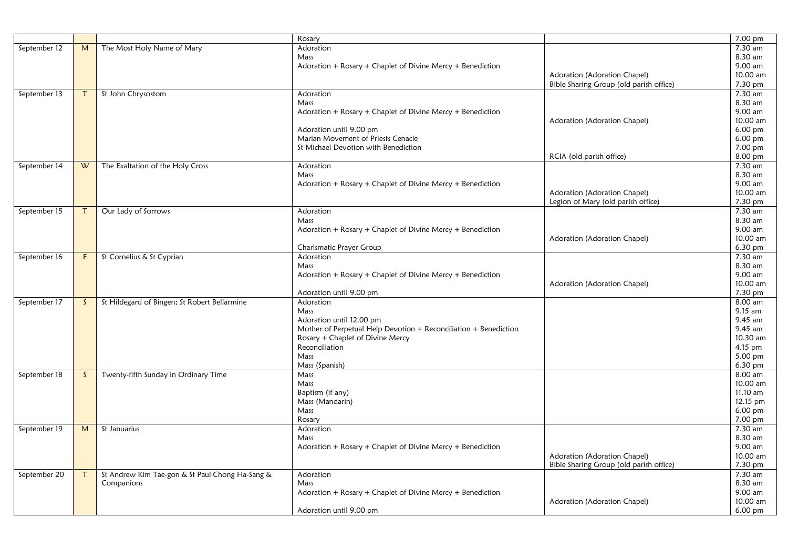|              |              |                                                 | Rosary                                                           |                                         | 7.00 pm              |
|--------------|--------------|-------------------------------------------------|------------------------------------------------------------------|-----------------------------------------|----------------------|
| September 12 | M            | The Most Holy Name of Mary                      | Adoration                                                        |                                         | 7.30 am              |
|              |              |                                                 | Mass                                                             |                                         | 8.30 am              |
|              |              |                                                 | Adoration + Rosary + Chaplet of Divine Mercy + Benediction       |                                         | 9.00 am              |
|              |              |                                                 |                                                                  | Adoration (Adoration Chapel)            | 10.00 am             |
|              |              |                                                 |                                                                  | Bible Sharing Group (old parish office) | 7.30 pm              |
| September 13 |              | St John Chrysostom                              | Adoration                                                        |                                         | 7.30 am              |
|              |              |                                                 | Mass                                                             |                                         | 8.30 am              |
|              |              |                                                 | Adoration + Rosary + Chaplet of Divine Mercy + Benediction       |                                         | 9.00 am              |
|              |              |                                                 |                                                                  | Adoration (Adoration Chapel)            | 10.00 am             |
|              |              |                                                 | Adoration until 9.00 pm                                          |                                         | 6.00 pm              |
|              |              |                                                 | Marian Movement of Priests Cenacle                               |                                         | $6.00 \,\mathrm{pm}$ |
|              |              |                                                 | St Michael Devotion with Benediction                             |                                         | 7.00 pm              |
|              |              |                                                 |                                                                  | RCIA (old parish office)                | 8.00 pm              |
| September 14 | W            | The Exaltation of the Holy Cross                | Adoration                                                        |                                         | 7.30 am              |
|              |              |                                                 |                                                                  |                                         | 8.30 am              |
|              |              |                                                 | Mass                                                             |                                         | 9.00 am              |
|              |              |                                                 | Adoration + Rosary + Chaplet of Divine Mercy + Benediction       |                                         |                      |
|              |              |                                                 |                                                                  | Adoration (Adoration Chapel)            | 10.00 am             |
|              |              |                                                 |                                                                  | Legion of Mary (old parish office)      | 7.30 pm              |
| September 15 | Τ            | Our Lady of Sorrows                             | Adoration                                                        |                                         | 7.30 am              |
|              |              |                                                 | Mass                                                             |                                         | 8.30 am              |
|              |              |                                                 | Adoration + Rosary + Chaplet of Divine Mercy + Benediction       |                                         | 9.00 am              |
|              |              |                                                 |                                                                  | Adoration (Adoration Chapel)            | 10.00 am             |
|              |              |                                                 | Charismatic Prayer Group                                         |                                         | 6.30 pm              |
| September 16 | F            | St Cornelius & St Cyprian                       | Adoration                                                        |                                         | 7.30 am              |
|              |              |                                                 | Mass                                                             |                                         | 8.30 am              |
|              |              |                                                 | Adoration + Rosary + Chaplet of Divine Mercy + Benediction       |                                         | 9.00 am              |
|              |              |                                                 |                                                                  | Adoration (Adoration Chapel)            | 10.00 am             |
|              |              |                                                 | Adoration until 9.00 pm                                          |                                         | 7.30 pm              |
| September 17 | S.           | St Hildegard of Bingen; St Robert Bellarmine    | Adoration                                                        |                                         | 8.00 am              |
|              |              |                                                 | Mass                                                             |                                         | 9.15 am              |
|              |              |                                                 | Adoration until 12.00 pm                                         |                                         | 9.45 am              |
|              |              |                                                 | Mother of Perpetual Help Devotion + Reconciliation + Benediction |                                         | 9.45 am              |
|              |              |                                                 |                                                                  |                                         | 10.30 am             |
|              |              |                                                 | Rosary + Chaplet of Divine Mercy                                 |                                         |                      |
|              |              |                                                 | Reconciliation                                                   |                                         | 4.15 pm              |
|              |              |                                                 | Mass                                                             |                                         | 5.00 pm              |
|              |              |                                                 | Mass (Spanish)                                                   |                                         | 6.30 pm              |
| September 18 | $\mathsf{S}$ | Twenty-fifth Sunday in Ordinary Time            | Mass                                                             |                                         | 8.00 am              |
|              |              |                                                 | Mass                                                             |                                         | 10.00 am             |
|              |              |                                                 | Baptism (if any)                                                 |                                         | 11.10 am             |
|              |              |                                                 | Mass (Mandarin)                                                  |                                         | 12.15 pm             |
|              |              |                                                 | Mass                                                             |                                         | $6.00 \text{ pm}$    |
|              |              |                                                 | Rosary                                                           |                                         | 7.00 pm              |
| September 19 | M            | St Januarius                                    | Adoration                                                        |                                         | 7.30 am              |
|              |              |                                                 | Mass                                                             |                                         | 8.30 am              |
|              |              |                                                 | Adoration + Rosary + Chaplet of Divine Mercy + Benediction       |                                         | 9.00 am              |
|              |              |                                                 |                                                                  | Adoration (Adoration Chapel)            | 10.00 am             |
|              |              |                                                 |                                                                  | Bible Sharing Group (old parish office) | 7.30 pm              |
| September 20 |              | St Andrew Kim Tae-gon & St Paul Chong Ha-Sang & | Adoration                                                        |                                         | 7.30 am              |
|              |              | Companions                                      | Mass                                                             |                                         | 8.30 am              |
|              |              |                                                 |                                                                  |                                         | 9.00 am              |
|              |              |                                                 | Adoration + Rosary + Chaplet of Divine Mercy + Benediction       |                                         |                      |
|              |              |                                                 |                                                                  | Adoration (Adoration Chapel)            | 10.00 am             |
|              |              |                                                 | Adoration until 9.00 pm                                          |                                         | 6.00 pm              |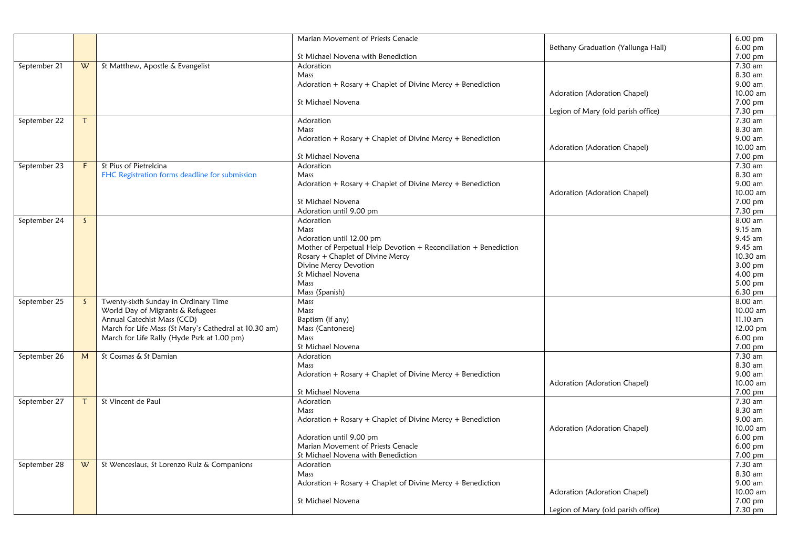|              |              |                                                       | Marian Movement of Priests Cenacle                               |                                    | $6.00$ pm |
|--------------|--------------|-------------------------------------------------------|------------------------------------------------------------------|------------------------------------|-----------|
|              |              |                                                       |                                                                  | Bethany Graduation (Yallunga Hall) | 6.00 pm   |
|              |              |                                                       | St Michael Novena with Benediction                               |                                    | 7.00 pm   |
| September 21 | W            | St Matthew, Apostle & Evangelist                      | Adoration                                                        |                                    | 7.30 am   |
|              |              |                                                       | Mass                                                             |                                    | 8.30 am   |
|              |              |                                                       | Adoration + Rosary + Chaplet of Divine Mercy + Benediction       |                                    | 9.00 am   |
|              |              |                                                       |                                                                  | Adoration (Adoration Chapel)       | 10.00 am  |
|              |              |                                                       | St Michael Novena                                                |                                    |           |
|              |              |                                                       |                                                                  |                                    | 7.00 pm   |
|              |              |                                                       |                                                                  | Legion of Mary (old parish office) | 7.30 pm   |
| September 22 | т            |                                                       | Adoration                                                        |                                    | 7.30 am   |
|              |              |                                                       | Mass                                                             |                                    | 8.30 am   |
|              |              |                                                       | Adoration + Rosary + Chaplet of Divine Mercy + Benediction       |                                    | 9.00 am   |
|              |              |                                                       |                                                                  | Adoration (Adoration Chapel)       | 10.00 am  |
|              |              |                                                       | St Michael Novena                                                |                                    | 7.00 pm   |
| September 23 | F            | St Pius of Pietrelcina                                | Adoration                                                        |                                    | 7.30 am   |
|              |              |                                                       |                                                                  |                                    | 8.30 am   |
|              |              | FHC Registration forms deadline for submission        | Mass                                                             |                                    |           |
|              |              |                                                       | Adoration + Rosary + Chaplet of Divine Mercy + Benediction       |                                    | 9.00 am   |
|              |              |                                                       |                                                                  | Adoration (Adoration Chapel)       | 10.00 am  |
|              |              |                                                       | St Michael Novena                                                |                                    | 7.00 pm   |
|              |              |                                                       | Adoration until 9.00 pm                                          |                                    | 7.30 pm   |
| September 24 | S.           |                                                       | Adoration                                                        |                                    | 8.00 am   |
|              |              |                                                       | Mass                                                             |                                    | 9.15 am   |
|              |              |                                                       | Adoration until 12.00 pm                                         |                                    | 9.45 am   |
|              |              |                                                       | Mother of Perpetual Help Devotion + Reconciliation + Benediction |                                    | 9.45 am   |
|              |              |                                                       |                                                                  |                                    | 10.30 am  |
|              |              |                                                       | Rosary + Chaplet of Divine Mercy                                 |                                    |           |
|              |              |                                                       | Divine Mercy Devotion                                            |                                    | 3.00 pm   |
|              |              |                                                       | St Michael Novena                                                |                                    | 4.00 pm   |
|              |              |                                                       | Mass                                                             |                                    | 5.00 pm   |
|              |              |                                                       | Mass (Spanish)                                                   |                                    | 6.30 pm   |
| September 25 | $\mathsf{S}$ | Twenty-sixth Sunday in Ordinary Time                  | Mass                                                             |                                    | 8.00 am   |
|              |              | World Day of Migrants & Refugees                      | Mass                                                             |                                    | 10.00 am  |
|              |              | Annual Catechist Mass (CCD)                           | Baptism (if any)                                                 |                                    | 11.10 am  |
|              |              | March for Life Mass (St Mary's Cathedral at 10.30 am) |                                                                  |                                    | 12.00 pm  |
|              |              |                                                       | Mass (Cantonese)                                                 |                                    |           |
|              |              | March for Life Rally (Hyde Psrk at 1.00 pm)           | Mass                                                             |                                    | 6.00 pm   |
|              |              |                                                       | St Michael Novena                                                |                                    | 7.00 pm   |
| September 26 | M            | St Cosmas & St Damian                                 | Adoration                                                        |                                    | 7.30 am   |
|              |              |                                                       | Mass                                                             |                                    | 8.30 am   |
|              |              |                                                       | Adoration + Rosary + Chaplet of Divine Mercy + Benediction       |                                    | 9.00 am   |
|              |              |                                                       |                                                                  | Adoration (Adoration Chapel)       | 10.00 am  |
|              |              |                                                       | St Michael Novena                                                |                                    | 7.00 pm   |
|              |              |                                                       |                                                                  |                                    | 7.30 am   |
| September 27 | T.           | St Vincent de Paul                                    | Adoration                                                        |                                    |           |
|              |              |                                                       | Mass                                                             |                                    | 8.30 am   |
|              |              |                                                       | Adoration + Rosary + Chaplet of Divine Mercy + Benediction       |                                    | 9.00 am   |
|              |              |                                                       |                                                                  | Adoration (Adoration Chapel)       | 10.00 am  |
|              |              |                                                       | Adoration until 9.00 pm                                          |                                    | $6.00$ pm |
|              |              |                                                       | Marian Movement of Priests Cenacle                               |                                    | $6.00$ pm |
|              |              |                                                       | St Michael Novena with Benediction                               |                                    | 7.00 pm   |
| September 28 | W            | St Wenceslaus, St Lorenzo Ruiz & Companions           | Adoration                                                        |                                    | 7.30 am   |
|              |              |                                                       |                                                                  |                                    | 8.30 am   |
|              |              |                                                       | Mass                                                             |                                    |           |
|              |              |                                                       | Adoration + Rosary + Chaplet of Divine Mercy + Benediction       |                                    | 9.00 am   |
|              |              |                                                       |                                                                  | Adoration (Adoration Chapel)       | 10.00 am  |
|              |              |                                                       | St Michael Novena                                                |                                    | 7.00 pm   |
|              |              |                                                       |                                                                  | Legion of Mary (old parish office) | 7.30 pm   |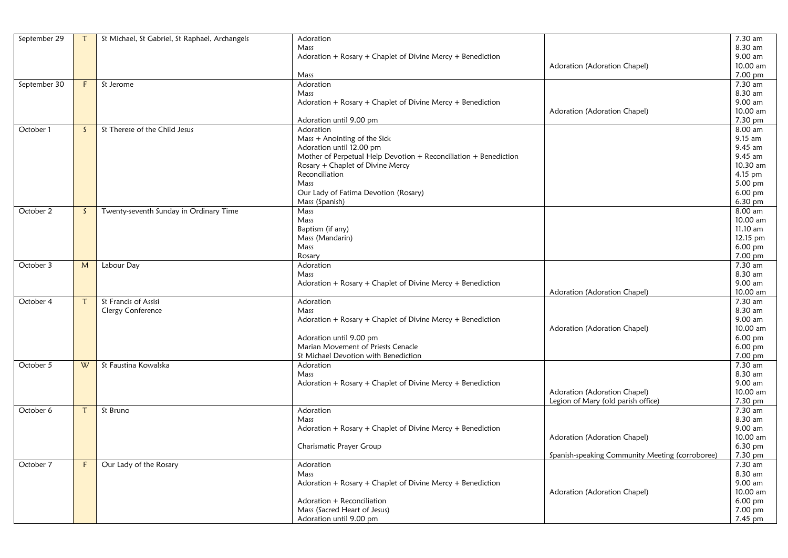| September 29 |    | St Michael, St Gabriel, St Raphael, Archangels | Adoration                                                        |                                                 | 7.30 am           |
|--------------|----|------------------------------------------------|------------------------------------------------------------------|-------------------------------------------------|-------------------|
|              |    |                                                | Mass                                                             |                                                 | 8.30 am           |
|              |    |                                                | Adoration + Rosary + Chaplet of Divine Mercy + Benediction       |                                                 | 9.00 am           |
|              |    |                                                |                                                                  | Adoration (Adoration Chapel)                    | 10.00 am          |
|              |    |                                                | Mass                                                             |                                                 | 7.00 pm           |
| September 30 | F  | St Jerome                                      | Adoration                                                        |                                                 | $7.30$ am         |
|              |    |                                                | Mass                                                             |                                                 | 8.30 am           |
|              |    |                                                | Adoration + Rosary + Chaplet of Divine Mercy + Benediction       |                                                 | 9.00 am           |
|              |    |                                                |                                                                  | Adoration (Adoration Chapel)                    | 10.00 am          |
|              |    |                                                | Adoration until 9.00 pm                                          |                                                 | 7.30 pm           |
| October 1    | S. | St Therese of the Child Jesus                  | Adoration                                                        |                                                 | 8.00 am           |
|              |    |                                                | Mass + Anointing of the Sick                                     |                                                 | 9.15 am           |
|              |    |                                                | Adoration until 12.00 pm                                         |                                                 | 9.45 am           |
|              |    |                                                | Mother of Perpetual Help Devotion + Reconciliation + Benediction |                                                 | 9.45 am           |
|              |    |                                                | Rosary + Chaplet of Divine Mercy                                 |                                                 | 10.30 am          |
|              |    |                                                | Reconciliation                                                   |                                                 | 4.15 pm           |
|              |    |                                                | Mass                                                             |                                                 | 5.00 pm           |
|              |    |                                                | Our Lady of Fatima Devotion (Rosary)                             |                                                 | 6.00 pm           |
|              |    |                                                |                                                                  |                                                 | 6.30 pm           |
|              |    |                                                | Mass (Spanish)                                                   |                                                 |                   |
| October 2    | S. | Twenty-seventh Sunday in Ordinary Time         | Mass                                                             |                                                 | 8.00 am           |
|              |    |                                                | Mass                                                             |                                                 | 10.00 am          |
|              |    |                                                | Baptism (if any)                                                 |                                                 | 11.10 am          |
|              |    |                                                | Mass (Mandarin)                                                  |                                                 | 12.15 pm          |
|              |    |                                                | Mass                                                             |                                                 | 6.00 pm           |
|              |    |                                                | Rosary                                                           |                                                 | 7.00 pm           |
| October 3    | M  | Labour Day                                     | Adoration                                                        |                                                 | 7.30 am           |
|              |    |                                                | Mass                                                             |                                                 | 8.30 am           |
|              |    |                                                | Adoration + Rosary + Chaplet of Divine Mercy + Benediction       |                                                 | 9.00 am           |
|              |    |                                                |                                                                  | Adoration (Adoration Chapel)                    | 10.00 am          |
| October 4    |    | St Francis of Assisi                           | Adoration                                                        |                                                 | 7.30 am           |
|              |    | Clergy Conference                              | Mass                                                             |                                                 | 8.30 am           |
|              |    |                                                | Adoration + Rosary + Chaplet of Divine Mercy + Benediction       |                                                 | 9.00 am           |
|              |    |                                                |                                                                  | Adoration (Adoration Chapel)                    | 10.00 am          |
|              |    |                                                | Adoration until 9.00 pm                                          |                                                 | $6.00$ pm         |
|              |    |                                                | Marian Movement of Priests Cenacle                               |                                                 | 6.00 pm           |
|              |    |                                                | St Michael Devotion with Benediction                             |                                                 | 7.00 pm           |
| October 5    | W  | St Faustina Kowalska                           | Adoration                                                        |                                                 | 7.30 am           |
|              |    |                                                | Mass                                                             |                                                 | 8.30 am           |
|              |    |                                                |                                                                  |                                                 | 9.00 am           |
|              |    |                                                | Adoration + Rosary + Chaplet of Divine Mercy + Benediction       |                                                 | 10.00 am          |
|              |    |                                                |                                                                  | Adoration (Adoration Chapel)                    |                   |
|              |    |                                                |                                                                  | Legion of Mary (old parish office)              | 7.30 pm           |
| October 6    |    | $\overline{St}$ Bruno                          | Adoration                                                        |                                                 | 7.30 am           |
|              |    |                                                | Mass                                                             |                                                 | 8.30 am           |
|              |    |                                                | Adoration + Rosary + Chaplet of Divine Mercy + Benediction       |                                                 | 9.00 am           |
|              |    |                                                |                                                                  | Adoration (Adoration Chapel)                    | 10.00 am          |
|              |    |                                                | Charismatic Prayer Group                                         |                                                 | $6.30 \text{ pm}$ |
|              |    |                                                |                                                                  | Spanish-speaking Community Meeting (corroboree) | 7.30 pm           |
| October 7    | F  | Our Lady of the Rosary                         | Adoration                                                        |                                                 | 7.30 am           |
|              |    |                                                | Mass                                                             |                                                 | 8.30 am           |
|              |    |                                                | Adoration + Rosary + Chaplet of Divine Mercy + Benediction       |                                                 | 9.00 am           |
|              |    |                                                |                                                                  | Adoration (Adoration Chapel)                    | 10.00 am          |
|              |    |                                                | Adoration + Reconciliation                                       |                                                 | 6.00 pm           |
|              |    |                                                | Mass (Sacred Heart of Jesus)                                     |                                                 | 7.00 pm           |
|              |    |                                                | Adoration until 9.00 pm                                          |                                                 | 7.45 pm           |
|              |    |                                                |                                                                  |                                                 |                   |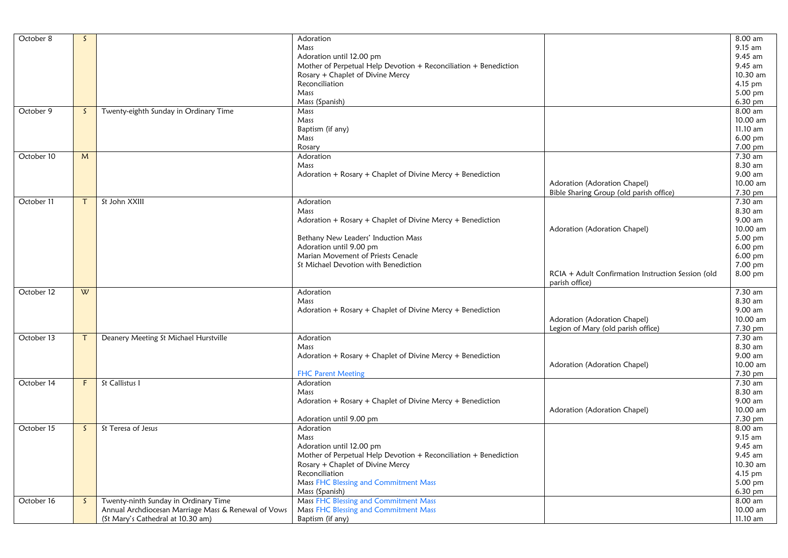| October 8  | $\mathsf{S}$ |                                                     | Adoration                                                            |                                                    | 8.00 am   |
|------------|--------------|-----------------------------------------------------|----------------------------------------------------------------------|----------------------------------------------------|-----------|
|            |              |                                                     |                                                                      |                                                    |           |
|            |              |                                                     | Mass                                                                 |                                                    | 9.15 am   |
|            |              |                                                     | Adoration until 12.00 pm                                             |                                                    | 9.45 am   |
|            |              |                                                     | Mother of Perpetual Help Devotion + Reconciliation + Benediction     |                                                    | 9.45 am   |
|            |              |                                                     | Rosary + Chaplet of Divine Mercy                                     |                                                    | 10.30 am  |
|            |              |                                                     | Reconciliation                                                       |                                                    | 4.15 pm   |
|            |              |                                                     | Mass                                                                 |                                                    | 5.00 pm   |
|            |              |                                                     | Mass (Spanish)                                                       |                                                    | 6.30 pm   |
| October 9  | $\mathsf{S}$ | Twenty-eighth Sunday in Ordinary Time               | Mass                                                                 |                                                    | 8.00 am   |
|            |              |                                                     | Mass                                                                 |                                                    | 10.00 am  |
|            |              |                                                     | Baptism (if any)                                                     |                                                    | 11.10 am  |
|            |              |                                                     | Mass                                                                 |                                                    | 6.00 pm   |
|            |              |                                                     | Rosary                                                               |                                                    | 7.00 pm   |
| October 10 | M            |                                                     | Adoration                                                            |                                                    | 7.30 am   |
|            |              |                                                     | Mass                                                                 |                                                    | 8.30 am   |
|            |              |                                                     | Adoration + Rosary + Chaplet of Divine Mercy + Benediction           |                                                    | 9.00 am   |
|            |              |                                                     |                                                                      |                                                    |           |
|            |              |                                                     |                                                                      | Adoration (Adoration Chapel)                       | 10.00 am  |
|            |              |                                                     |                                                                      | Bible Sharing Group (old parish office)            | 7.30 pm   |
| October 11 | $\mathsf{T}$ | St John XXIII                                       | Adoration                                                            |                                                    | 7.30 am   |
|            |              |                                                     | Mass                                                                 |                                                    | 8.30 am   |
|            |              |                                                     | Adoration + Rosary + Chaplet of Divine Mercy + Benediction           |                                                    | 9.00 am   |
|            |              |                                                     |                                                                      | Adoration (Adoration Chapel)                       | 10.00 am  |
|            |              |                                                     | Bethany New Leaders' Induction Mass                                  |                                                    | 5.00 pm   |
|            |              |                                                     | Adoration until 9.00 pm                                              |                                                    | 6.00 pm   |
|            |              |                                                     | Marian Movement of Priests Cenacle                                   |                                                    | $6.00$ pm |
|            |              |                                                     | St Michael Devotion with Benediction                                 |                                                    | 7.00 pm   |
|            |              |                                                     |                                                                      | RCIA + Adult Confirmation Instruction Session (old | 8.00 pm   |
|            |              |                                                     |                                                                      | parish office)                                     |           |
| October 12 | W            |                                                     | Adoration                                                            |                                                    | 7.30 am   |
|            |              |                                                     | Mass                                                                 |                                                    | 8.30 am   |
|            |              |                                                     |                                                                      |                                                    |           |
|            |              |                                                     | Adoration + Rosary + Chaplet of Divine Mercy + Benediction           |                                                    | 9.00 am   |
|            |              |                                                     |                                                                      | Adoration (Adoration Chapel)                       | 10.00 am  |
|            |              |                                                     |                                                                      | Legion of Mary (old parish office)                 | 7.30 pm   |
| October 13 | $\mathsf{T}$ | Deanery Meeting St Michael Hurstville               | Adoration                                                            |                                                    | 7.30 am   |
|            |              |                                                     | Mass                                                                 |                                                    | 8.30 am   |
|            |              |                                                     | Adoration + Rosary + Chaplet of Divine Mercy + Benediction           |                                                    | 9.00 am   |
|            |              |                                                     |                                                                      | Adoration (Adoration Chapel)                       | 10.00 am  |
|            |              |                                                     | <b>FHC Parent Meeting</b>                                            |                                                    | 7.30 pm   |
| October 14 | F.           | St Callistus I                                      | Adoration                                                            |                                                    | 7.30 am   |
|            |              |                                                     | Mass                                                                 |                                                    | 8.30 am   |
|            |              |                                                     | Adoration + Rosary + Chaplet of Divine Mercy + Benediction           |                                                    | 9.00 am   |
|            |              |                                                     |                                                                      | Adoration (Adoration Chapel)                       | 10.00 am  |
|            |              |                                                     | Adoration until 9.00 pm                                              |                                                    | 7.30 pm   |
| October 15 | S.           | St Teresa of Jesus                                  | Adoration                                                            |                                                    | 8.00 am   |
|            |              |                                                     | Mass                                                                 |                                                    | 9.15 am   |
|            |              |                                                     |                                                                      |                                                    | 9.45 am   |
|            |              |                                                     | Adoration until 12.00 pm                                             |                                                    |           |
|            |              |                                                     | Mother of Perpetual Help Devotion $+$ Reconciliation $+$ Benediction |                                                    | 9.45 am   |
|            |              |                                                     | Rosary + Chaplet of Divine Mercy                                     |                                                    | 10.30 am  |
|            |              |                                                     | Reconciliation                                                       |                                                    | 4.15 pm   |
|            |              |                                                     | Mass FHC Blessing and Commitment Mass                                |                                                    | 5.00 pm   |
|            |              |                                                     | Mass (Spanish)                                                       |                                                    | 6.30 pm   |
| October 16 | S.           | Twenty-ninth Sunday in Ordinary Time                | Mass FHC Blessing and Commitment Mass                                |                                                    | 8.00 am   |
|            |              | Annual Archdiocesan Marriage Mass & Renewal of Vows | Mass FHC Blessing and Commitment Mass                                |                                                    | 10.00 am  |
|            |              | (St Mary's Cathedral at 10.30 am)                   | Baptism (if any)                                                     |                                                    | 11.10 am  |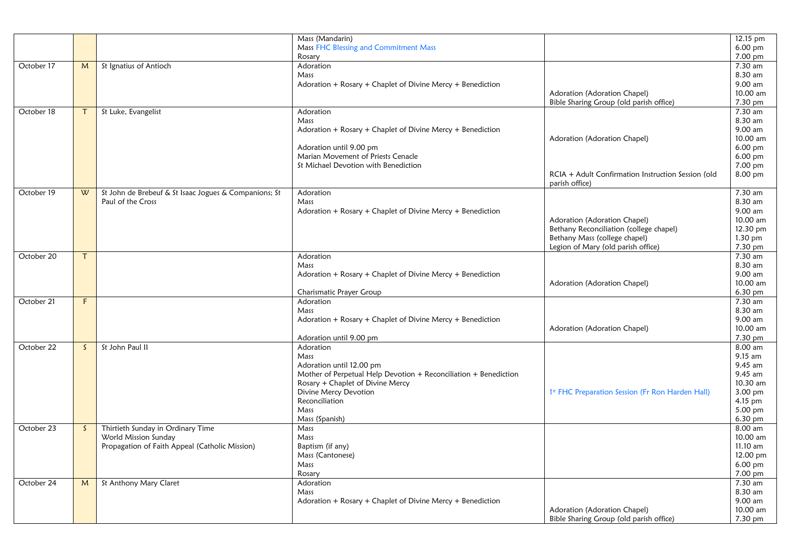|            |    |                                                       | Mass (Mandarin)                                                  |                                                    | 12.15 pm  |
|------------|----|-------------------------------------------------------|------------------------------------------------------------------|----------------------------------------------------|-----------|
|            |    |                                                       | Mass FHC Blessing and Commitment Mass                            |                                                    | 6.00 pm   |
|            |    |                                                       | Rosary                                                           |                                                    | 7.00 pm   |
|            |    |                                                       | Adoration                                                        |                                                    |           |
| October 17 | M  | St Ignatius of Antioch                                |                                                                  |                                                    | 7.30 am   |
|            |    |                                                       | Mass                                                             |                                                    | 8.30 am   |
|            |    |                                                       | Adoration + Rosary + Chaplet of Divine Mercy + Benediction       |                                                    | 9.00 am   |
|            |    |                                                       |                                                                  | Adoration (Adoration Chapel)                       | 10.00 am  |
|            |    |                                                       |                                                                  | Bible Sharing Group (old parish office)            | 7.30 pm   |
|            |    |                                                       |                                                                  |                                                    |           |
| October 18 | T. | St Luke, Evangelist                                   | Adoration                                                        |                                                    | 7.30 am   |
|            |    |                                                       | Mass                                                             |                                                    | 8.30 am   |
|            |    |                                                       | Adoration + Rosary + Chaplet of Divine Mercy + Benediction       |                                                    | 9.00 am   |
|            |    |                                                       |                                                                  | Adoration (Adoration Chapel)                       | 10.00 am  |
|            |    |                                                       |                                                                  |                                                    | 6.00 pm   |
|            |    |                                                       | Adoration until 9.00 pm                                          |                                                    |           |
|            |    |                                                       | Marian Movement of Priests Cenacle                               |                                                    | 6.00 pm   |
|            |    |                                                       | St Michael Devotion with Benediction                             |                                                    | 7.00 pm   |
|            |    |                                                       |                                                                  | RCIA + Adult Confirmation Instruction Session (old | 8.00 pm   |
|            |    |                                                       |                                                                  | parish office)                                     |           |
| October 19 |    |                                                       | Adoration                                                        |                                                    | 7.30 am   |
|            | W  | St John de Brebeuf & St Isaac Jogues & Companions; St |                                                                  |                                                    |           |
|            |    | Paul of the Cross                                     | Mass                                                             |                                                    | 8.30 am   |
|            |    |                                                       | Adoration + Rosary + Chaplet of Divine Mercy + Benediction       |                                                    | 9.00 am   |
|            |    |                                                       |                                                                  | Adoration (Adoration Chapel)                       | 10.00 am  |
|            |    |                                                       |                                                                  | Bethany Reconciliation (college chapel)            | 12.30 pm  |
|            |    |                                                       |                                                                  |                                                    |           |
|            |    |                                                       |                                                                  | Bethany Mass (college chapel)                      | 1.30 pm   |
|            |    |                                                       |                                                                  | Legion of Mary (old parish office)                 | 7.30 pm   |
| October 20 | T. |                                                       | Adoration                                                        |                                                    | 7.30 am   |
|            |    |                                                       | Mass                                                             |                                                    | 8.30 am   |
|            |    |                                                       |                                                                  |                                                    | 9.00 am   |
|            |    |                                                       | Adoration + Rosary + Chaplet of Divine Mercy + Benediction       |                                                    |           |
|            |    |                                                       |                                                                  | Adoration (Adoration Chapel)                       | 10.00 am  |
|            |    |                                                       | Charismatic Prayer Group                                         |                                                    | 6.30 pm   |
| October 21 | F  |                                                       | Adoration                                                        |                                                    | 7.30 am   |
|            |    |                                                       | Mass                                                             |                                                    | 8.30 am   |
|            |    |                                                       | Adoration + Rosary + Chaplet of Divine Mercy + Benediction       |                                                    | 9.00 am   |
|            |    |                                                       |                                                                  |                                                    |           |
|            |    |                                                       |                                                                  | Adoration (Adoration Chapel)                       | 10.00 am  |
|            |    |                                                       | Adoration until 9.00 pm                                          |                                                    | 7.30 pm   |
| October 22 | S. | St John Paul II                                       | Adoration                                                        |                                                    | 8.00 am   |
|            |    |                                                       | Mass                                                             |                                                    | $9.15$ am |
|            |    |                                                       |                                                                  |                                                    |           |
|            |    |                                                       | Adoration until 12.00 pm                                         |                                                    | 9.45 am   |
|            |    |                                                       | Mother of Perpetual Help Devotion + Reconciliation + Benediction |                                                    | $9.45$ am |
|            |    |                                                       | Rosary + Chaplet of Divine Mercy                                 |                                                    | 10.30 am  |
|            |    |                                                       | Divine Mercy Devotion                                            | 1st FHC Preparation Session (Fr Ron Harden Hall)   | 3.00 pm   |
|            |    |                                                       | Reconciliation                                                   |                                                    | 4.15 pm   |
|            |    |                                                       | Mass                                                             |                                                    | 5.00 pm   |
|            |    |                                                       |                                                                  |                                                    |           |
|            |    |                                                       | Mass (Spanish)                                                   |                                                    | 6.30 pm   |
| October 23 | S. | Thirtieth Sunday in Ordinary Time                     | Mass                                                             |                                                    | 8.00 am   |
|            |    | World Mission Sunday                                  | Mass                                                             |                                                    | 10.00 am  |
|            |    | Propagation of Faith Appeal (Catholic Mission)        | Baptism (if any)                                                 |                                                    | 11.10 am  |
|            |    |                                                       |                                                                  |                                                    |           |
|            |    |                                                       | Mass (Cantonese)                                                 |                                                    | 12.00 pm  |
|            |    |                                                       | Mass                                                             |                                                    | 6.00 pm   |
|            |    |                                                       | Rosary                                                           |                                                    | 7.00 pm   |
| October 24 | M  | St Anthony Mary Claret                                | Adoration                                                        |                                                    | 7.30 am   |
|            |    |                                                       | Mass                                                             |                                                    | 8.30 am   |
|            |    |                                                       |                                                                  |                                                    | 9.00 am   |
|            |    |                                                       | Adoration + Rosary + Chaplet of Divine Mercy + Benediction       |                                                    |           |
|            |    |                                                       |                                                                  | Adoration (Adoration Chapel)                       | 10.00 am  |
|            |    |                                                       |                                                                  | Bible Sharing Group (old parish office)            | 7.30 pm   |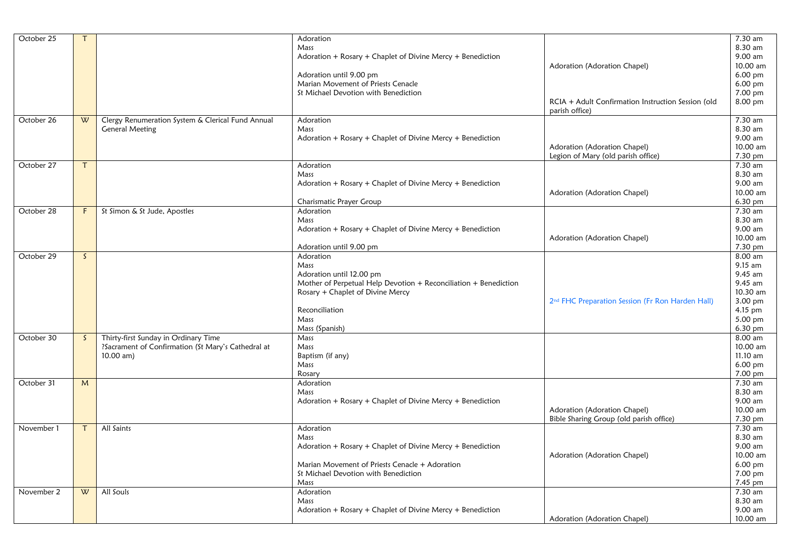| October 25 | т            |                                                    | Adoration                                                        |                                                              | 7.30 am    |
|------------|--------------|----------------------------------------------------|------------------------------------------------------------------|--------------------------------------------------------------|------------|
|            |              |                                                    | Mass                                                             |                                                              | 8.30 am    |
|            |              |                                                    | Adoration + Rosary + Chaplet of Divine Mercy + Benediction       |                                                              | 9.00 am    |
|            |              |                                                    |                                                                  | Adoration (Adoration Chapel)                                 | 10.00 am   |
|            |              |                                                    | Adoration until 9.00 pm                                          |                                                              | 6.00 pm    |
|            |              |                                                    | Marian Movement of Priests Cenacle                               |                                                              | 6.00 pm    |
|            |              |                                                    | St Michael Devotion with Benediction                             |                                                              | 7.00 pm    |
|            |              |                                                    |                                                                  | RCIA + Adult Confirmation Instruction Session (old           | 8.00 pm    |
|            |              |                                                    |                                                                  | parish office)                                               |            |
| October 26 | W            | Clergy Renumeration System & Clerical Fund Annual  | Adoration                                                        |                                                              | 7.30 am    |
|            |              | <b>General Meeting</b>                             | Mass                                                             |                                                              | 8.30 am    |
|            |              |                                                    | Adoration + Rosary + Chaplet of Divine Mercy + Benediction       |                                                              | 9.00 am    |
|            |              |                                                    |                                                                  | Adoration (Adoration Chapel)                                 | 10.00 am   |
|            |              |                                                    |                                                                  | Legion of Mary (old parish office)                           | 7.30 pm    |
| October 27 | $\mathsf{T}$ |                                                    | Adoration                                                        |                                                              | 7.30 am    |
|            |              |                                                    | Mass                                                             |                                                              | 8.30 am    |
|            |              |                                                    | Adoration + Rosary + Chaplet of Divine Mercy + Benediction       |                                                              | 9.00 am    |
|            |              |                                                    |                                                                  | Adoration (Adoration Chapel)                                 | 10.00 am   |
|            |              |                                                    | Charismatic Prayer Group                                         |                                                              | 6.30 pm    |
| October 28 | F.           | St Simon & St Jude, Apostles                       | Adoration                                                        |                                                              | 7.30 am    |
|            |              |                                                    | Mass                                                             |                                                              | 8.30 am    |
|            |              |                                                    |                                                                  |                                                              | 9.00 am    |
|            |              |                                                    | Adoration + Rosary + Chaplet of Divine Mercy + Benediction       |                                                              |            |
|            |              |                                                    |                                                                  | Adoration (Adoration Chapel)                                 | 10.00 am   |
|            |              |                                                    | Adoration until 9.00 pm                                          |                                                              | 7.30 pm    |
| October 29 | $\mathsf{S}$ |                                                    | Adoration                                                        |                                                              | 8.00 am    |
|            |              |                                                    | Mass                                                             |                                                              | $9.15$ am  |
|            |              |                                                    | Adoration until 12.00 pm                                         |                                                              | 9.45 am    |
|            |              |                                                    | Mother of Perpetual Help Devotion + Reconciliation + Benediction |                                                              | 9.45 am    |
|            |              |                                                    | Rosary + Chaplet of Divine Mercy                                 |                                                              | 10.30 am   |
|            |              |                                                    |                                                                  | 2 <sup>nd</sup> FHC Preparation Session (Fr Ron Harden Hall) | 3.00 pm    |
|            |              |                                                    | Reconciliation                                                   |                                                              | 4.15 pm    |
|            |              |                                                    | Mass                                                             |                                                              | 5.00 pm    |
|            |              |                                                    | Mass (Spanish)                                                   |                                                              | 6.30 pm    |
| October 30 | S.           | Thirty-first Sunday in Ordinary Time               | Mass                                                             |                                                              | 8.00 am    |
|            |              | ?Sacrament of Confirmation (St Mary's Cathedral at | Mass                                                             |                                                              | 10.00 am   |
|            |              | $10.00$ am)                                        | Baptism (if any)                                                 |                                                              | $11.10$ am |
|            |              |                                                    | Mass                                                             |                                                              | 6.00 pm    |
|            |              |                                                    | Rosary                                                           |                                                              | 7.00 pm    |
| October 31 | M            |                                                    | Adoration                                                        |                                                              | $7.30$ am  |
|            |              |                                                    | Mass                                                             |                                                              | 8.30 am    |
|            |              |                                                    | Adoration + Rosary + Chaplet of Divine Mercy + Benediction       |                                                              | 9.00 am    |
|            |              |                                                    |                                                                  | Adoration (Adoration Chapel)                                 | 10.00 am   |
|            |              |                                                    |                                                                  |                                                              |            |
|            |              |                                                    |                                                                  | Bible Sharing Group (old parish office)                      | 7.30 pm    |
| November 1 | $\mathsf{T}$ | All Saints                                         | Adoration                                                        |                                                              | 7.30 am    |
|            |              |                                                    | Mass                                                             |                                                              | 8.30 am    |
|            |              |                                                    | Adoration + Rosary + Chaplet of Divine Mercy + Benediction       |                                                              | 9.00 am    |
|            |              |                                                    |                                                                  | Adoration (Adoration Chapel)                                 | 10.00 am   |
|            |              |                                                    | Marian Movement of Priests Cenacle + Adoration                   |                                                              | 6.00 pm    |
|            |              |                                                    | St Michael Devotion with Benediction                             |                                                              | 7.00 pm    |
|            |              |                                                    | Mass                                                             |                                                              | 7.45 pm    |
| November 2 | W            | All Souls                                          | Adoration                                                        |                                                              | 7.30 am    |
|            |              |                                                    | Mass                                                             |                                                              | 8.30 am    |
|            |              |                                                    | Adoration + Rosary + Chaplet of Divine Mercy + Benediction       |                                                              | 9.00 am    |
|            |              |                                                    |                                                                  | Adoration (Adoration Chapel)                                 | 10.00 am   |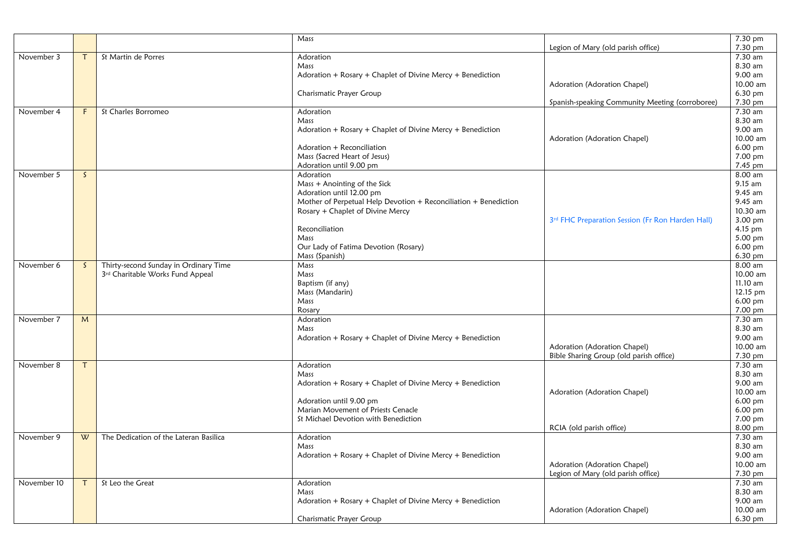|             |              |                                        | Mass                                                             |                                                  | 7.30 pm              |
|-------------|--------------|----------------------------------------|------------------------------------------------------------------|--------------------------------------------------|----------------------|
|             |              |                                        |                                                                  | Legion of Mary (old parish office)               | 7.30 pm<br>$7.30$ am |
| November 3  | $\tau$       | St Martin de Porres                    | Adoration                                                        |                                                  |                      |
|             |              |                                        | Mass                                                             |                                                  | 8.30 am              |
|             |              |                                        | Adoration + Rosary + Chaplet of Divine Mercy + Benediction       |                                                  | 9.00 am<br>10.00 am  |
|             |              |                                        |                                                                  | Adoration (Adoration Chapel)                     |                      |
|             |              |                                        | Charismatic Prayer Group                                         |                                                  | 6.30 pm<br>7.30 pm   |
|             | F.           |                                        |                                                                  | Spanish-speaking Community Meeting (corroboree)  | 7.30 am              |
| November 4  |              | St Charles Borromeo                    | Adoration<br>Mass                                                |                                                  | 8.30 am              |
|             |              |                                        | Adoration + Rosary + Chaplet of Divine Mercy + Benediction       |                                                  | 9.00 am              |
|             |              |                                        |                                                                  | Adoration (Adoration Chapel)                     | 10.00 am             |
|             |              |                                        | Adoration + Reconciliation                                       |                                                  | $6.00$ pm            |
|             |              |                                        | Mass (Sacred Heart of Jesus)                                     |                                                  | 7.00 pm              |
|             |              |                                        | Adoration until 9.00 pm                                          |                                                  | 7.45 pm              |
| November 5  | $\mathsf{S}$ |                                        | Adoration                                                        |                                                  | 8.00 am              |
|             |              |                                        | Mass + Anointing of the Sick                                     |                                                  | $9.15$ am            |
|             |              |                                        | Adoration until 12.00 pm                                         |                                                  | 9.45 am              |
|             |              |                                        | Mother of Perpetual Help Devotion + Reconciliation + Benediction |                                                  | 9.45 am              |
|             |              |                                        | Rosary + Chaplet of Divine Mercy                                 |                                                  | 10.30 am             |
|             |              |                                        |                                                                  | 3rd FHC Preparation Session (Fr Ron Harden Hall) | 3.00 pm              |
|             |              |                                        | Reconciliation                                                   |                                                  | 4.15 pm              |
|             |              |                                        | Mass                                                             |                                                  | 5.00 pm              |
|             |              |                                        | Our Lady of Fatima Devotion (Rosary)                             |                                                  | 6.00 pm              |
|             |              |                                        | Mass (Spanish)                                                   |                                                  | 6.30 pm              |
| November 6  | $\mathsf{S}$ | Thirty-second Sunday in Ordinary Time  | Mass                                                             |                                                  | 8.00 am              |
|             |              | 3rd Charitable Works Fund Appeal       | Mass                                                             |                                                  | 10.00 am             |
|             |              |                                        | Baptism (if any)                                                 |                                                  | 11.10 am             |
|             |              |                                        | Mass (Mandarin)                                                  |                                                  | 12.15 pm             |
|             |              |                                        | Mass                                                             |                                                  | 6.00 pm              |
|             |              |                                        | Rosary                                                           |                                                  | 7.00 pm              |
| November 7  | M            |                                        | Adoration                                                        |                                                  | 7.30 am              |
|             |              |                                        | Mass                                                             |                                                  | 8.30 am              |
|             |              |                                        | Adoration + Rosary + Chaplet of Divine Mercy + Benediction       |                                                  | 9.00 am              |
|             |              |                                        |                                                                  | Adoration (Adoration Chapel)                     | 10.00 am             |
|             |              |                                        |                                                                  | Bible Sharing Group (old parish office)          | 7.30 pm              |
| November 8  | T            |                                        | Adoration                                                        |                                                  | 7.30 am              |
|             |              |                                        | Mass                                                             |                                                  | 8.30 am              |
|             |              |                                        | Adoration + Rosary + Chaplet of Divine Mercy + Benediction       |                                                  | 9.00 am              |
|             |              |                                        |                                                                  | Adoration (Adoration Chapel)                     | 10.00 am             |
|             |              |                                        | Adoration until 9.00 pm                                          |                                                  | $6.00$ pm            |
|             |              |                                        | Marian Movement of Priests Cenacle                               |                                                  | 6.00 pm              |
|             |              |                                        | St Michael Devotion with Benediction                             |                                                  | 7.00 pm              |
|             |              |                                        |                                                                  | RCIA (old parish office)                         | $8.00 \,\mathrm{pm}$ |
| November 9  | W            | The Dedication of the Lateran Basilica | Adoration                                                        |                                                  | 7.30 am              |
|             |              |                                        | Mass                                                             |                                                  | 8.30 am              |
|             |              |                                        | Adoration + Rosary + Chaplet of Divine Mercy + Benediction       |                                                  | 9.00 am              |
|             |              |                                        |                                                                  | Adoration (Adoration Chapel)                     | 10.00 am             |
|             |              |                                        |                                                                  | Legion of Mary (old parish office)               | 7.30 pm              |
| November 10 | $\mathsf{T}$ | St Leo the Great                       | Adoration                                                        |                                                  | $7.30$ am            |
|             |              |                                        | Mass                                                             |                                                  | 8.30 am              |
|             |              |                                        | Adoration + Rosary + Chaplet of Divine Mercy + Benediction       |                                                  | 9.00 am              |
|             |              |                                        |                                                                  | Adoration (Adoration Chapel)                     | 10.00 am             |
|             |              |                                        | Charismatic Prayer Group                                         |                                                  | $6.30 \text{ pm}$    |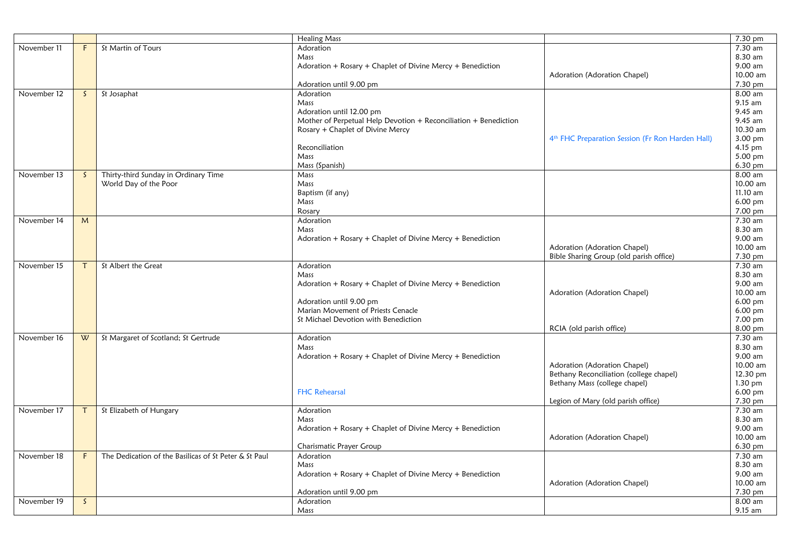|             |              |                                                       | <b>Healing Mass</b>                                              |                                                              | 7.30 pm   |
|-------------|--------------|-------------------------------------------------------|------------------------------------------------------------------|--------------------------------------------------------------|-----------|
| November 11 | F.           | St Martin of Tours                                    | Adoration                                                        |                                                              | 7.30 am   |
|             |              |                                                       | Mass                                                             |                                                              | 8.30 am   |
|             |              |                                                       | Adoration + $Rosary$ + Chaplet of Divine Mercy + Benediction     |                                                              | 9.00 am   |
|             |              |                                                       |                                                                  | Adoration (Adoration Chapel)                                 | 10.00 am  |
|             |              |                                                       | Adoration until 9.00 pm                                          |                                                              | 7.30 pm   |
| November 12 | $\mathsf{S}$ | St Josaphat                                           | Adoration                                                        |                                                              | 8.00 am   |
|             |              |                                                       | Mass                                                             |                                                              | 9.15 am   |
|             |              |                                                       | Adoration until 12.00 pm                                         |                                                              | 9.45 am   |
|             |              |                                                       | Mother of Perpetual Help Devotion + Reconciliation + Benediction |                                                              | 9.45 am   |
|             |              |                                                       | Rosary + Chaplet of Divine Mercy                                 |                                                              | 10.30 am  |
|             |              |                                                       |                                                                  | 4 <sup>th</sup> FHC Preparation Session (Fr Ron Harden Hall) | 3.00 pm   |
|             |              |                                                       | Reconciliation                                                   |                                                              | 4.15 pm   |
|             |              |                                                       | Mass                                                             |                                                              | 5.00 pm   |
|             |              |                                                       | Mass (Spanish)                                                   |                                                              | 6.30 pm   |
| November 13 | $\mathsf{S}$ | Thirty-third Sunday in Ordinary Time                  | Mass                                                             |                                                              | 8.00 am   |
|             |              | World Day of the Poor                                 | Mass                                                             |                                                              | 10.00 am  |
|             |              |                                                       | Baptism (if any)                                                 |                                                              | 11.10 am  |
|             |              |                                                       | Mass                                                             |                                                              | $6.00$ pm |
|             |              |                                                       | Rosary                                                           |                                                              | 7.00 pm   |
| November 14 | M            |                                                       | Adoration                                                        |                                                              | 7.30 am   |
|             |              |                                                       | Mass                                                             |                                                              | 8.30 am   |
|             |              |                                                       | Adoration + Rosary + Chaplet of Divine Mercy + Benediction       |                                                              | 9.00 am   |
|             |              |                                                       |                                                                  | Adoration (Adoration Chapel)                                 | 10.00 am  |
|             |              |                                                       |                                                                  | Bible Sharing Group (old parish office)                      | 7.30 pm   |
| November 15 | T            | St Albert the Great                                   | Adoration                                                        |                                                              | 7.30 am   |
|             |              |                                                       | Mass                                                             |                                                              | 8.30 am   |
|             |              |                                                       | Adoration + $Rosary$ + Chaplet of Divine Mercy + Benediction     |                                                              | 9.00 am   |
|             |              |                                                       |                                                                  | Adoration (Adoration Chapel)                                 | 10.00 am  |
|             |              |                                                       | Adoration until 9.00 pm                                          |                                                              | 6.00 pm   |
|             |              |                                                       | Marian Movement of Priests Cenacle                               |                                                              | 6.00 pm   |
|             |              |                                                       | St Michael Devotion with Benediction                             |                                                              | 7.00 pm   |
|             |              |                                                       |                                                                  | RCIA (old parish office)                                     | 8.00 pm   |
| November 16 | W            | St Margaret of Scotland; St Gertrude                  | Adoration                                                        |                                                              | 7.30 am   |
|             |              |                                                       | Mass                                                             |                                                              | 8.30 am   |
|             |              |                                                       | Adoration + Rosary + Chaplet of Divine Mercy + Benediction       |                                                              | 9.00 am   |
|             |              |                                                       |                                                                  | Adoration (Adoration Chapel)                                 | 10.00 am  |
|             |              |                                                       |                                                                  | Bethany Reconciliation (college chapel)                      | 12.30 pm  |
|             |              |                                                       |                                                                  | Bethany Mass (college chapel)                                | $1.30$ pm |
|             |              |                                                       | <b>FHC Rehearsal</b>                                             |                                                              | 6.00 pm   |
|             |              |                                                       |                                                                  | Legion of Mary (old parish office)                           | 7.30 pm   |
| November 17 | Τ            | St Elizabeth of Hungary                               | Adoration                                                        |                                                              | 7.30 am   |
|             |              |                                                       | Mass                                                             |                                                              | 8.30 am   |
|             |              |                                                       | Adoration + $Rosary$ + Chaplet of Divine Mercy + Benediction     |                                                              | 9.00 am   |
|             |              |                                                       |                                                                  | Adoration (Adoration Chapel)                                 | 10.00 am  |
|             |              |                                                       | Charismatic Prayer Group                                         |                                                              | 6.30 pm   |
| November 18 | F            | The Dedication of the Basilicas of St Peter & St Paul | Adoration                                                        |                                                              | 7.30 am   |
|             |              |                                                       | Mass                                                             |                                                              | 8.30 am   |
|             |              |                                                       | Adoration + Rosary + Chaplet of Divine Mercy + Benediction       |                                                              | 9.00 am   |
|             |              |                                                       |                                                                  | Adoration (Adoration Chapel)                                 | 10.00 am  |
|             |              |                                                       | Adoration until 9.00 pm                                          |                                                              | 7.30 pm   |
| November 19 | $\mathsf{S}$ |                                                       | Adoration                                                        |                                                              | 8.00 am   |
|             |              |                                                       | Mass                                                             |                                                              | 9.15 am   |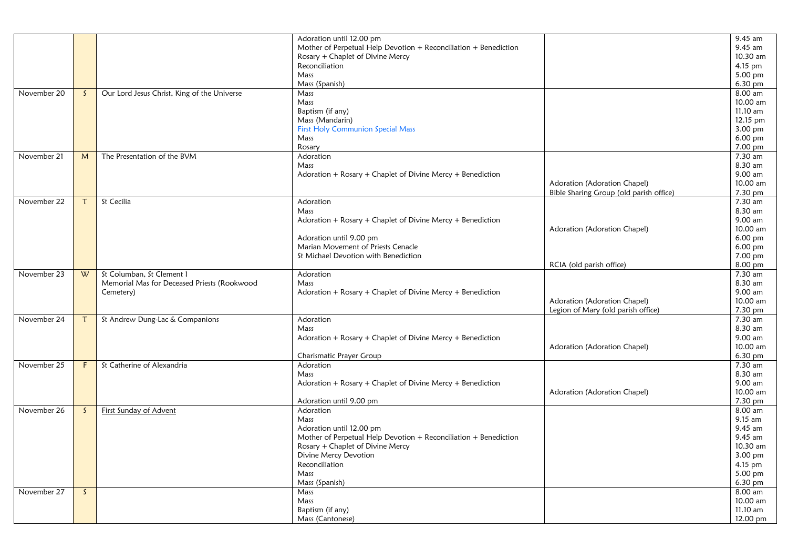|             |              |                                             | Adoration until 12.00 pm                                         |                                         | 9.45 am   |
|-------------|--------------|---------------------------------------------|------------------------------------------------------------------|-----------------------------------------|-----------|
|             |              |                                             | Mother of Perpetual Help Devotion + Reconciliation + Benediction |                                         | 9.45 am   |
|             |              |                                             | Rosary + Chaplet of Divine Mercy                                 |                                         | 10.30 am  |
|             |              |                                             | Reconciliation                                                   |                                         | 4.15 pm   |
|             |              |                                             | Mass                                                             |                                         | 5.00 pm   |
|             |              |                                             | Mass (Spanish)                                                   |                                         | 6.30 pm   |
| November 20 | S.           | Our Lord Jesus Christ, King of the Universe | Mass                                                             |                                         | 8.00 am   |
|             |              |                                             | Mass                                                             |                                         | 10.00 am  |
|             |              |                                             | Baptism (if any)                                                 |                                         | 11.10 am  |
|             |              |                                             | Mass (Mandarin)                                                  |                                         | 12.15 pm  |
|             |              |                                             | <b>First Holy Communion Special Mass</b>                         |                                         | 3.00 pm   |
|             |              |                                             | Mass                                                             |                                         | 6.00 pm   |
|             |              |                                             | Rosary                                                           |                                         | 7.00 pm   |
| November 21 | M            | The Presentation of the BVM                 | Adoration                                                        |                                         | 7.30 am   |
|             |              |                                             | Mass                                                             |                                         | 8.30 am   |
|             |              |                                             | Adoration + Rosary + Chaplet of Divine Mercy + Benediction       |                                         | 9.00 am   |
|             |              |                                             |                                                                  | Adoration (Adoration Chapel)            | 10.00 am  |
|             |              |                                             |                                                                  | Bible Sharing Group (old parish office) | 7.30 pm   |
| November 22 | $\tau$       | St Cecilia                                  | Adoration                                                        |                                         | 7.30 am   |
|             |              |                                             | Mass                                                             |                                         | 8.30 am   |
|             |              |                                             | Adoration + Rosary + Chaplet of Divine Mercy + Benediction       |                                         | 9.00 am   |
|             |              |                                             |                                                                  | Adoration (Adoration Chapel)            | 10.00 am  |
|             |              |                                             | Adoration until 9.00 pm                                          |                                         | $6.00$ pm |
|             |              |                                             | Marian Movement of Priests Cenacle                               |                                         | 6.00 pm   |
|             |              |                                             | St Michael Devotion with Benediction                             |                                         | 7.00 pm   |
|             |              |                                             |                                                                  | RCIA (old parish office)                | 8.00 pm   |
| November 23 | W            | St Columban, St Clement I                   | Adoration                                                        |                                         | 7.30 am   |
|             |              | Memorial Mas for Deceased Priests (Rookwood | Mass                                                             |                                         | 8.30 am   |
|             |              | Cemetery)                                   | Adoration + Rosary + Chaplet of Divine Mercy + Benediction       |                                         | 9.00 am   |
|             |              |                                             |                                                                  | Adoration (Adoration Chapel)            | 10.00 am  |
|             |              |                                             |                                                                  | Legion of Mary (old parish office)      | 7.30 pm   |
| November 24 |              |                                             | Adoration                                                        |                                         | 7.30 am   |
|             | $\tau$       | St Andrew Dung-Lac & Companions             | Mass                                                             |                                         | 8.30 am   |
|             |              |                                             |                                                                  |                                         | 9.00 am   |
|             |              |                                             | Adoration + Rosary + Chaplet of Divine Mercy + Benediction       |                                         | 10.00 am  |
|             |              |                                             |                                                                  | Adoration (Adoration Chapel)            |           |
|             |              |                                             | Charismatic Prayer Group                                         |                                         | 6.30 pm   |
| November 25 | F.           | St Catherine of Alexandria                  | Adoration                                                        |                                         | 7.30 am   |
|             |              |                                             | Mass                                                             |                                         | 8.30 am   |
|             |              |                                             | Adoration + Rosary + Chaplet of Divine Mercy + Benediction       |                                         | 9.00 am   |
|             |              |                                             |                                                                  | Adoration (Adoration Chapel)            | 10.00 am  |
|             |              |                                             | Adoration until 9.00 pm                                          |                                         | 7.30 pm   |
| November 26 | S.           | <b>First Sunday of Advent</b>               | Adoration                                                        |                                         | 8.00 am   |
|             |              |                                             | Mass                                                             |                                         | 9.15 am   |
|             |              |                                             | Adoration until 12.00 pm                                         |                                         | 9.45 am   |
|             |              |                                             | Mother of Perpetual Help Devotion + Reconciliation + Benediction |                                         | 9.45 am   |
|             |              |                                             | Rosary + Chaplet of Divine Mercy                                 |                                         | 10.30 am  |
|             |              |                                             | Divine Mercy Devotion                                            |                                         | 3.00 pm   |
|             |              |                                             | Reconciliation                                                   |                                         | 4.15 pm   |
|             |              |                                             | Mass                                                             |                                         | $5.00$ pm |
|             |              |                                             | Mass (Spanish)                                                   |                                         | 6.30 pm   |
| November 27 | $\mathsf{S}$ |                                             | Mass                                                             |                                         | $8.00$ am |
|             |              |                                             | Mass                                                             |                                         | 10.00 am  |
|             |              |                                             | Baptism (if any)                                                 |                                         | 11.10 am  |
|             |              |                                             | Mass (Cantonese)                                                 |                                         | 12.00 pm  |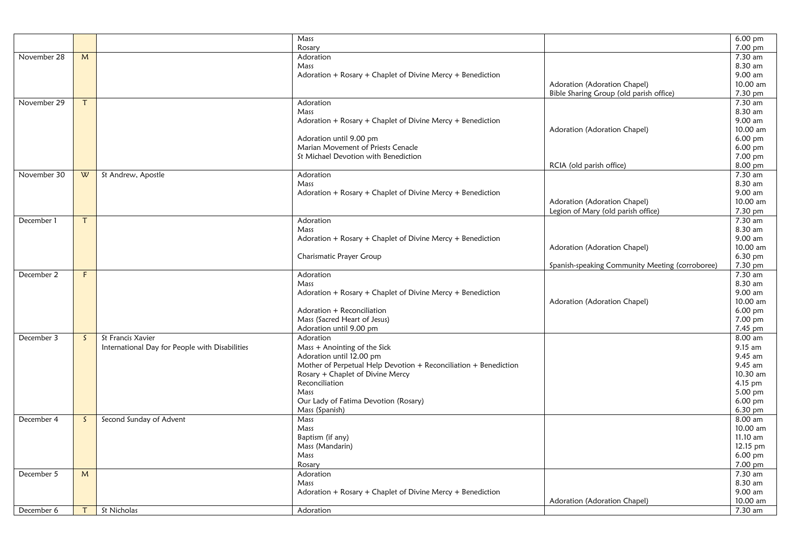|             |              |                                                | Mass                                                             |                                                 | $6.00$ pm            |
|-------------|--------------|------------------------------------------------|------------------------------------------------------------------|-------------------------------------------------|----------------------|
|             |              |                                                | Rosary                                                           |                                                 | $7.00 \,\mathrm{pm}$ |
| November 28 | M            |                                                | Adoration                                                        |                                                 | 7.30 am              |
|             |              |                                                | Mass                                                             |                                                 | 8.30 am              |
|             |              |                                                | Adoration + Rosary + Chaplet of Divine Mercy + Benediction       |                                                 | 9.00 am              |
|             |              |                                                |                                                                  | Adoration (Adoration Chapel)                    | 10.00 am             |
|             |              |                                                |                                                                  | Bible Sharing Group (old parish office)         | 7.30 pm              |
| November 29 |              |                                                | Adoration                                                        |                                                 | $7.30$ am            |
|             |              |                                                | Mass                                                             |                                                 | 8.30 am              |
|             |              |                                                | Adoration + Rosary + Chaplet of Divine Mercy + Benediction       |                                                 | 9.00 am              |
|             |              |                                                |                                                                  | Adoration (Adoration Chapel)                    | 10.00 am             |
|             |              |                                                | Adoration until 9.00 pm                                          |                                                 | 6.00 pm              |
|             |              |                                                | Marian Movement of Priests Cenacle                               |                                                 | 6.00 pm              |
|             |              |                                                | St Michael Devotion with Benediction                             |                                                 | 7.00 pm              |
|             |              |                                                |                                                                  | RCIA (old parish office)                        | 8.00 pm              |
| November 30 | W            | St Andrew, Apostle                             | Adoration                                                        |                                                 | 7.30 am              |
|             |              |                                                | Mass                                                             |                                                 | 8.30 am              |
|             |              |                                                | Adoration + Rosary + Chaplet of Divine Mercy + Benediction       |                                                 | 9.00 am              |
|             |              |                                                |                                                                  | Adoration (Adoration Chapel)                    | 10.00 am             |
|             |              |                                                |                                                                  | Legion of Mary (old parish office)              | 7.30 pm              |
| December 1  |              |                                                | Adoration                                                        |                                                 | 7.30 am              |
|             |              |                                                | Mass                                                             |                                                 | 8.30 am              |
|             |              |                                                | Adoration + Rosary + Chaplet of Divine Mercy + Benediction       |                                                 | 9.00 am              |
|             |              |                                                |                                                                  | Adoration (Adoration Chapel)                    | 10.00 am             |
|             |              |                                                | Charismatic Prayer Group                                         |                                                 | 6.30 pm              |
|             |              |                                                |                                                                  | Spanish-speaking Community Meeting (corroboree) | 7.30 pm              |
| December 2  | F.           |                                                | Adoration                                                        |                                                 | $7.30$ am            |
|             |              |                                                | Mass                                                             |                                                 | 8.30 am              |
|             |              |                                                | Adoration + Rosary + Chaplet of Divine Mercy + Benediction       |                                                 | 9.00 am              |
|             |              |                                                |                                                                  | Adoration (Adoration Chapel)                    | 10.00 am             |
|             |              |                                                | Adoration + Reconciliation                                       |                                                 | $6.00$ pm            |
|             |              |                                                | Mass (Sacred Heart of Jesus)                                     |                                                 | 7.00 pm              |
|             |              |                                                | Adoration until 9.00 pm                                          |                                                 | 7.45 pm              |
| December 3  | $\mathsf{S}$ | St Francis Xavier                              | Adoration                                                        |                                                 | 8.00 am              |
|             |              | International Day for People with Disabilities | Mass + Anointing of the Sick                                     |                                                 | 9.15 am              |
|             |              |                                                | Adoration until 12.00 pm                                         |                                                 | 9.45 am              |
|             |              |                                                | Mother of Perpetual Help Devotion + Reconciliation + Benediction |                                                 | 9.45 am              |
|             |              |                                                | Rosary + Chaplet of Divine Mercy                                 |                                                 | 10.30 am             |
|             |              |                                                | Reconciliation                                                   |                                                 | $4.15$ pm            |
|             |              |                                                | Mass                                                             |                                                 | 5.00 pm              |
|             |              |                                                | Our Lady of Fatima Devotion (Rosary)                             |                                                 | $6.00$ pm            |
|             |              |                                                | Mass (Spanish)                                                   |                                                 | 6.30 pm              |
| December 4  | $\mathsf{S}$ | Second Sunday of Advent                        | Mass                                                             |                                                 | 8.00 am              |
|             |              |                                                | Mass                                                             |                                                 | 10.00 am             |
|             |              |                                                | Baptism (if any)                                                 |                                                 | $11.10$ am           |
|             |              |                                                | Mass (Mandarin)                                                  |                                                 | 12.15 pm             |
|             |              |                                                | Mass                                                             |                                                 | 6.00 pm              |
|             |              |                                                | Rosary                                                           |                                                 | 7.00 pm              |
| December 5  | M            |                                                | Adoration                                                        |                                                 | $\overline{7.30}$ am |
|             |              |                                                | Mass                                                             |                                                 | 8.30 am              |
|             |              |                                                | Adoration + Rosary + Chaplet of Divine Mercy + Benediction       |                                                 | 9.00 am              |
|             |              |                                                |                                                                  | Adoration (Adoration Chapel)                    | 10.00 am             |
| December 6  |              | St Nicholas                                    | Adoration                                                        |                                                 | 7.30 am              |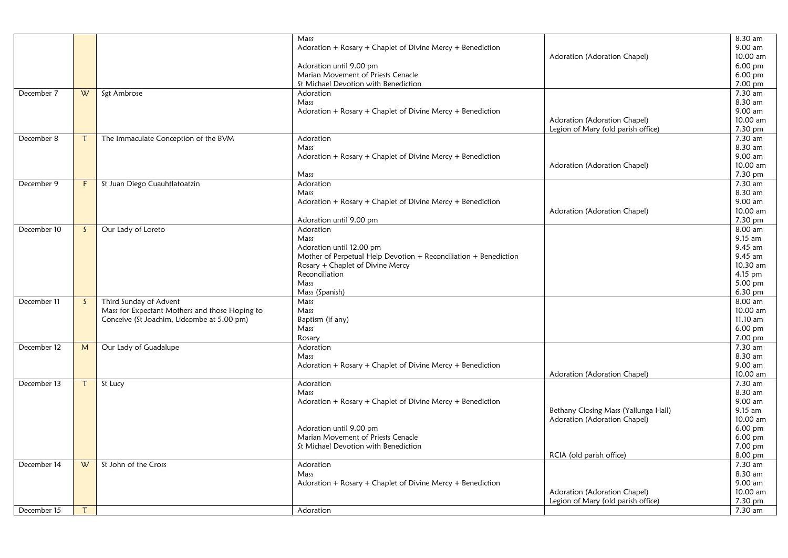|             |              |                                                | Mass                                                             |                                      | 8.30 am              |
|-------------|--------------|------------------------------------------------|------------------------------------------------------------------|--------------------------------------|----------------------|
|             |              |                                                | Adoration + Rosary + Chaplet of Divine Mercy + Benediction       |                                      | 9.00 am              |
|             |              |                                                |                                                                  | Adoration (Adoration Chapel)         | 10.00 am             |
|             |              |                                                | Adoration until 9.00 pm                                          |                                      | $6.00$ pm            |
|             |              |                                                | Marian Movement of Priests Cenacle                               |                                      | $6.00$ pm            |
|             |              |                                                | St Michael Devotion with Benediction                             |                                      | 7.00 pm              |
| December 7  | W            | Sgt Ambrose                                    | Adoration                                                        |                                      | 7.30 am              |
|             |              |                                                | Mass                                                             |                                      | 8.30 am              |
|             |              |                                                | Adoration + Rosary + Chaplet of Divine Mercy + Benediction       |                                      | 9.00 am              |
|             |              |                                                |                                                                  | Adoration (Adoration Chapel)         | 10.00 am             |
|             |              |                                                |                                                                  | Legion of Mary (old parish office)   | 7.30 pm              |
| December 8  | Τ            | The Immaculate Conception of the BVM           | Adoration                                                        |                                      | 7.30 am              |
|             |              |                                                | Mass                                                             |                                      | 8.30 am              |
|             |              |                                                | Adoration + $Rosary$ + Chaplet of Divine Mercy + Benediction     |                                      | 9.00 am              |
|             |              |                                                |                                                                  | Adoration (Adoration Chapel)         | 10.00 am             |
|             |              |                                                | Mass                                                             |                                      | 7.30 pm              |
| December 9  | F            | St Juan Diego Cuauhtlatoatzin                  | Adoration                                                        |                                      | 7.30 am              |
|             |              |                                                | Mass                                                             |                                      | 8.30 am              |
|             |              |                                                | Adoration + Rosary + Chaplet of Divine Mercy + Benediction       |                                      | 9.00 am              |
|             |              |                                                |                                                                  | Adoration (Adoration Chapel)         | 10.00 am             |
|             |              |                                                | Adoration until 9.00 pm                                          |                                      | 7.30 pm              |
| December 10 | $\mathsf{S}$ | Our Lady of Loreto                             | Adoration                                                        |                                      | 8.00 am              |
|             |              |                                                | Mass                                                             |                                      | 9.15 am              |
|             |              |                                                | Adoration until 12.00 pm                                         |                                      | 9.45 am              |
|             |              |                                                | Mother of Perpetual Help Devotion + Reconciliation + Benediction |                                      | 9.45 am              |
|             |              |                                                | Rosary + Chaplet of Divine Mercy                                 |                                      | 10.30 am             |
|             |              |                                                | Reconciliation                                                   |                                      | 4.15 pm              |
|             |              |                                                | Mass                                                             |                                      | 5.00 pm              |
|             |              |                                                | Mass (Spanish)                                                   |                                      | $6.30 \,\mathrm{pm}$ |
| December 11 | <sub>S</sub> | Third Sunday of Advent                         | Mass                                                             |                                      | 8.00 am              |
|             |              | Mass for Expectant Mothers and those Hoping to | Mass                                                             |                                      | 10.00 am             |
|             |              | Conceive (St Joachim, Lidcombe at 5.00 pm)     | Baptism (if any)                                                 |                                      | 11.10 am             |
|             |              |                                                | Mass                                                             |                                      | 6.00 pm              |
|             |              |                                                | Rosary                                                           |                                      | 7.00 pm              |
| December 12 | M            | Our Lady of Guadalupe                          | Adoration                                                        |                                      | 7.30 am              |
|             |              |                                                | Mass                                                             |                                      | 8.30 am              |
|             |              |                                                | Adoration + $Rosary$ + Chaplet of Divine Mercy + Benediction     |                                      | 9.00 am              |
|             |              |                                                |                                                                  | Adoration (Adoration Chapel)         | 10.00 am             |
| December 13 | Τ            | St Lucy                                        | Adoration                                                        |                                      | 7.30 am              |
|             |              |                                                | Mass                                                             |                                      | 8.30 am              |
|             |              |                                                | Adoration + Rosary + Chaplet of Divine Mercy + Benediction       |                                      | $9.00$ am            |
|             |              |                                                |                                                                  | Bethany Closing Mass (Yallunga Hall) | 9.15 am              |
|             |              |                                                |                                                                  | Adoration (Adoration Chapel)         | 10.00 am             |
|             |              |                                                | Adoration until 9.00 pm                                          |                                      | $6.00$ pm            |
|             |              |                                                | Marian Movement of Priests Cenacle                               |                                      | $6.00$ pm            |
|             |              |                                                | St Michael Devotion with Benediction                             |                                      | 7.00 pm              |
|             |              |                                                |                                                                  | RCIA (old parish office)             | 8.00 pm              |
| December 14 | W            | St John of the Cross                           | Adoration                                                        |                                      | 7.30 am              |
|             |              |                                                | Mass                                                             |                                      | 8.30 am              |
|             |              |                                                | Adoration + $Rosary$ + Chaplet of Divine Mercy + Benediction     |                                      | 9.00 am              |
|             |              |                                                |                                                                  | Adoration (Adoration Chapel)         | 10.00 am             |
|             |              |                                                |                                                                  | Legion of Mary (old parish office)   | 7.30 pm              |
| December 15 | $\mathsf{T}$ |                                                | Adoration                                                        |                                      | 7.30 am              |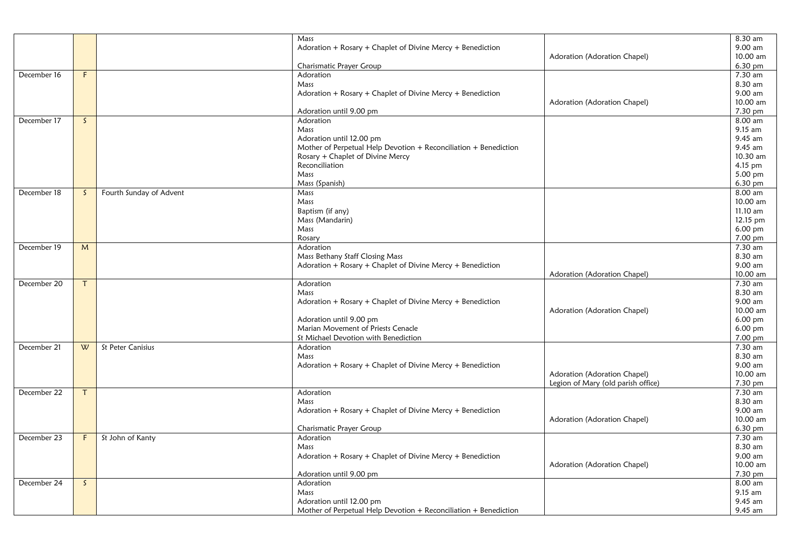|             |              |                         | Mass                                                             |                                    | 8.30 am              |
|-------------|--------------|-------------------------|------------------------------------------------------------------|------------------------------------|----------------------|
|             |              |                         | Adoration + Rosary + Chaplet of Divine Mercy + Benediction       |                                    | 9.00 am              |
|             |              |                         |                                                                  | Adoration (Adoration Chapel)       | 10.00 am             |
|             |              |                         | Charismatic Prayer Group                                         |                                    | 6.30 pm              |
| December 16 | F            |                         | Adoration                                                        |                                    | 7.30 am              |
|             |              |                         | Mass                                                             |                                    | 8.30 am              |
|             |              |                         | Adoration + Rosary + Chaplet of Divine Mercy + Benediction       |                                    | 9.00 am              |
|             |              |                         |                                                                  | Adoration (Adoration Chapel)       | 10.00 am             |
|             |              |                         | Adoration until 9.00 pm                                          |                                    | 7.30 pm              |
| December 17 | $\mathsf{S}$ |                         | Adoration                                                        |                                    | $8.00$ am            |
|             |              |                         | Mass                                                             |                                    | 9.15 am              |
|             |              |                         | Adoration until 12.00 pm                                         |                                    | 9.45 am              |
|             |              |                         | Mother of Perpetual Help Devotion + Reconciliation + Benediction |                                    | 9.45 am              |
|             |              |                         | Rosary + Chaplet of Divine Mercy                                 |                                    | 10.30 am             |
|             |              |                         | Reconciliation                                                   |                                    | 4.15 pm              |
|             |              |                         | Mass                                                             |                                    | 5.00 pm              |
|             |              |                         | Mass (Spanish)                                                   |                                    | 6.30 pm              |
| December 18 | $\mathsf{S}$ | Fourth Sunday of Advent | Mass                                                             |                                    | 8.00 am              |
|             |              |                         | Mass                                                             |                                    | 10.00 am             |
|             |              |                         | Baptism (if any)                                                 |                                    | 11.10 am             |
|             |              |                         | Mass (Mandarin)                                                  |                                    | 12.15 pm             |
|             |              |                         | Mass                                                             |                                    | $6.00 \,\mathrm{pm}$ |
|             |              |                         | Rosary                                                           |                                    | 7.00 pm              |
| December 19 | M            |                         | Adoration                                                        |                                    | 7.30 am              |
|             |              |                         | Mass Bethany Staff Closing Mass                                  |                                    | 8.30 am              |
|             |              |                         | Adoration + Rosary + Chaplet of Divine Mercy + Benediction       |                                    | 9.00 am              |
|             |              |                         |                                                                  | Adoration (Adoration Chapel)       | 10.00 am             |
| December 20 | T            |                         | Adoration                                                        |                                    | 7.30 am              |
|             |              |                         | Mass                                                             |                                    | 8.30 am              |
|             |              |                         | Adoration + Rosary + Chaplet of Divine Mercy + Benediction       |                                    | 9.00 am              |
|             |              |                         |                                                                  | Adoration (Adoration Chapel)       | 10.00 am             |
|             |              |                         | Adoration until 9.00 pm                                          |                                    | 6.00 pm              |
|             |              |                         | Marian Movement of Priests Cenacle                               |                                    | $6.00 \,\mathrm{pm}$ |
|             |              |                         | St Michael Devotion with Benediction                             |                                    | 7.00 pm              |
| December 21 | W            | St Peter Canisius       | Adoration                                                        |                                    | $7.30$ am            |
|             |              |                         | Mass                                                             |                                    | 8.30 am              |
|             |              |                         | Adoration + Rosary + Chaplet of Divine Mercy + Benediction       |                                    | 9.00 am              |
|             |              |                         |                                                                  | Adoration (Adoration Chapel)       | 10.00 am             |
|             |              |                         |                                                                  | Legion of Mary (old parish office) | 7.30 pm              |
| December 22 | Τ            |                         | Adoration                                                        |                                    | $7.30$ am            |
|             |              |                         | Mass                                                             |                                    | 8.30 am              |
|             |              |                         | Adoration + Rosary + Chaplet of Divine Mercy + Benediction       |                                    | 9.00 am              |
|             |              |                         |                                                                  | Adoration (Adoration Chapel)       | 10.00 am             |
|             |              |                         | Charismatic Prayer Group                                         |                                    | 6.30 pm              |
| December 23 | F            | St John of Kanty        | Adoration                                                        |                                    | 7.30 am              |
|             |              |                         | Mass                                                             |                                    | 8.30 am              |
|             |              |                         | Adoration + Rosary + Chaplet of Divine Mercy + Benediction       |                                    | 9.00 am              |
|             |              |                         |                                                                  | Adoration (Adoration Chapel)       | 10.00 am             |
|             |              |                         | Adoration until 9.00 pm                                          |                                    | 7.30 pm              |
| December 24 | $\mathsf{S}$ |                         | Adoration                                                        |                                    | 8.00 am              |
|             |              |                         | Mass                                                             |                                    | 9.15 am              |
|             |              |                         | Adoration until 12.00 pm                                         |                                    | 9.45 am              |
|             |              |                         | Mother of Perpetual Help Devotion + Reconciliation + Benediction |                                    | 9.45 am              |